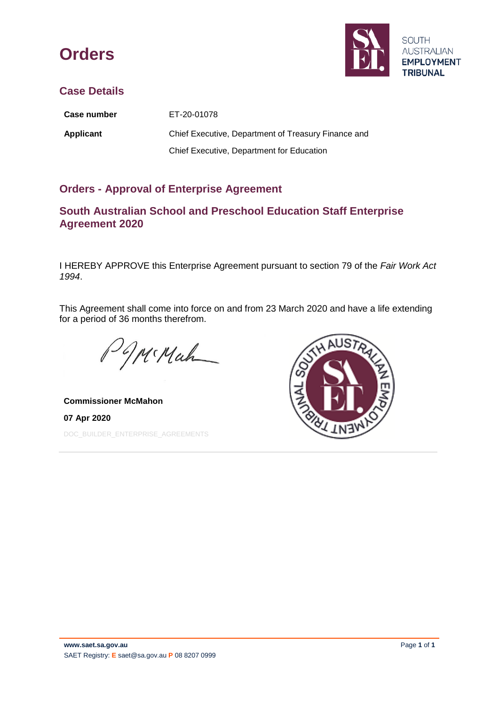



## **Case Details**

| <b>Case number</b> | ET-20-01078                                         |
|--------------------|-----------------------------------------------------|
| Applicant          | Chief Executive, Department of Treasury Finance and |
|                    | Chief Executive, Department for Education           |

## **Orders - Approval of Enterprise Agreement**

## **South Australian School and Preschool Education Staff Enterprise Agreement 2020**

I HEREBY APPROVE this Enterprise Agreement pursuant to section 79 of the *Fair Work Act 1994*.

This Agreement shall come into force on and from 23 March 2020 and have a life extending for a period of 36 months therefrom.

W. Mah

**Commissioner McMahon 07 Apr 2020** DOC\_BUILDER\_ENTERPRISE\_AGREEMENTS

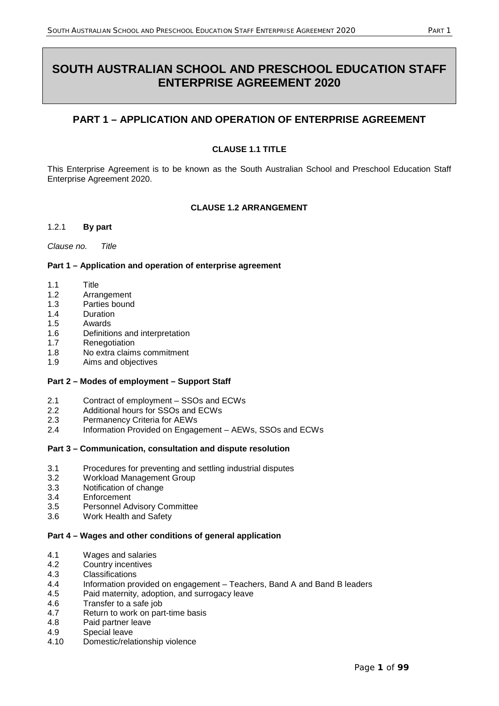# **SOUTH AUSTRALIAN SCHOOL AND PRESCHOOL EDUCATION STAFF ENTERPRISE AGREEMENT 2020**

## **PART 1 – APPLICATION AND OPERATION OF ENTERPRISE AGREEMENT**

## **CLAUSE 1.1 TITLE**

This Enterprise Agreement is to be known as the South Australian School and Preschool Education Staff Enterprise Agreement 2020.

## **CLAUSE 1.2 ARRANGEMENT**

#### 1.2.1 **By part**

*Clause no. Title*

#### **Part 1 – Application and operation of enterprise agreement**

- 1.1 Title
- 1.2 Arrangement
- 1.3 Parties bound
- 1.4 Duration
- 1.5 Awards
- 1.6 Definitions and interpretation
- 1.7 Renegotiation
- 1.8 No extra claims commitment
- 1.9 Aims and objectives

#### **Part 2 – Modes of employment – Support Staff**

- 2.1 Contract of employment SSOs and ECWs<br>2.2 Additional hours for SSOs and ECWs
- Additional hours for SSOs and ECWs
- 2.3 Permanency Criteria for AEWs
- 2.4 Information Provided on Engagement AEWs, SSOs and ECWs

#### **Part 3 – Communication, consultation and dispute resolution**

- 3.1 Procedures for preventing and settling industrial disputes
- 3.2 Workload Management Group
- 3.3 Notification of change
- 3.4 Enforcement
- 3.5 Personnel Advisory Committee
- 3.6 Work Health and Safety

#### **Part 4 – Wages and other conditions of general application**

- 4.1 Wages and salaries
- 4.2 Country incentives
- 4.3 Classifications
- 4.4 Information provided on engagement Teachers, Band A and Band B leaders
- 4.5 Paid maternity, adoption, and surrogacy leave
- 4.6 Transfer to a safe job
- 4.7 Return to work on part-time basis
- 4.8 Paid partner leave
- 4.9 Special leave
- 4.10 Domestic/relationship violence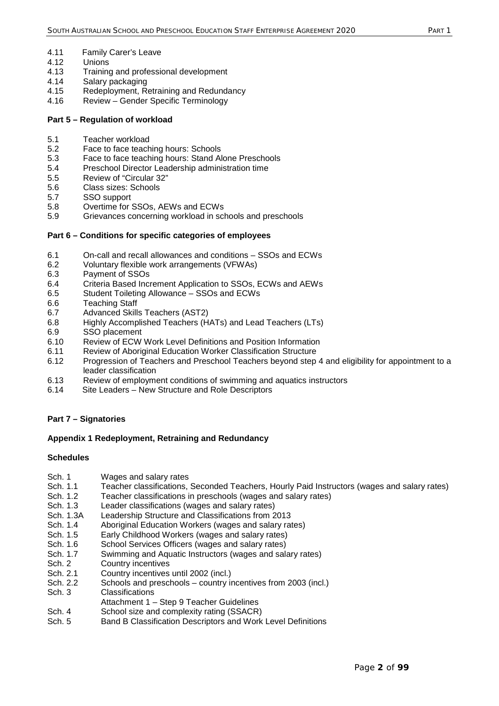- 4.11 Family Carer's Leave<br>4.12 Unions
- 4.12 Unions<br>4.13 Training
- 4.13 Training and professional development
- 4.14 Salary packaging
- 4.15 Redeployment, Retraining and Redundancy
- 4.16 Review Gender Specific Terminology

#### **Part 5 – Regulation of workload**

- 5.1 Teacher workload
- 5.2 Face to face teaching hours: Schools
- 5.3 Face to face teaching hours: Stand Alone Preschools
- 5.4 Preschool Director Leadership administration time
- 5.5 Review of "Circular 32"
- 5.6 Class sizes: Schools
- 5.7 SSO support
- 5.8 Overtime for SSOs, AEWs and ECWs
- 5.9 Grievances concerning workload in schools and preschools

#### **Part 6 – Conditions for specific categories of employees**

- 6.1 On-call and recall allowances and conditions SSOs and ECWs
- 6.2 Voluntary flexible work arrangements (VFWAs)
- 6.3 Payment of SSOs
- 6.4 Criteria Based Increment Application to SSOs, ECWs and AEWs
- 6.5 Student Toileting Allowance SSOs and ECWs
- 6.6 Teaching Staff
- 6.7 Advanced Skills Teachers (AST2)
- 6.8 Highly Accomplished Teachers (HATs) and Lead Teachers (LTs)
- 6.9 SSO placement
- 6.10 Review of ECW Work Level Definitions and Position Information
- 6.11 Review of Aboriginal Education Worker Classification Structure
- 6.12 Progression of Teachers and Preschool Teachers beyond step 4 and eligibility for appointment to a leader classification
- 6.13 Review of employment conditions of swimming and aquatics instructors
- 6.14 Site Leaders New Structure and Role Descriptors

#### **Part 7 – Signatories**

#### **Appendix 1 Redeployment, Retraining and Redundancy**

## **Schedules**

- Sch. 1 Wages and salary rates
- Sch. 1.1 Teacher classifications, Seconded Teachers, Hourly Paid Instructors (wages and salary rates)
- Sch. 1.2 Teacher classifications in preschools (wages and salary rates)
- Sch. 1.3 Leader classifications (wages and salary rates)
- Sch. 1.3A Leadership Structure and Classifications from 2013
- Sch. 1.4 Aboriginal Education Workers (wages and salary rates)
- Sch. 1.5 Early Childhood Workers (wages and salary rates)
- Sch. 1.6 School Services Officers (wages and salary rates)
- Sch. 1.7 Swimming and Aquatic Instructors (wages and salary rates)
- Sch. 2 Country incentives
- Sch. 2.1 Country incentives until 2002 (incl.)
- Sch. 2.2 Schools and preschools country incentives from 2003 (incl.)
- Sch. 3 Classifications
- Attachment 1 Step 9 Teacher Guidelines
- Sch. 4 School size and complexity rating (SSACR)
- Sch. 5 Band B Classification Descriptors and Work Level Definitions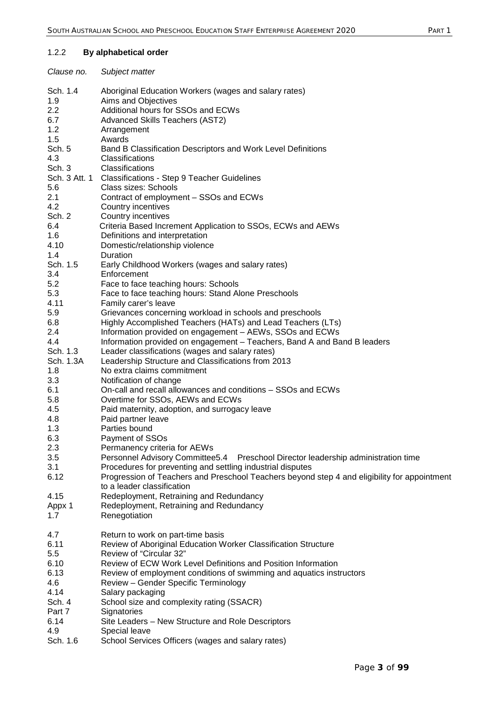## 1.2.2 **By alphabetical order**

| Clause no.       | Subject matter                                                                                                             |
|------------------|----------------------------------------------------------------------------------------------------------------------------|
| Sch. 1.4<br>1.9  | Aboriginal Education Workers (wages and salary rates)<br>Aims and Objectives                                               |
| 2.2<br>6.7       | Additional hours for SSOs and ECWs<br>Advanced Skills Teachers (AST2)                                                      |
| 1.2<br>1.5       | Arrangement<br>Awards                                                                                                      |
| Sch. 5           | Band B Classification Descriptors and Work Level Definitions                                                               |
| 4.3<br>Sch. 3    | Classifications<br>Classifications                                                                                         |
|                  | Sch. 3 Att. 1 Classifications - Step 9 Teacher Guidelines                                                                  |
| 5.6              | Class sizes: Schools                                                                                                       |
| 2.1<br>4.2       | Contract of employment - SSOs and ECWs                                                                                     |
| Sch. 2           | Country incentives<br>Country incentives                                                                                   |
| 6.4              | Criteria Based Increment Application to SSOs, ECWs and AEWs                                                                |
| 1.6              | Definitions and interpretation                                                                                             |
| 4.10<br>1.4      | Domestic/relationship violence<br>Duration                                                                                 |
| Sch. 1.5         | Early Childhood Workers (wages and salary rates)                                                                           |
| 3.4              | Enforcement                                                                                                                |
| 5.2<br>5.3       | Face to face teaching hours: Schools<br>Face to face teaching hours: Stand Alone Preschools                                |
| 4.11             | Family carer's leave                                                                                                       |
| 5.9              | Grievances concerning workload in schools and preschools                                                                   |
| 6.8<br>2.4       | Highly Accomplished Teachers (HATs) and Lead Teachers (LTs)<br>Information provided on engagement - AEWs, SSOs and ECWs    |
| 4.4              | Information provided on engagement - Teachers, Band A and Band B leaders                                                   |
| Sch. 1.3         | Leader classifications (wages and salary rates)                                                                            |
| Sch. 1.3A<br>1.8 | Leadership Structure and Classifications from 2013<br>No extra claims commitment                                           |
| 3.3              | Notification of change                                                                                                     |
| 6.1              | On-call and recall allowances and conditions - SSOs and ECWs                                                               |
| 5.8<br>4.5       | Overtime for SSOs, AEWs and ECWs<br>Paid maternity, adoption, and surrogacy leave                                          |
| 4.8              | Paid partner leave                                                                                                         |
| 1.3              | Parties bound                                                                                                              |
| 6.3<br>2.3       | Payment of SSOs<br>Permanency criteria for AEWs                                                                            |
| 3.5              | Personnel Advisory Committee5.4  Preschool Director leadership administration time                                         |
| 3.1              | Procedures for preventing and settling industrial disputes                                                                 |
| 6.12             | Progression of Teachers and Preschool Teachers beyond step 4 and eligibility for appointment<br>to a leader classification |
| 4.15             | Redeployment, Retraining and Redundancy                                                                                    |
| Appx 1           | Redeployment, Retraining and Redundancy                                                                                    |
| 1.7              | Renegotiation                                                                                                              |
| 4.7              | Return to work on part-time basis                                                                                          |
| 6.11             | Review of Aboriginal Education Worker Classification Structure                                                             |
| 5.5<br>6.10      | Review of "Circular 32"<br>Review of ECW Work Level Definitions and Position Information                                   |
| 6.13             | Review of employment conditions of swimming and aquatics instructors                                                       |
| 4.6              | Review - Gender Specific Terminology                                                                                       |
| 4.14<br>Sch. 4   | Salary packaging<br>School size and complexity rating (SSACR)                                                              |
| Part 7           | Signatories                                                                                                                |
| 6.14             | Site Leaders - New Structure and Role Descriptors                                                                          |
| 4.9<br>Sch. 1.6  | Special leave<br>School Services Officers (wages and salary rates)                                                         |
|                  |                                                                                                                            |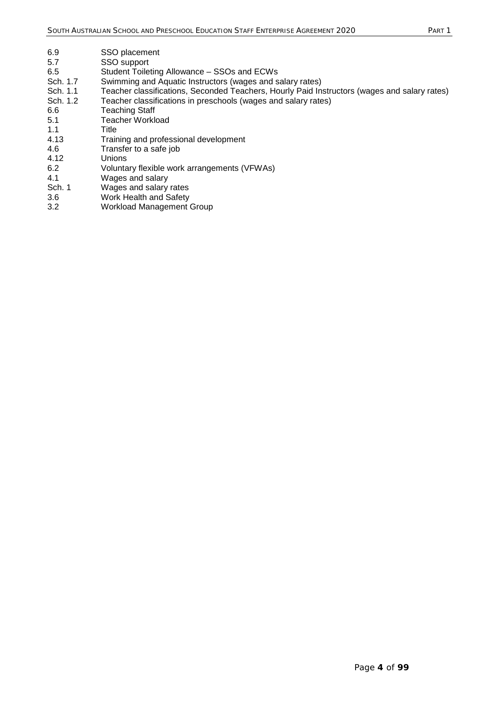| SSO placement                                                                                |
|----------------------------------------------------------------------------------------------|
| SSO support                                                                                  |
| Student Toileting Allowance – SSOs and ECWs                                                  |
| Swimming and Aquatic Instructors (wages and salary rates)                                    |
| Teacher classifications, Seconded Teachers, Hourly Paid Instructors (wages and salary rates) |
| Teacher classifications in preschools (wages and salary rates)                               |
| <b>Teaching Staff</b>                                                                        |
| Teacher Workload                                                                             |
| Title                                                                                        |
| Training and professional development                                                        |
| Transfer to a safe job                                                                       |
| Unions                                                                                       |
| Voluntary flexible work arrangements (VFWAs)                                                 |
| Wages and salary                                                                             |
| Wages and salary rates                                                                       |
| Work Health and Safety                                                                       |
| <b>Workload Management Group</b>                                                             |
|                                                                                              |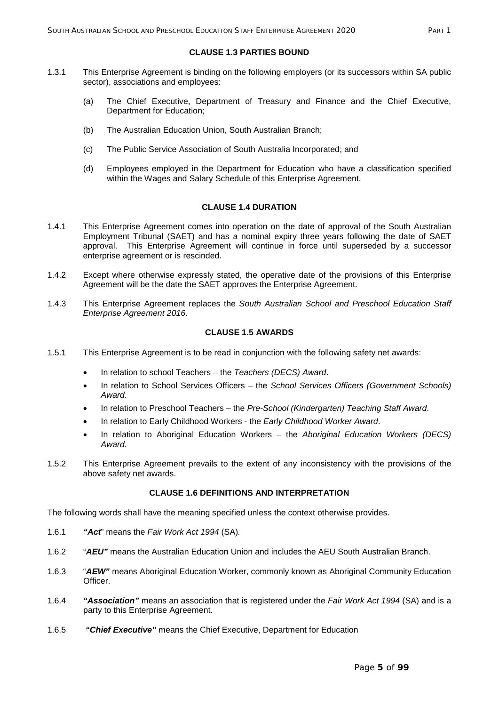#### **CLAUSE 1.3 PARTIES BOUND**

- 1.3.1 This Enterprise Agreement is binding on the following employers (or its successors within SA public sector), associations and employees:
	- (a) The Chief Executive, Department of Treasury and Finance and the Chief Executive, Department for Education;
	- (b) The Australian Education Union, South Australian Branch;
	- (c) The Public Service Association of South Australia Incorporated; and
	- (d) Employees employed in the Department for Education who have a classification specified within the Wages and Salary Schedule of this Enterprise Agreement.

## **CLAUSE 1.4 DURATION**

- 1.4.1 This Enterprise Agreement comes into operation on the date of approval of the South Australian Employment Tribunal (SAET) and has a nominal expiry three years following the date of SAET approval. This Enterprise Agreement will continue in force until superseded by a successor enterprise agreement or is rescinded.
- 1.4.2 Except where otherwise expressly stated, the operative date of the provisions of this Enterprise Agreement will be the date the SAET approves the Enterprise Agreement.
- 1.4.3 This Enterprise Agreement replaces the *South Australian School and Preschool Education Staff Enterprise Agreement 2016*.

#### **CLAUSE 1.5 AWARDS**

- 1.5.1 This Enterprise Agreement is to be read in conjunction with the following safety net awards:
	- In relation to school Teachers the *Teachers (DECS) Award*.
	- In relation to School Services Officers the *School Services Officers (Government Schools) Award*.
	- In relation to Preschool Teachers the *Pre-School (Kindergarten) Teaching Staff Award*.
	- In relation to Early Childhood Workers the *Early Childhood Worker Award*.
	- In relation to Aboriginal Education Workers the *Aboriginal Education Workers (DECS) Award*.
- 1.5.2 This Enterprise Agreement prevails to the extent of any inconsistency with the provisions of the above safety net awards.

## **CLAUSE 1.6 DEFINITIONS AND INTERPRETATION**

The following words shall have the meaning specified unless the context otherwise provides.

- 1.6.1 *"Act*" means the *Fair Work Act 1994* (SA)*.*
- 1.6.2 "*AEU"* means the Australian Education Union and includes the AEU South Australian Branch.
- 1.6.3 "*AEW"* means Aboriginal Education Worker, commonly known as Aboriginal Community Education Officer.
- 1.6.4 *"Association"* means an association that is registered under the *Fair Work Act 1994* (SA) and is a party to this Enterprise Agreement.
- 1.6.5 *"Chief Executive"* means the Chief Executive, Department for Education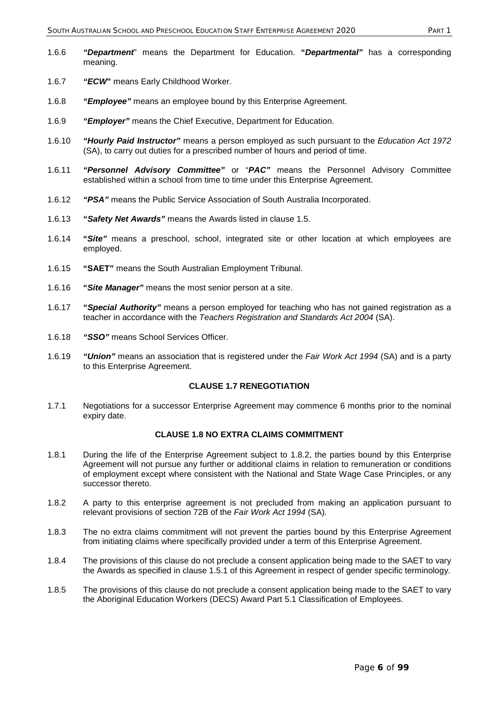- 1.6.6 *"Department*" means the Department for Education. **"***Departmental"* has a corresponding meaning.
- 1.6.7 *"ECW***"** means Early Childhood Worker.
- 1.6.8 *"Employee"* means an employee bound by this Enterprise Agreement.
- 1.6.9 *"Employer"* means the Chief Executive, Department for Education.
- 1.6.10 *"Hourly Paid Instructor"* means a person employed as such pursuant to the *Education Act 1972* (SA), to carry out duties for a prescribed number of hours and period of time.
- 1.6.11 *"Personnel Advisory Committee"* or "*PAC"* means the Personnel Advisory Committee established within a school from time to time under this Enterprise Agreement.
- 1.6.12 *"PSA"* means the Public Service Association of South Australia Incorporated.
- 1.6.13 **"***Safety Net Awards"* means the Awards listed in clause 1.5.
- 1.6.14 **"***Site"* means a preschool, school, integrated site or other location at which employees are employed.
- 1.6.15 **"SAET"** means the South Australian Employment Tribunal.
- 1.6.16 **"***Site Manager"* means the most senior person at a site.
- 1.6.17 **"***Special Authority"* means a person employed for teaching who has not gained registration as a teacher in accordance with the *Teachers Registration and Standards Act 2004* (SA).
- 1.6.18 *"SSO"* means School Services Officer.
- 1.6.19 *"Union"* means an association that is registered under the *Fair Work Act 1994* (SA) and is a party to this Enterprise Agreement.

#### **CLAUSE 1.7 RENEGOTIATION**

1.7.1 Negotiations for a successor Enterprise Agreement may commence 6 months prior to the nominal expiry date.

## **CLAUSE 1.8 NO EXTRA CLAIMS COMMITMENT**

- 1.8.1 During the life of the Enterprise Agreement subject to 1.8.2, the parties bound by this Enterprise Agreement will not pursue any further or additional claims in relation to remuneration or conditions of employment except where consistent with the National and State Wage Case Principles, or any successor thereto.
- 1.8.2 A party to this enterprise agreement is not precluded from making an application pursuant to relevant provisions of section 72B of the *Fair Work Act 1994* (SA)*.*
- 1.8.3 The no extra claims commitment will not prevent the parties bound by this Enterprise Agreement from initiating claims where specifically provided under a term of this Enterprise Agreement.
- 1.8.4 The provisions of this clause do not preclude a consent application being made to the SAET to vary the Awards as specified in clause 1.5.1 of this Agreement in respect of gender specific terminology.
- 1.8.5 The provisions of this clause do not preclude a consent application being made to the SAET to vary the Aboriginal Education Workers (DECS) Award Part 5.1 Classification of Employees.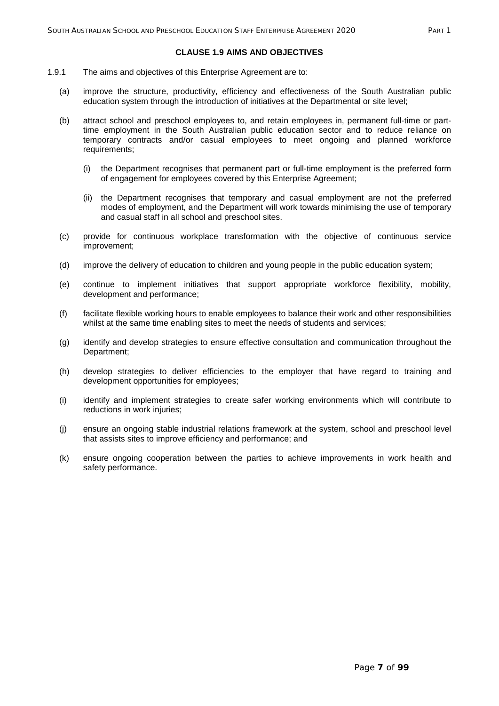#### **CLAUSE 1.9 AIMS AND OBJECTIVES**

- 1.9.1 The aims and objectives of this Enterprise Agreement are to:
	- (a) improve the structure, productivity, efficiency and effectiveness of the South Australian public education system through the introduction of initiatives at the Departmental or site level;
	- (b) attract school and preschool employees to, and retain employees in, permanent full-time or parttime employment in the South Australian public education sector and to reduce reliance on temporary contracts and/or casual employees to meet ongoing and planned workforce requirements;
		- (i) the Department recognises that permanent part or full-time employment is the preferred form of engagement for employees covered by this Enterprise Agreement;
		- (ii) the Department recognises that temporary and casual employment are not the preferred modes of employment, and the Department will work towards minimising the use of temporary and casual staff in all school and preschool sites.
	- (c) provide for continuous workplace transformation with the objective of continuous service improvement;
	- (d) improve the delivery of education to children and young people in the public education system;
	- (e) continue to implement initiatives that support appropriate workforce flexibility, mobility, development and performance;
	- (f) facilitate flexible working hours to enable employees to balance their work and other responsibilities whilst at the same time enabling sites to meet the needs of students and services;
	- (g) identify and develop strategies to ensure effective consultation and communication throughout the Department;
	- (h) develop strategies to deliver efficiencies to the employer that have regard to training and development opportunities for employees;
	- (i) identify and implement strategies to create safer working environments which will contribute to reductions in work injuries;
	- (j) ensure an ongoing stable industrial relations framework at the system, school and preschool level that assists sites to improve efficiency and performance; and
	- (k) ensure ongoing cooperation between the parties to achieve improvements in work health and safety performance.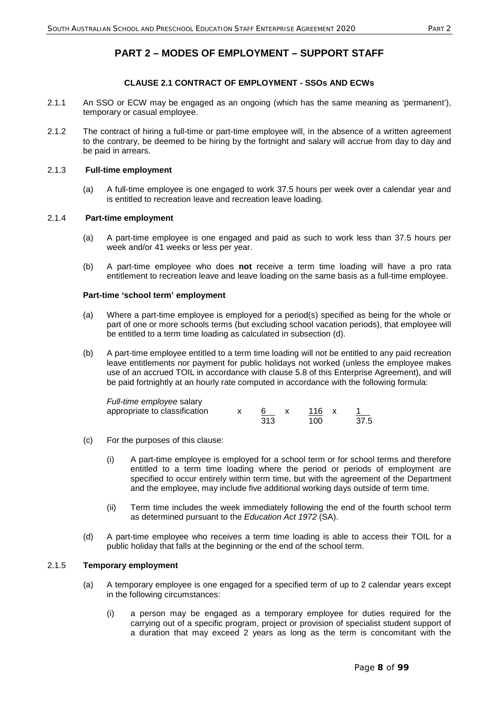## **PART 2 – MODES OF EMPLOYMENT – SUPPORT STAFF**

## **CLAUSE 2.1 CONTRACT OF EMPLOYMENT - SSOs AND ECWs**

- 2.1.1 An SSO or ECW may be engaged as an ongoing (which has the same meaning as 'permanent'), temporary or casual employee.
- 2.1.2 The contract of hiring a full-time or part-time employee will, in the absence of a written agreement to the contrary, be deemed to be hiring by the fortnight and salary will accrue from day to day and be paid in arrears.

### 2.1.3 **Full-time employment**

(a) A full-time employee is one engaged to work 37.5 hours per week over a calendar year and is entitled to recreation leave and recreation leave loading.

### 2.1.4 **Part-time employment**

- (a) A part-time employee is one engaged and paid as such to work less than 37.5 hours per week and/or 41 weeks or less per year.
- (b) A part-time employee who does **not** receive a term time loading will have a pro rata entitlement to recreation leave and leave loading on the same basis as a full-time employee.

#### **Part-time 'school term' employment**

- (a) Where a part-time employee is employed for a period(s) specified as being for the whole or part of one or more schools terms (but excluding school vacation periods), that employee will be entitled to a term time loading as calculated in subsection (d).
- (b) A part-time employee entitled to a term time loading will not be entitled to any paid recreation leave entitlements nor payment for public holidays not worked (unless the employee makes use of an accrued TOIL in accordance with clause 5.8 of this Enterprise Agreement), and will be paid fortnightly at an hourly rate computed in accordance with the following formula:

| Full-time employee salary     |     |       |      |
|-------------------------------|-----|-------|------|
| appropriate to classification |     | 116 x |      |
|                               | 313 | 100.  | 37.5 |

- (c) For the purposes of this clause:
	- (i) A part-time employee is employed for a school term or for school terms and therefore entitled to a term time loading where the period or periods of employment are specified to occur entirely within term time, but with the agreement of the Department and the employee, may include five additional working days outside of term time.
	- (ii) Term time includes the week immediately following the end of the fourth school term as determined pursuant to the *Education Act 1972* (SA).
- (d) A part-time employee who receives a term time loading is able to access their TOIL for a public holiday that falls at the beginning or the end of the school term.

#### 2.1.5 **Temporary employment**

- (a) A temporary employee is one engaged for a specified term of up to 2 calendar years except in the following circumstances:
	- (i) a person may be engaged as a temporary employee for duties required for the carrying out of a specific program, project or provision of specialist student support of a duration that may exceed 2 years as long as the term is concomitant with the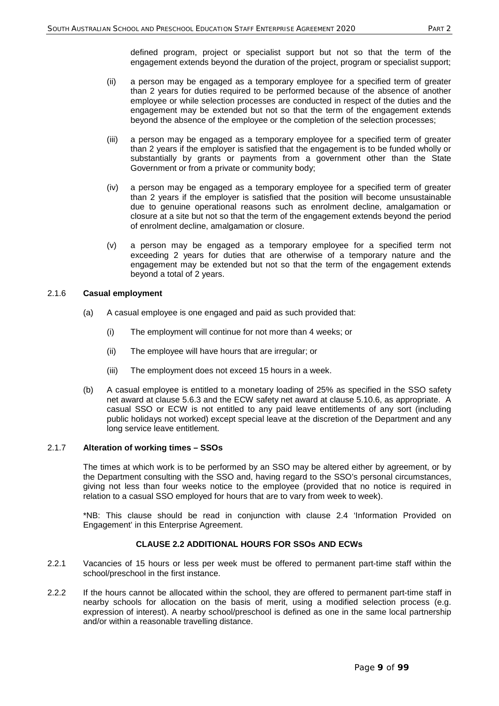defined program, project or specialist support but not so that the term of the engagement extends beyond the duration of the project, program or specialist support;

- (ii) a person may be engaged as a temporary employee for a specified term of greater than 2 years for duties required to be performed because of the absence of another employee or while selection processes are conducted in respect of the duties and the engagement may be extended but not so that the term of the engagement extends beyond the absence of the employee or the completion of the selection processes;
- (iii) a person may be engaged as a temporary employee for a specified term of greater than 2 years if the employer is satisfied that the engagement is to be funded wholly or substantially by grants or payments from a government other than the State Government or from a private or community body;
- (iv) a person may be engaged as a temporary employee for a specified term of greater than 2 years if the employer is satisfied that the position will become unsustainable due to genuine operational reasons such as enrolment decline, amalgamation or closure at a site but not so that the term of the engagement extends beyond the period of enrolment decline, amalgamation or closure.
- (v) a person may be engaged as a temporary employee for a specified term not exceeding 2 years for duties that are otherwise of a temporary nature and the engagement may be extended but not so that the term of the engagement extends beyond a total of 2 years.

#### 2.1.6 **Casual employment**

- (a) A casual employee is one engaged and paid as such provided that:
	- (i) The employment will continue for not more than 4 weeks; or
	- (ii) The employee will have hours that are irregular; or
	- (iii) The employment does not exceed 15 hours in a week.
- (b) A casual employee is entitled to a monetary loading of 25% as specified in the SSO safety net award at clause 5.6.3 and the ECW safety net award at clause 5.10.6, as appropriate. A casual SSO or ECW is not entitled to any paid leave entitlements of any sort (including public holidays not worked) except special leave at the discretion of the Department and any long service leave entitlement.

### 2.1.7 **Alteration of working times – SSOs**

The times at which work is to be performed by an SSO may be altered either by agreement, or by the Department consulting with the SSO and, having regard to the SSO's personal circumstances, giving not less than four weeks notice to the employee (provided that no notice is required in relation to a casual SSO employed for hours that are to vary from week to week).

\*NB: This clause should be read in conjunction with clause 2.4 'Information Provided on Engagement' in this Enterprise Agreement.

## **CLAUSE 2.2 ADDITIONAL HOURS FOR SSOs AND ECWs**

- 2.2.1 Vacancies of 15 hours or less per week must be offered to permanent part-time staff within the school/preschool in the first instance.
- 2.2.2 If the hours cannot be allocated within the school, they are offered to permanent part-time staff in nearby schools for allocation on the basis of merit, using a modified selection process (e.g. expression of interest). A nearby school/preschool is defined as one in the same local partnership and/or within a reasonable travelling distance.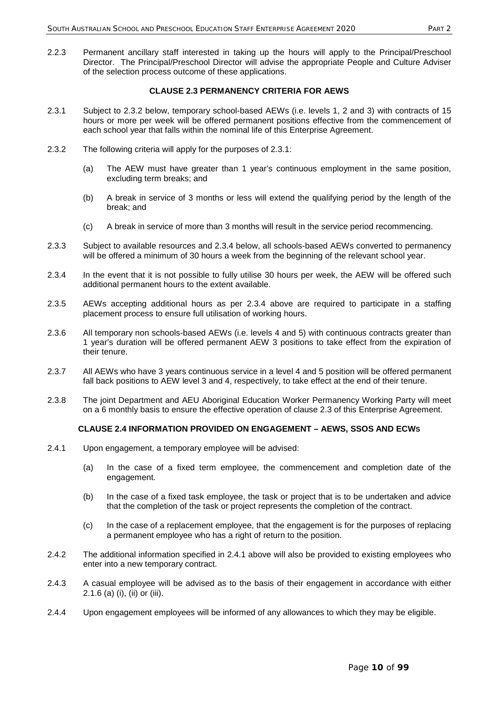2.2.3 Permanent ancillary staff interested in taking up the hours will apply to the Principal/Preschool Director. The Principal/Preschool Director will advise the appropriate People and Culture Adviser of the selection process outcome of these applications.

## **CLAUSE 2.3 PERMANENCY CRITERIA FOR AEWS**

- 2.3.1 Subject to 2.3.2 below, temporary school-based AEWs (i.e. levels 1, 2 and 3) with contracts of 15 hours or more per week will be offered permanent positions effective from the commencement of each school year that falls within the nominal life of this Enterprise Agreement.
- 2.3.2 The following criteria will apply for the purposes of 2.3.1:
	- (a) The AEW must have greater than 1 year's continuous employment in the same position, excluding term breaks; and
	- (b) A break in service of 3 months or less will extend the qualifying period by the length of the break; and
	- (c) A break in service of more than 3 months will result in the service period recommencing.
- 2.3.3 Subject to available resources and 2.3.4 below, all schools-based AEWs converted to permanency will be offered a minimum of 30 hours a week from the beginning of the relevant school year.
- 2.3.4 In the event that it is not possible to fully utilise 30 hours per week, the AEW will be offered such additional permanent hours to the extent available.
- 2.3.5 AEWs accepting additional hours as per 2.3.4 above are required to participate in a staffing placement process to ensure full utilisation of working hours.
- 2.3.6 All temporary non schools-based AEWs (i.e. levels 4 and 5) with continuous contracts greater than 1 year's duration will be offered permanent AEW 3 positions to take effect from the expiration of their tenure.
- 2.3.7 All AEWs who have 3 years continuous service in a level 4 and 5 position will be offered permanent fall back positions to AEW level 3 and 4, respectively, to take effect at the end of their tenure.
- 2.3.8 The joint Department and AEU Aboriginal Education Worker Permanency Working Party will meet on a 6 monthly basis to ensure the effective operation of clause 2.3 of this Enterprise Agreement.

## **CLAUSE 2.4 INFORMATION PROVIDED ON ENGAGEMENT – AEWS, SSOS AND ECWS**

- 2.4.1 Upon engagement, a temporary employee will be advised:
	- (a) In the case of a fixed term employee, the commencement and completion date of the engagement.
	- (b) In the case of a fixed task employee, the task or project that is to be undertaken and advice that the completion of the task or project represents the completion of the contract.
	- (c) In the case of a replacement employee, that the engagement is for the purposes of replacing a permanent employee who has a right of return to the position.
- 2.4.2 The additional information specified in 2.4.1 above will also be provided to existing employees who enter into a new temporary contract.
- 2.4.3 A casual employee will be advised as to the basis of their engagement in accordance with either 2.1.6 (a) (i), (ii) or (iii).
- 2.4.4 Upon engagement employees will be informed of any allowances to which they may be eligible.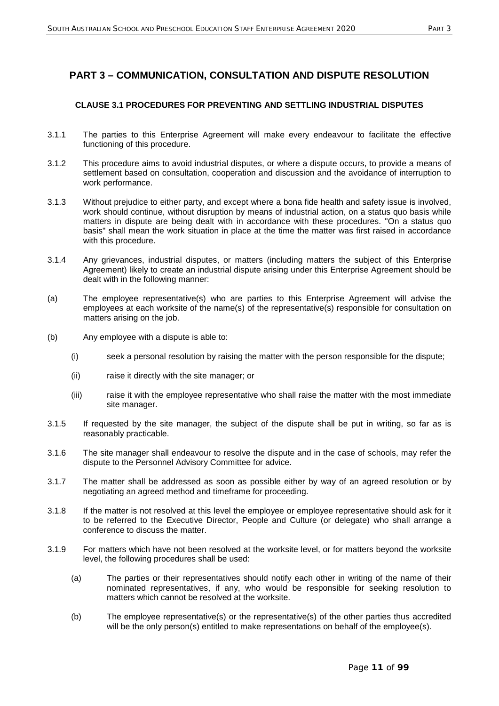## **PART 3 – COMMUNICATION, CONSULTATION AND DISPUTE RESOLUTION**

## **CLAUSE 3.1 PROCEDURES FOR PREVENTING AND SETTLING INDUSTRIAL DISPUTES**

- 3.1.1 The parties to this Enterprise Agreement will make every endeavour to facilitate the effective functioning of this procedure.
- 3.1.2 This procedure aims to avoid industrial disputes, or where a dispute occurs, to provide a means of settlement based on consultation, cooperation and discussion and the avoidance of interruption to work performance.
- 3.1.3 Without prejudice to either party, and except where a bona fide health and safety issue is involved, work should continue, without disruption by means of industrial action, on a status quo basis while matters in dispute are being dealt with in accordance with these procedures. "On a status quo basis" shall mean the work situation in place at the time the matter was first raised in accordance with this procedure.
- 3.1.4 Any grievances, industrial disputes, or matters (including matters the subject of this Enterprise Agreement) likely to create an industrial dispute arising under this Enterprise Agreement should be dealt with in the following manner:
- (a) The employee representative(s) who are parties to this Enterprise Agreement will advise the employees at each worksite of the name(s) of the representative(s) responsible for consultation on matters arising on the job.
- (b) Any employee with a dispute is able to:
	- (i) seek a personal resolution by raising the matter with the person responsible for the dispute;
	- (ii) raise it directly with the site manager; or
	- (iii) raise it with the employee representative who shall raise the matter with the most immediate site manager.
- 3.1.5 If requested by the site manager, the subject of the dispute shall be put in writing, so far as is reasonably practicable.
- 3.1.6 The site manager shall endeavour to resolve the dispute and in the case of schools, may refer the dispute to the Personnel Advisory Committee for advice.
- 3.1.7 The matter shall be addressed as soon as possible either by way of an agreed resolution or by negotiating an agreed method and timeframe for proceeding.
- 3.1.8 If the matter is not resolved at this level the employee or employee representative should ask for it to be referred to the Executive Director, People and Culture (or delegate) who shall arrange a conference to discuss the matter.
- 3.1.9 For matters which have not been resolved at the worksite level, or for matters beyond the worksite level, the following procedures shall be used:
	- (a) The parties or their representatives should notify each other in writing of the name of their nominated representatives, if any, who would be responsible for seeking resolution to matters which cannot be resolved at the worksite.
	- (b) The employee representative(s) or the representative(s) of the other parties thus accredited will be the only person(s) entitled to make representations on behalf of the employee(s).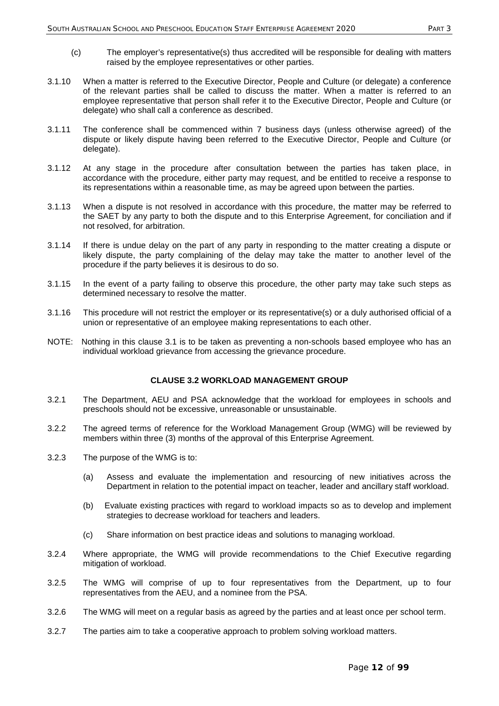- (c) The employer's representative(s) thus accredited will be responsible for dealing with matters raised by the employee representatives or other parties.
- 3.1.10 When a matter is referred to the Executive Director, People and Culture (or delegate) a conference of the relevant parties shall be called to discuss the matter. When a matter is referred to an employee representative that person shall refer it to the Executive Director, People and Culture (or delegate) who shall call a conference as described.
- 3.1.11 The conference shall be commenced within 7 business days (unless otherwise agreed) of the dispute or likely dispute having been referred to the Executive Director, People and Culture (or delegate).
- 3.1.12 At any stage in the procedure after consultation between the parties has taken place, in accordance with the procedure, either party may request, and be entitled to receive a response to its representations within a reasonable time, as may be agreed upon between the parties.
- 3.1.13 When a dispute is not resolved in accordance with this procedure, the matter may be referred to the SAET by any party to both the dispute and to this Enterprise Agreement, for conciliation and if not resolved, for arbitration.
- 3.1.14 If there is undue delay on the part of any party in responding to the matter creating a dispute or likely dispute, the party complaining of the delay may take the matter to another level of the procedure if the party believes it is desirous to do so.
- 3.1.15 In the event of a party failing to observe this procedure, the other party may take such steps as determined necessary to resolve the matter.
- 3.1.16 This procedure will not restrict the employer or its representative(s) or a duly authorised official of a union or representative of an employee making representations to each other.
- NOTE: Nothing in this clause 3.1 is to be taken as preventing a non-schools based employee who has an individual workload grievance from accessing the grievance procedure.

#### **CLAUSE 3.2 WORKLOAD MANAGEMENT GROUP**

- 3.2.1 The Department, AEU and PSA acknowledge that the workload for employees in schools and preschools should not be excessive, unreasonable or unsustainable.
- 3.2.2 The agreed terms of reference for the Workload Management Group (WMG) will be reviewed by members within three (3) months of the approval of this Enterprise Agreement.
- 3.2.3 The purpose of the WMG is to:
	- (a) Assess and evaluate the implementation and resourcing of new initiatives across the Department in relation to the potential impact on teacher, leader and ancillary staff workload.
	- (b) Evaluate existing practices with regard to workload impacts so as to develop and implement strategies to decrease workload for teachers and leaders.
	- (c) Share information on best practice ideas and solutions to managing workload.
- 3.2.4 Where appropriate, the WMG will provide recommendations to the Chief Executive regarding mitigation of workload.
- 3.2.5 The WMG will comprise of up to four representatives from the Department, up to four representatives from the AEU, and a nominee from the PSA.
- 3.2.6 The WMG will meet on a regular basis as agreed by the parties and at least once per school term.
- 3.2.7 The parties aim to take a cooperative approach to problem solving workload matters.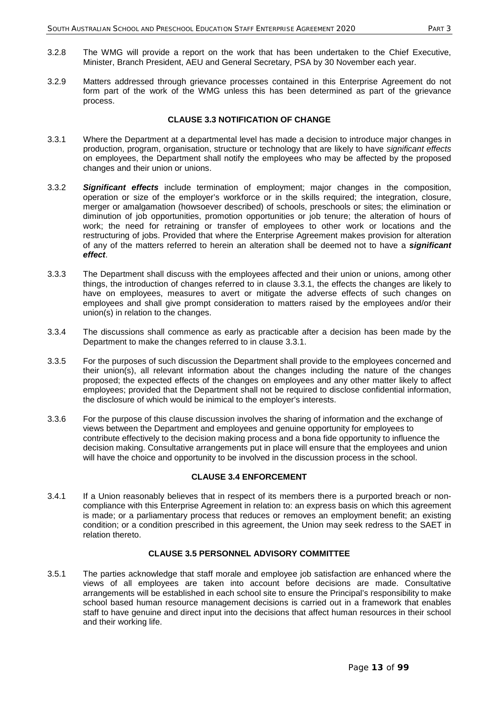- 3.2.8 The WMG will provide a report on the work that has been undertaken to the Chief Executive, Minister, Branch President, AEU and General Secretary, PSA by 30 November each year.
- 3.2.9 Matters addressed through grievance processes contained in this Enterprise Agreement do not form part of the work of the WMG unless this has been determined as part of the grievance process.

### **CLAUSE 3.3 NOTIFICATION OF CHANGE**

- 3.3.1 Where the Department at a departmental level has made a decision to introduce major changes in production, program, organisation, structure or technology that are likely to have *significant effects* on employees, the Department shall notify the employees who may be affected by the proposed changes and their union or unions.
- 3.3.2 *Significant effects* include termination of employment; major changes in the composition, operation or size of the employer's workforce or in the skills required; the integration, closure, merger or amalgamation (howsoever described) of schools, preschools or sites; the elimination or diminution of job opportunities, promotion opportunities or job tenure; the alteration of hours of work; the need for retraining or transfer of employees to other work or locations and the restructuring of jobs. Provided that where the Enterprise Agreement makes provision for alteration of any of the matters referred to herein an alteration shall be deemed not to have a *significant effect*.
- 3.3.3 The Department shall discuss with the employees affected and their union or unions, among other things, the introduction of changes referred to in clause 3.3.1, the effects the changes are likely to have on employees, measures to avert or mitigate the adverse effects of such changes on employees and shall give prompt consideration to matters raised by the employees and/or their union(s) in relation to the changes.
- 3.3.4 The discussions shall commence as early as practicable after a decision has been made by the Department to make the changes referred to in clause 3.3.1.
- 3.3.5 For the purposes of such discussion the Department shall provide to the employees concerned and their union(s), all relevant information about the changes including the nature of the changes proposed; the expected effects of the changes on employees and any other matter likely to affect employees; provided that the Department shall not be required to disclose confidential information, the disclosure of which would be inimical to the employer's interests.
- 3.3.6 For the purpose of this clause discussion involves the sharing of information and the exchange of views between the Department and employees and genuine opportunity for employees to contribute effectively to the decision making process and a bona fide opportunity to influence the decision making. Consultative arrangements put in place will ensure that the employees and union will have the choice and opportunity to be involved in the discussion process in the school.

## **CLAUSE 3.4 ENFORCEMENT**

3.4.1 If a Union reasonably believes that in respect of its members there is a purported breach or noncompliance with this Enterprise Agreement in relation to: an express basis on which this agreement is made; or a parliamentary process that reduces or removes an employment benefit; an existing condition; or a condition prescribed in this agreement, the Union may seek redress to the SAET in relation thereto.

#### **CLAUSE 3.5 PERSONNEL ADVISORY COMMITTEE**

3.5.1 The parties acknowledge that staff morale and employee job satisfaction are enhanced where the views of all employees are taken into account before decisions are made. Consultative arrangements will be established in each school site to ensure the Principal's responsibility to make school based human resource management decisions is carried out in a framework that enables staff to have genuine and direct input into the decisions that affect human resources in their school and their working life.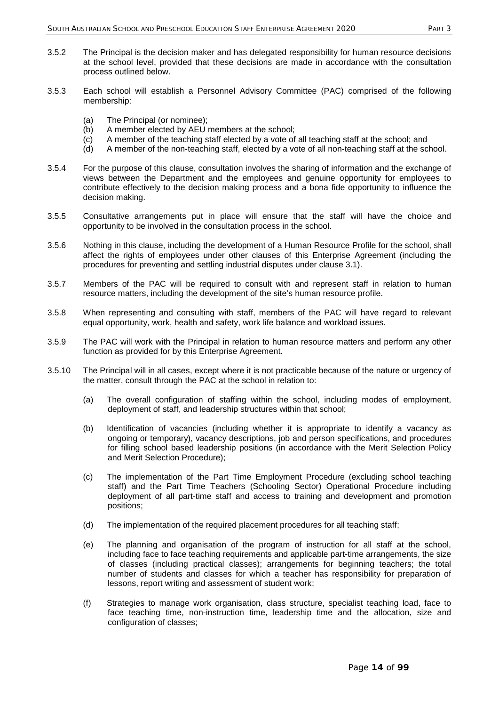- 3.5.2 The Principal is the decision maker and has delegated responsibility for human resource decisions at the school level, provided that these decisions are made in accordance with the consultation process outlined below.
- 3.5.3 Each school will establish a Personnel Advisory Committee (PAC) comprised of the following membership:
	- (a) The Principal (or nominee);
	- (b) A member elected by AEU members at the school;
	- (c) A member of the teaching staff elected by a vote of all teaching staff at the school; and
	- (d) A member of the non-teaching staff, elected by a vote of all non-teaching staff at the school.
- 3.5.4 For the purpose of this clause, consultation involves the sharing of information and the exchange of views between the Department and the employees and genuine opportunity for employees to contribute effectively to the decision making process and a bona fide opportunity to influence the decision making.
- 3.5.5 Consultative arrangements put in place will ensure that the staff will have the choice and opportunity to be involved in the consultation process in the school.
- 3.5.6 Nothing in this clause, including the development of a Human Resource Profile for the school, shall affect the rights of employees under other clauses of this Enterprise Agreement (including the procedures for preventing and settling industrial disputes under clause 3.1).
- 3.5.7 Members of the PAC will be required to consult with and represent staff in relation to human resource matters, including the development of the site's human resource profile.
- 3.5.8 When representing and consulting with staff, members of the PAC will have regard to relevant equal opportunity, work, health and safety, work life balance and workload issues.
- 3.5.9 The PAC will work with the Principal in relation to human resource matters and perform any other function as provided for by this Enterprise Agreement.
- 3.5.10 The Principal will in all cases, except where it is not practicable because of the nature or urgency of the matter, consult through the PAC at the school in relation to:
	- (a) The overall configuration of staffing within the school, including modes of employment, deployment of staff, and leadership structures within that school;
	- (b) Identification of vacancies (including whether it is appropriate to identify a vacancy as ongoing or temporary), vacancy descriptions, job and person specifications, and procedures for filling school based leadership positions (in accordance with the Merit Selection Policy and Merit Selection Procedure);
	- (c) The implementation of the Part Time Employment Procedure (excluding school teaching staff) and the Part Time Teachers (Schooling Sector) Operational Procedure including deployment of all part-time staff and access to training and development and promotion positions;
	- (d) The implementation of the required placement procedures for all teaching staff;
	- (e) The planning and organisation of the program of instruction for all staff at the school, including face to face teaching requirements and applicable part-time arrangements, the size of classes (including practical classes); arrangements for beginning teachers; the total number of students and classes for which a teacher has responsibility for preparation of lessons, report writing and assessment of student work;
	- (f) Strategies to manage work organisation, class structure, specialist teaching load, face to face teaching time, non-instruction time, leadership time and the allocation, size and configuration of classes;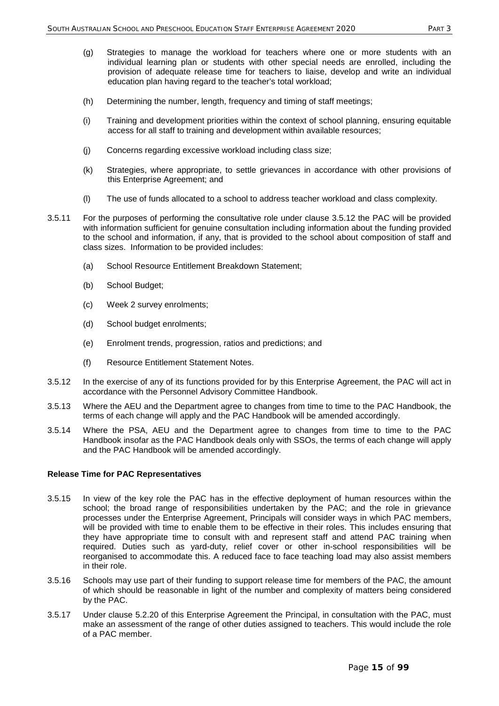- (g) Strategies to manage the workload for teachers where one or more students with an individual learning plan or students with other special needs are enrolled, including the provision of adequate release time for teachers to liaise, develop and write an individual education plan having regard to the teacher's total workload;
- (h) Determining the number, length, frequency and timing of staff meetings;
- (i) Training and development priorities within the context of school planning, ensuring equitable access for all staff to training and development within available resources;
- (j) Concerns regarding excessive workload including class size;
- (k) Strategies, where appropriate, to settle grievances in accordance with other provisions of this Enterprise Agreement; and
- (l) The use of funds allocated to a school to address teacher workload and class complexity.
- 3.5.11 For the purposes of performing the consultative role under clause 3.5.12 the PAC will be provided with information sufficient for genuine consultation including information about the funding provided to the school and information, if any, that is provided to the school about composition of staff and class sizes. Information to be provided includes:
	- (a) School Resource Entitlement Breakdown Statement;
	- (b) School Budget;
	- (c) Week 2 survey enrolments;
	- (d) School budget enrolments;
	- (e) Enrolment trends, progression, ratios and predictions; and
	- (f) Resource Entitlement Statement Notes.
- 3.5.12 In the exercise of any of its functions provided for by this Enterprise Agreement, the PAC will act in accordance with the Personnel Advisory Committee Handbook.
- 3.5.13 Where the AEU and the Department agree to changes from time to time to the PAC Handbook, the terms of each change will apply and the PAC Handbook will be amended accordingly.
- 3.5.14 Where the PSA, AEU and the Department agree to changes from time to time to the PAC Handbook insofar as the PAC Handbook deals only with SSOs, the terms of each change will apply and the PAC Handbook will be amended accordingly.

#### **Release Time for PAC Representatives**

- 3.5.15 In view of the key role the PAC has in the effective deployment of human resources within the school; the broad range of responsibilities undertaken by the PAC; and the role in grievance processes under the Enterprise Agreement, Principals will consider ways in which PAC members, will be provided with time to enable them to be effective in their roles. This includes ensuring that they have appropriate time to consult with and represent staff and attend PAC training when required. Duties such as yard-duty, relief cover or other in-school responsibilities will be reorganised to accommodate this. A reduced face to face teaching load may also assist members in their role.
- 3.5.16 Schools may use part of their funding to support release time for members of the PAC, the amount of which should be reasonable in light of the number and complexity of matters being considered by the PAC.
- 3.5.17 Under clause 5.2.20 of this Enterprise Agreement the Principal, in consultation with the PAC, must make an assessment of the range of other duties assigned to teachers. This would include the role of a PAC member.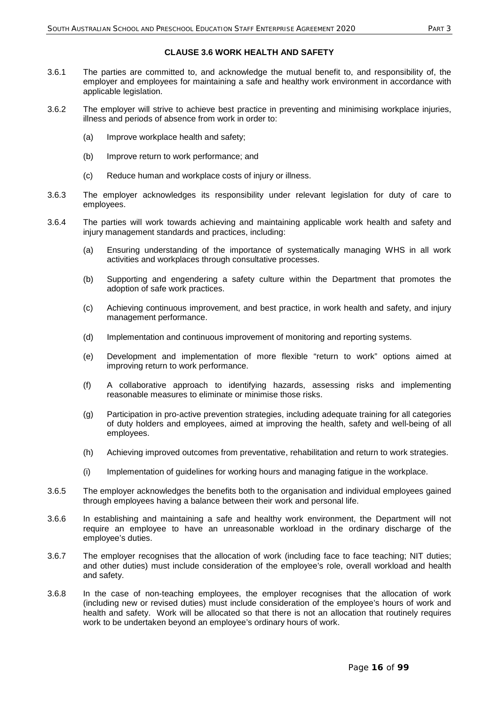## **CLAUSE 3.6 WORK HEALTH AND SAFETY**

- 3.6.1 The parties are committed to, and acknowledge the mutual benefit to, and responsibility of, the employer and employees for maintaining a safe and healthy work environment in accordance with applicable legislation.
- 3.6.2 The employer will strive to achieve best practice in preventing and minimising workplace injuries, illness and periods of absence from work in order to:
	- (a) Improve workplace health and safety;
	- (b) Improve return to work performance; and
	- (c) Reduce human and workplace costs of injury or illness.
- 3.6.3 The employer acknowledges its responsibility under relevant legislation for duty of care to employees.
- 3.6.4 The parties will work towards achieving and maintaining applicable work health and safety and injury management standards and practices, including:
	- (a) Ensuring understanding of the importance of systematically managing WHS in all work activities and workplaces through consultative processes.
	- (b) Supporting and engendering a safety culture within the Department that promotes the adoption of safe work practices.
	- (c) Achieving continuous improvement, and best practice, in work health and safety, and injury management performance.
	- (d) Implementation and continuous improvement of monitoring and reporting systems.
	- (e) Development and implementation of more flexible "return to work" options aimed at improving return to work performance.
	- (f) A collaborative approach to identifying hazards, assessing risks and implementing reasonable measures to eliminate or minimise those risks.
	- (g) Participation in pro-active prevention strategies, including adequate training for all categories of duty holders and employees, aimed at improving the health, safety and well-being of all employees.
	- (h) Achieving improved outcomes from preventative, rehabilitation and return to work strategies.
	- (i) Implementation of guidelines for working hours and managing fatigue in the workplace.
- 3.6.5 The employer acknowledges the benefits both to the organisation and individual employees gained through employees having a balance between their work and personal life.
- 3.6.6 In establishing and maintaining a safe and healthy work environment, the Department will not require an employee to have an unreasonable workload in the ordinary discharge of the employee's duties.
- 3.6.7 The employer recognises that the allocation of work (including face to face teaching; NIT duties; and other duties) must include consideration of the employee's role, overall workload and health and safety.
- 3.6.8 In the case of non-teaching employees, the employer recognises that the allocation of work (including new or revised duties) must include consideration of the employee's hours of work and health and safety. Work will be allocated so that there is not an allocation that routinely requires work to be undertaken beyond an employee's ordinary hours of work.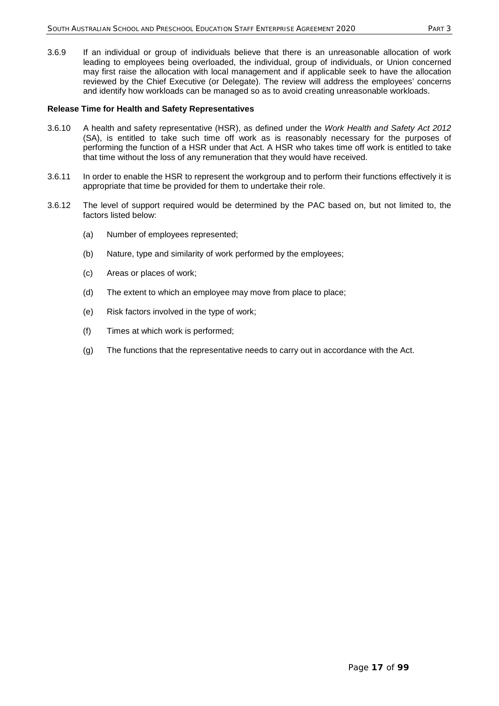3.6.9 If an individual or group of individuals believe that there is an unreasonable allocation of work leading to employees being overloaded, the individual, group of individuals, or Union concerned may first raise the allocation with local management and if applicable seek to have the allocation reviewed by the Chief Executive (or Delegate). The review will address the employees' concerns and identify how workloads can be managed so as to avoid creating unreasonable workloads.

#### **Release Time for Health and Safety Representatives**

- 3.6.10 A health and safety representative (HSR), as defined under the *Work Health and Safety Act 2012* (SA), is entitled to take such time off work as is reasonably necessary for the purposes of performing the function of a HSR under that Act. A HSR who takes time off work is entitled to take that time without the loss of any remuneration that they would have received.
- 3.6.11 In order to enable the HSR to represent the workgroup and to perform their functions effectively it is appropriate that time be provided for them to undertake their role.
- 3.6.12 The level of support required would be determined by the PAC based on, but not limited to, the factors listed below:
	- (a) Number of employees represented;
	- (b) Nature, type and similarity of work performed by the employees;
	- (c) Areas or places of work;
	- (d) The extent to which an employee may move from place to place;
	- (e) Risk factors involved in the type of work;
	- (f) Times at which work is performed;
	- (g) The functions that the representative needs to carry out in accordance with the Act.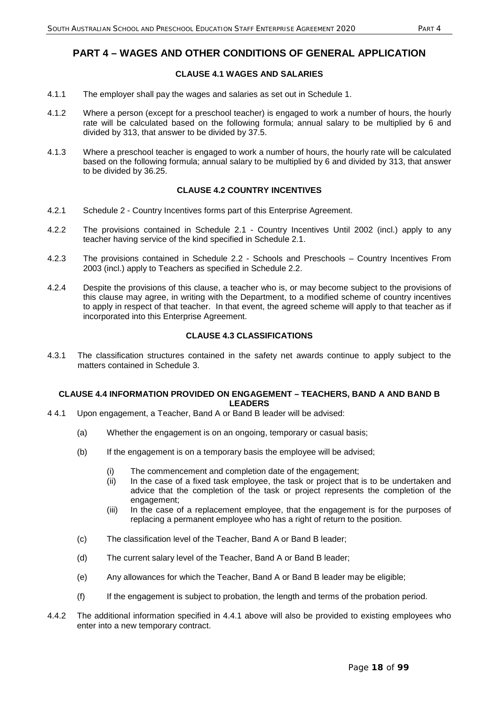## **PART 4 – WAGES AND OTHER CONDITIONS OF GENERAL APPLICATION**

## **CLAUSE 4.1 WAGES AND SALARIES**

- 4.1.1 The employer shall pay the wages and salaries as set out in Schedule 1.
- 4.1.2 Where a person (except for a preschool teacher) is engaged to work a number of hours, the hourly rate will be calculated based on the following formula; annual salary to be multiplied by 6 and divided by 313, that answer to be divided by 37.5.
- 4.1.3 Where a preschool teacher is engaged to work a number of hours, the hourly rate will be calculated based on the following formula; annual salary to be multiplied by 6 and divided by 313, that answer to be divided by 36.25.

## **CLAUSE 4.2 COUNTRY INCENTIVES**

- 4.2.1 Schedule 2 Country Incentives forms part of this Enterprise Agreement.
- 4.2.2 The provisions contained in Schedule 2.1 Country Incentives Until 2002 (incl.) apply to any teacher having service of the kind specified in Schedule 2.1.
- 4.2.3 The provisions contained in Schedule 2.2 Schools and Preschools Country Incentives From 2003 (incl.) apply to Teachers as specified in Schedule 2.2.
- 4.2.4 Despite the provisions of this clause, a teacher who is, or may become subject to the provisions of this clause may agree, in writing with the Department, to a modified scheme of country incentives to apply in respect of that teacher. In that event, the agreed scheme will apply to that teacher as if incorporated into this Enterprise Agreement.

## **CLAUSE 4.3 CLASSIFICATIONS**

4.3.1 The classification structures contained in the safety net awards continue to apply subject to the matters contained in Schedule 3.

## **CLAUSE 4.4 INFORMATION PROVIDED ON ENGAGEMENT – TEACHERS, BAND A AND BAND B LEADERS**

- 4 4.1 Upon engagement, a Teacher, Band A or Band B leader will be advised:
	- (a) Whether the engagement is on an ongoing, temporary or casual basis;
	- (b) If the engagement is on a temporary basis the employee will be advised;
		- (i) The commencement and completion date of the engagement;
		- (ii) In the case of a fixed task employee, the task or project that is to be undertaken and advice that the completion of the task or project represents the completion of the engagement;
		- (iii) In the case of a replacement employee, that the engagement is for the purposes of replacing a permanent employee who has a right of return to the position.
	- (c) The classification level of the Teacher, Band A or Band B leader;
	- (d) The current salary level of the Teacher, Band A or Band B leader;
	- (e) Any allowances for which the Teacher, Band A or Band B leader may be eligible;
	- (f) If the engagement is subject to probation, the length and terms of the probation period.
- 4.4.2 The additional information specified in 4.4.1 above will also be provided to existing employees who enter into a new temporary contract.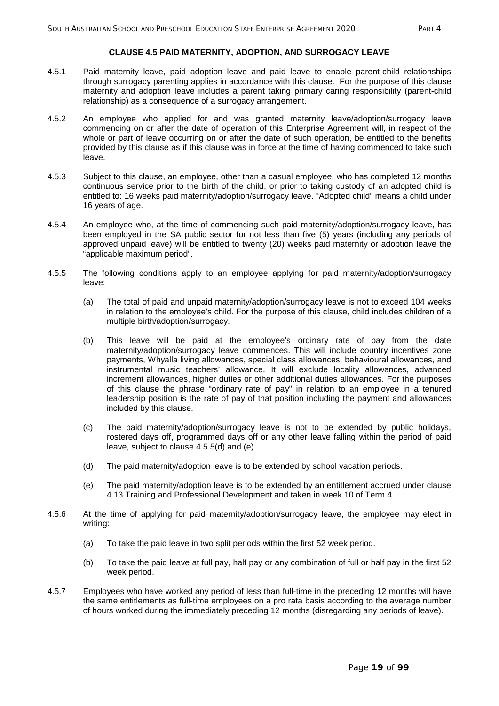#### **CLAUSE 4.5 PAID MATERNITY, ADOPTION, AND SURROGACY LEAVE**

- 4.5.1 Paid maternity leave, paid adoption leave and paid leave to enable parent-child relationships through surrogacy parenting applies in accordance with this clause. For the purpose of this clause maternity and adoption leave includes a parent taking primary caring responsibility (parent-child relationship) as a consequence of a surrogacy arrangement.
- 4.5.2 An employee who applied for and was granted maternity leave/adoption/surrogacy leave commencing on or after the date of operation of this Enterprise Agreement will, in respect of the whole or part of leave occurring on or after the date of such operation, be entitled to the benefits provided by this clause as if this clause was in force at the time of having commenced to take such leave.
- 4.5.3 Subject to this clause, an employee, other than a casual employee, who has completed 12 months continuous service prior to the birth of the child, or prior to taking custody of an adopted child is entitled to: 16 weeks paid maternity/adoption/surrogacy leave. "Adopted child" means a child under 16 years of age.
- 4.5.4 An employee who, at the time of commencing such paid maternity/adoption/surrogacy leave, has been employed in the SA public sector for not less than five (5) years (including any periods of approved unpaid leave) will be entitled to twenty (20) weeks paid maternity or adoption leave the "applicable maximum period".
- 4.5.5 The following conditions apply to an employee applying for paid maternity/adoption/surrogacy leave:
	- (a) The total of paid and unpaid maternity/adoption/surrogacy leave is not to exceed 104 weeks in relation to the employee's child. For the purpose of this clause, child includes children of a multiple birth/adoption/surrogacy.
	- (b) This leave will be paid at the employee's ordinary rate of pay from the date maternity/adoption/surrogacy leave commences. This will include country incentives zone payments, Whyalla living allowances, special class allowances, behavioural allowances, and instrumental music teachers' allowance. It will exclude locality allowances, advanced increment allowances, higher duties or other additional duties allowances. For the purposes of this clause the phrase "ordinary rate of pay" in relation to an employee in a tenured leadership position is the rate of pay of that position including the payment and allowances included by this clause.
	- (c) The paid maternity/adoption/surrogacy leave is not to be extended by public holidays, rostered days off, programmed days off or any other leave falling within the period of paid leave, subject to clause 4.5.5(d) and (e).
	- (d) The paid maternity/adoption leave is to be extended by school vacation periods.
	- (e) The paid maternity/adoption leave is to be extended by an entitlement accrued under clause 4.13 Training and Professional Development and taken in week 10 of Term 4.
- 4.5.6 At the time of applying for paid maternity/adoption/surrogacy leave, the employee may elect in writing:
	- (a) To take the paid leave in two split periods within the first 52 week period.
	- (b) To take the paid leave at full pay, half pay or any combination of full or half pay in the first 52 week period.
- 4.5.7 Employees who have worked any period of less than full-time in the preceding 12 months will have the same entitlements as full-time employees on a pro rata basis according to the average number of hours worked during the immediately preceding 12 months (disregarding any periods of leave).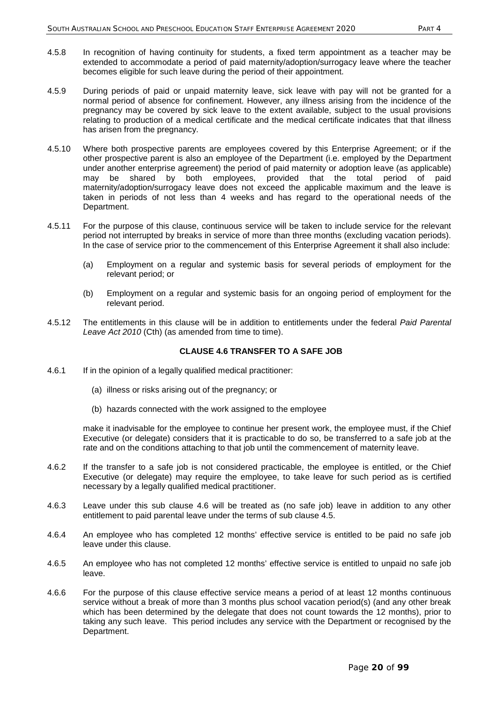- 4.5.8 In recognition of having continuity for students, a fixed term appointment as a teacher may be extended to accommodate a period of paid maternity/adoption/surrogacy leave where the teacher becomes eligible for such leave during the period of their appointment.
- 4.5.9 During periods of paid or unpaid maternity leave, sick leave with pay will not be granted for a normal period of absence for confinement. However, any illness arising from the incidence of the pregnancy may be covered by sick leave to the extent available, subject to the usual provisions relating to production of a medical certificate and the medical certificate indicates that that illness has arisen from the pregnancy.
- 4.5.10 Where both prospective parents are employees covered by this Enterprise Agreement; or if the other prospective parent is also an employee of the Department (i.e. employed by the Department under another enterprise agreement) the period of paid maternity or adoption leave (as applicable) may be shared by both employees, provided that the total period of paid maternity/adoption/surrogacy leave does not exceed the applicable maximum and the leave is taken in periods of not less than 4 weeks and has regard to the operational needs of the Department.
- 4.5.11 For the purpose of this clause, continuous service will be taken to include service for the relevant period not interrupted by breaks in service of more than three months (excluding vacation periods). In the case of service prior to the commencement of this Enterprise Agreement it shall also include:
	- (a) Employment on a regular and systemic basis for several periods of employment for the relevant period; or
	- (b) Employment on a regular and systemic basis for an ongoing period of employment for the relevant period.
- 4.5.12 The entitlements in this clause will be in addition to entitlements under the federal *Paid Parental Leave Act 2010* (Cth) (as amended from time to time).

### **CLAUSE 4.6 TRANSFER TO A SAFE JOB**

- 4.6.1 If in the opinion of a legally qualified medical practitioner:
	- (a) illness or risks arising out of the pregnancy; or
	- (b) hazards connected with the work assigned to the employee

make it inadvisable for the employee to continue her present work, the employee must, if the Chief Executive (or delegate) considers that it is practicable to do so, be transferred to a safe job at the rate and on the conditions attaching to that job until the commencement of maternity leave.

- 4.6.2 If the transfer to a safe job is not considered practicable, the employee is entitled, or the Chief Executive (or delegate) may require the employee, to take leave for such period as is certified necessary by a legally qualified medical practitioner.
- 4.6.3 Leave under this sub clause 4.6 will be treated as (no safe job) leave in addition to any other entitlement to paid parental leave under the terms of sub clause 4.5.
- 4.6.4 An employee who has completed 12 months' effective service is entitled to be paid no safe job leave under this clause.
- 4.6.5 An employee who has not completed 12 months' effective service is entitled to unpaid no safe job leave.
- 4.6.6 For the purpose of this clause effective service means a period of at least 12 months continuous service without a break of more than 3 months plus school vacation period(s) (and any other break which has been determined by the delegate that does not count towards the 12 months), prior to taking any such leave. This period includes any service with the Department or recognised by the Department.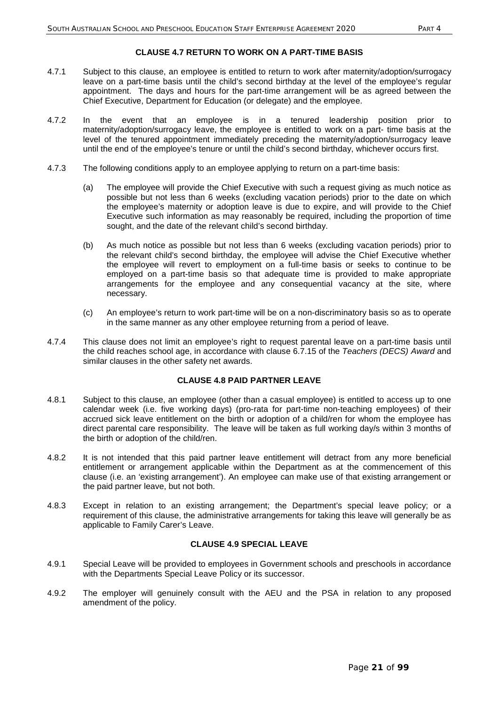## **CLAUSE 4.7 RETURN TO WORK ON A PART-TIME BASIS**

- 4.7.1 Subject to this clause, an employee is entitled to return to work after maternity/adoption/surrogacy leave on a part-time basis until the child's second birthday at the level of the employee's regular appointment. The days and hours for the part-time arrangement will be as agreed between the Chief Executive, Department for Education (or delegate) and the employee.
- 4.7.2 In the event that an employee is in a tenured leadership position prior to maternity/adoption/surrogacy leave, the employee is entitled to work on a part- time basis at the level of the tenured appointment immediately preceding the maternity/adoption/surrogacy leave until the end of the employee's tenure or until the child's second birthday, whichever occurs first.
- 4.7.3 The following conditions apply to an employee applying to return on a part-time basis:
	- (a) The employee will provide the Chief Executive with such a request giving as much notice as possible but not less than 6 weeks (excluding vacation periods) prior to the date on which the employee's maternity or adoption leave is due to expire, and will provide to the Chief Executive such information as may reasonably be required, including the proportion of time sought, and the date of the relevant child's second birthday.
	- (b) As much notice as possible but not less than 6 weeks (excluding vacation periods) prior to the relevant child's second birthday, the employee will advise the Chief Executive whether the employee will revert to employment on a full-time basis or seeks to continue to be employed on a part-time basis so that adequate time is provided to make appropriate arrangements for the employee and any consequential vacancy at the site, where necessary.
	- (c) An employee's return to work part-time will be on a non-discriminatory basis so as to operate in the same manner as any other employee returning from a period of leave.
- 4.7.4 This clause does not limit an employee's right to request parental leave on a part-time basis until the child reaches school age, in accordance with clause 6.7.15 of the *Teachers (DECS) Award* and similar clauses in the other safety net awards.

## **CLAUSE 4.8 PAID PARTNER LEAVE**

- 4.8.1 Subject to this clause, an employee (other than a casual employee) is entitled to access up to one calendar week (i.e. five working days) (pro-rata for part-time non-teaching employees) of their accrued sick leave entitlement on the birth or adoption of a child/ren for whom the employee has direct parental care responsibility. The leave will be taken as full working day/s within 3 months of the birth or adoption of the child/ren.
- 4.8.2 It is not intended that this paid partner leave entitlement will detract from any more beneficial entitlement or arrangement applicable within the Department as at the commencement of this clause (i.e. an 'existing arrangement'). An employee can make use of that existing arrangement or the paid partner leave, but not both.
- 4.8.3 Except in relation to an existing arrangement; the Department's special leave policy; or a requirement of this clause, the administrative arrangements for taking this leave will generally be as applicable to Family Carer's Leave.

## **CLAUSE 4.9 SPECIAL LEAVE**

- 4.9.1 Special Leave will be provided to employees in Government schools and preschools in accordance with the Departments Special Leave Policy or its successor.
- 4.9.2 The employer will genuinely consult with the AEU and the PSA in relation to any proposed amendment of the policy.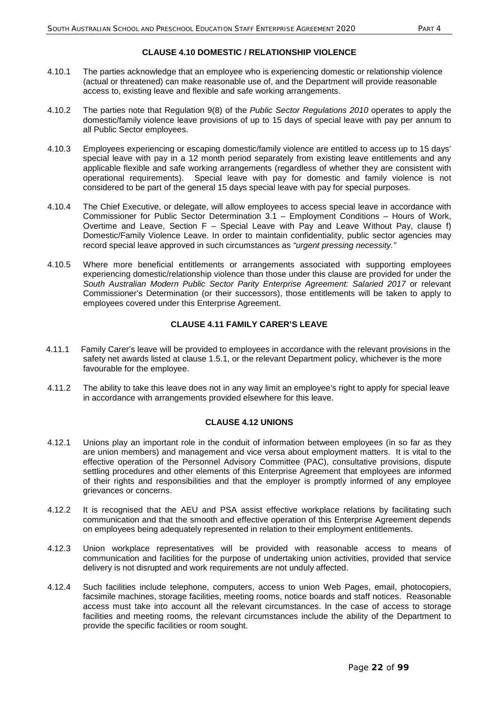## **CLAUSE 4.10 DOMESTIC / RELATIONSHIP VIOLENCE**

- 4.10.1 The parties acknowledge that an employee who is experiencing domestic or relationship violence (actual or threatened) can make reasonable use of, and the Department will provide reasonable access to, existing leave and flexible and safe working arrangements.
- 4.10.2 The parties note that Regulation 9(8) of the *Public Sector Regulations 2010* operates to apply the domestic/family violence leave provisions of up to 15 days of special leave with pay per annum to all Public Sector employees.
- 4.10.3 Employees experiencing or escaping domestic/family violence are entitled to access up to 15 days' special leave with pay in a 12 month period separately from existing leave entitlements and any applicable flexible and safe working arrangements (regardless of whether they are consistent with operational requirements). Special leave with pay for domestic and family violence is not considered to be part of the general 15 days special leave with pay for special purposes.
- 4.10.4 The Chief Executive, or delegate, will allow employees to access special leave in accordance with Commissioner for Public Sector Determination 3.1 – Employment Conditions – Hours of Work, Overtime and Leave, Section F – Special Leave with Pay and Leave Without Pay, clause f) Domestic/Family Violence Leave. In order to maintain confidentiality, public sector agencies may record special leave approved in such circumstances as *"urgent pressing necessity."*
- 4.10.5 Where more beneficial entitlements or arrangements associated with supporting employees experiencing domestic/relationship violence than those under this clause are provided for under the *South Australian Modern Public Sector Parity Enterprise Agreement: Salaried 2017* or relevant Commissioner's Determination (or their successors), those entitlements will be taken to apply to employees covered under this Enterprise Agreement.

## **CLAUSE 4.11 FAMILY CARER'S LEAVE**

- 4.11.1 Family Carer's leave will be provided to employees in accordance with the relevant provisions in the safety net awards listed at clause 1.5.1, or the relevant Department policy, whichever is the more favourable for the employee.
- 4.11.2 The ability to take this leave does not in any way limit an employee's right to apply for special leave in accordance with arrangements provided elsewhere for this leave.

## **CLAUSE 4.12 UNIONS**

- 4.12.1 Unions play an important role in the conduit of information between employees (in so far as they are union members) and management and vice versa about employment matters. It is vital to the effective operation of the Personnel Advisory Committee (PAC), consultative provisions, dispute settling procedures and other elements of this Enterprise Agreement that employees are informed of their rights and responsibilities and that the employer is promptly informed of any employee grievances or concerns.
- 4.12.2 It is recognised that the AEU and PSA assist effective workplace relations by facilitating such communication and that the smooth and effective operation of this Enterprise Agreement depends on employees being adequately represented in relation to their employment entitlements.
- 4.12.3 Union workplace representatives will be provided with reasonable access to means of communication and facilities for the purpose of undertaking union activities, provided that service delivery is not disrupted and work requirements are not unduly affected.
- 4.12.4 Such facilities include telephone, computers, access to union Web Pages, email, photocopiers, facsimile machines, storage facilities, meeting rooms, notice boards and staff notices. Reasonable access must take into account all the relevant circumstances. In the case of access to storage facilities and meeting rooms, the relevant circumstances include the ability of the Department to provide the specific facilities or room sought.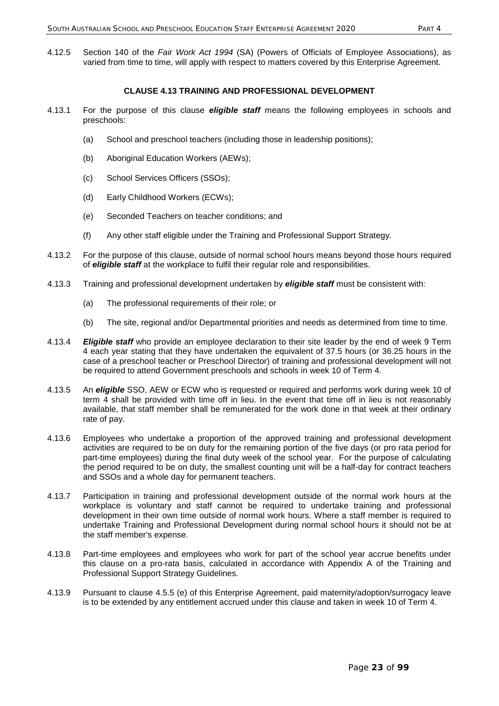4.12.5 Section 140 of the *Fair Work Act 1994* (SA) (Powers of Officials of Employee Associations), as varied from time to time, will apply with respect to matters covered by this Enterprise Agreement.

#### **CLAUSE 4.13 TRAINING AND PROFESSIONAL DEVELOPMENT**

- 4.13.1 For the purpose of this clause *eligible staff* means the following employees in schools and preschools:
	- (a) School and preschool teachers (including those in leadership positions);
	- (b) Aboriginal Education Workers (AEWs);
	- (c) School Services Officers (SSOs);
	- (d) Early Childhood Workers (ECWs);
	- (e) Seconded Teachers on teacher conditions; and
	- (f) Any other staff eligible under the Training and Professional Support Strategy.
- 4.13.2 For the purpose of this clause, outside of normal school hours means beyond those hours required of *eligible staff* at the workplace to fulfil their regular role and responsibilities.
- 4.13.3 Training and professional development undertaken by *eligible staff* must be consistent with:
	- (a) The professional requirements of their role; or
	- (b) The site, regional and/or Departmental priorities and needs as determined from time to time.
- 4.13.4 *Eligible staff* who provide an employee declaration to their site leader by the end of week 9 Term 4 each year stating that they have undertaken the equivalent of 37.5 hours (or 36.25 hours in the case of a preschool teacher or Preschool Director) of training and professional development will not be required to attend Government preschools and schools in week 10 of Term 4.
- 4.13.5 An *eligible* SSO, AEW or ECW who is requested or required and performs work during week 10 of term 4 shall be provided with time off in lieu. In the event that time off in lieu is not reasonably available, that staff member shall be remunerated for the work done in that week at their ordinary rate of pay.
- 4.13.6 Employees who undertake a proportion of the approved training and professional development activities are required to be on duty for the remaining portion of the five days (or pro rata period for part-time employees) during the final duty week of the school year. For the purpose of calculating the period required to be on duty, the smallest counting unit will be a half-day for contract teachers and SSOs and a whole day for permanent teachers.
- 4.13.7 Participation in training and professional development outside of the normal work hours at the workplace is voluntary and staff cannot be required to undertake training and professional development in their own time outside of normal work hours. Where a staff member is required to undertake Training and Professional Development during normal school hours it should not be at the staff member's expense.
- 4.13.8 Part-time employees and employees who work for part of the school year accrue benefits under this clause on a pro-rata basis, calculated in accordance with Appendix A of the Training and Professional Support Strategy Guidelines.
- 4.13.9 Pursuant to clause 4.5.5 (e) of this Enterprise Agreement, paid maternity/adoption/surrogacy leave is to be extended by any entitlement accrued under this clause and taken in week 10 of Term 4.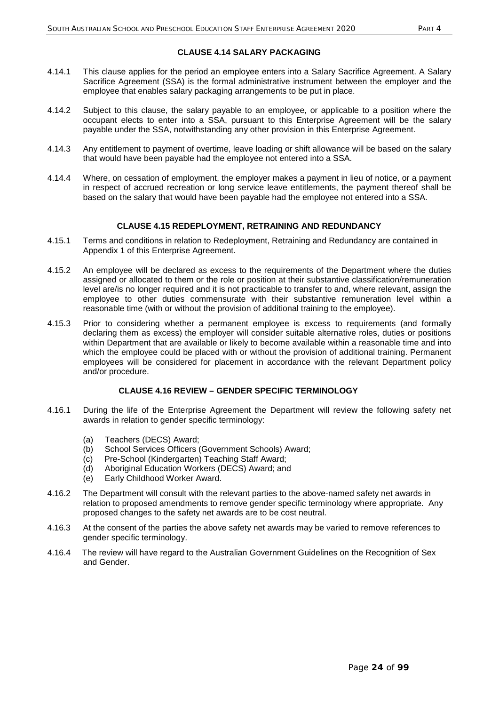- 4.14.1 This clause applies for the period an employee enters into a Salary Sacrifice Agreement. A Salary Sacrifice Agreement (SSA) is the formal administrative instrument between the employer and the employee that enables salary packaging arrangements to be put in place.
- 4.14.2 Subject to this clause, the salary payable to an employee, or applicable to a position where the occupant elects to enter into a SSA, pursuant to this Enterprise Agreement will be the salary payable under the SSA, notwithstanding any other provision in this Enterprise Agreement.
- 4.14.3 Any entitlement to payment of overtime, leave loading or shift allowance will be based on the salary that would have been payable had the employee not entered into a SSA.
- 4.14.4 Where, on cessation of employment, the employer makes a payment in lieu of notice, or a payment in respect of accrued recreation or long service leave entitlements, the payment thereof shall be based on the salary that would have been payable had the employee not entered into a SSA.

### **CLAUSE 4.15 REDEPLOYMENT, RETRAINING AND REDUNDANCY**

- 4.15.1 Terms and conditions in relation to Redeployment, Retraining and Redundancy are contained in Appendix 1 of this Enterprise Agreement.
- 4.15.2 An employee will be declared as excess to the requirements of the Department where the duties assigned or allocated to them or the role or position at their substantive classification/remuneration level are/is no longer required and it is not practicable to transfer to and, where relevant, assign the employee to other duties commensurate with their substantive remuneration level within a reasonable time (with or without the provision of additional training to the employee).
- 4.15.3 Prior to considering whether a permanent employee is excess to requirements (and formally declaring them as excess) the employer will consider suitable alternative roles, duties or positions within Department that are available or likely to become available within a reasonable time and into which the employee could be placed with or without the provision of additional training. Permanent employees will be considered for placement in accordance with the relevant Department policy and/or procedure.

## **CLAUSE 4.16 REVIEW – GENDER SPECIFIC TERMINOLOGY**

- 4.16.1 During the life of the Enterprise Agreement the Department will review the following safety net awards in relation to gender specific terminology:
	- (a) Teachers (DECS) Award;
	- (b) School Services Officers (Government Schools) Award;
	- (c) Pre-School (Kindergarten) Teaching Staff Award;
	- (d) Aboriginal Education Workers (DECS) Award; and
	- (e) Early Childhood Worker Award.
- 4.16.2 The Department will consult with the relevant parties to the above-named safety net awards in relation to proposed amendments to remove gender specific terminology where appropriate. Any proposed changes to the safety net awards are to be cost neutral.
- 4.16.3 At the consent of the parties the above safety net awards may be varied to remove references to gender specific terminology.
- 4.16.4 The review will have regard to the Australian Government Guidelines on the Recognition of Sex and Gender.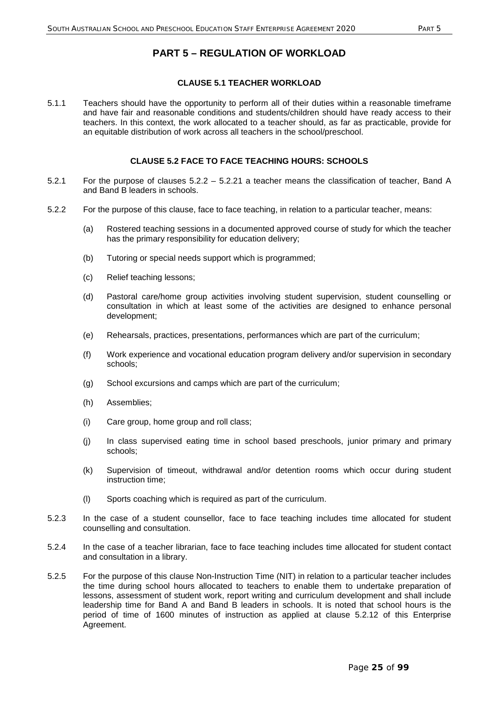## **PART 5 – REGULATION OF WORKLOAD**

## **CLAUSE 5.1 TEACHER WORKLOAD**

5.1.1 Teachers should have the opportunity to perform all of their duties within a reasonable timeframe and have fair and reasonable conditions and students/children should have ready access to their teachers. In this context, the work allocated to a teacher should, as far as practicable, provide for an equitable distribution of work across all teachers in the school/preschool.

## **CLAUSE 5.2 FACE TO FACE TEACHING HOURS: SCHOOLS**

- 5.2.1 For the purpose of clauses 5.2.2 5.2.21 a teacher means the classification of teacher, Band A and Band B leaders in schools.
- 5.2.2 For the purpose of this clause, face to face teaching, in relation to a particular teacher, means:
	- (a) Rostered teaching sessions in a documented approved course of study for which the teacher has the primary responsibility for education delivery;
	- (b) Tutoring or special needs support which is programmed;
	- (c) Relief teaching lessons;
	- (d) Pastoral care/home group activities involving student supervision, student counselling or consultation in which at least some of the activities are designed to enhance personal development;
	- (e) Rehearsals, practices, presentations, performances which are part of the curriculum;
	- (f) Work experience and vocational education program delivery and/or supervision in secondary schools;
	- (g) School excursions and camps which are part of the curriculum;
	- (h) Assemblies;
	- (i) Care group, home group and roll class;
	- (j) In class supervised eating time in school based preschools, junior primary and primary schools;
	- (k) Supervision of timeout, withdrawal and/or detention rooms which occur during student instruction time;
	- (l) Sports coaching which is required as part of the curriculum.
- 5.2.3 In the case of a student counsellor, face to face teaching includes time allocated for student counselling and consultation.
- 5.2.4 In the case of a teacher librarian, face to face teaching includes time allocated for student contact and consultation in a library.
- 5.2.5 For the purpose of this clause Non-Instruction Time (NIT) in relation to a particular teacher includes the time during school hours allocated to teachers to enable them to undertake preparation of lessons, assessment of student work, report writing and curriculum development and shall include leadership time for Band A and Band B leaders in schools. It is noted that school hours is the period of time of 1600 minutes of instruction as applied at clause 5.2.12 of this Enterprise Agreement.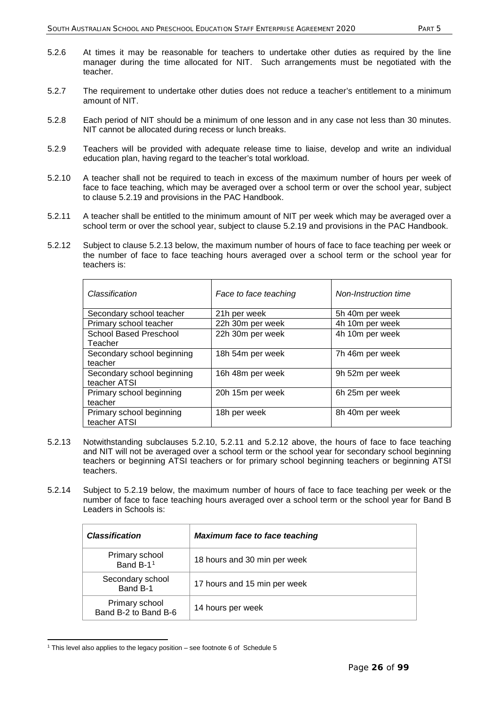- 5.2.6 At times it may be reasonable for teachers to undertake other duties as required by the line manager during the time allocated for NIT. Such arrangements must be negotiated with the teacher.
- 5.2.7 The requirement to undertake other duties does not reduce a teacher's entitlement to a minimum amount of NIT.
- 5.2.8 Each period of NIT should be a minimum of one lesson and in any case not less than 30 minutes. NIT cannot be allocated during recess or lunch breaks.
- 5.2.9 Teachers will be provided with adequate release time to liaise, develop and write an individual education plan, having regard to the teacher's total workload.
- 5.2.10 A teacher shall not be required to teach in excess of the maximum number of hours per week of face to face teaching, which may be averaged over a school term or over the school year, subject to clause 5.2.19 and provisions in the PAC Handbook.
- 5.2.11 A teacher shall be entitled to the minimum amount of NIT per week which may be averaged over a school term or over the school year, subject to clause 5.2.19 and provisions in the PAC Handbook.
- 5.2.12 Subject to clause 5.2.13 below, the maximum number of hours of face to face teaching per week or the number of face to face teaching hours averaged over a school term or the school year for teachers is:

| Classification                             | Face to face teaching | Non-Instruction time |
|--------------------------------------------|-----------------------|----------------------|
| Secondary school teacher                   | 21h per week          | 5h 40m per week      |
| Primary school teacher                     | 22h 30m per week      | 4h 10m per week      |
| School Based Preschool<br>Teacher          | 22h 30m per week      | 4h 10m per week      |
| Secondary school beginning<br>teacher      | 18h 54m per week      | 7h 46m per week      |
| Secondary school beginning<br>teacher ATSI | 16h 48m per week      | 9h 52m per week      |
| Primary school beginning<br>teacher        | 20h 15m per week      | 6h 25m per week      |
| Primary school beginning<br>teacher ATSI   | 18h per week          | 8h 40m per week      |

- 5.2.13 Notwithstanding subclauses 5.2.10, 5.2.11 and 5.2.12 above, the hours of face to face teaching and NIT will not be averaged over a school term or the school year for secondary school beginning teachers or beginning ATSI teachers or for primary school beginning teachers or beginning ATSI teachers.
- 5.2.14 Subject to 5.2.19 below, the maximum number of hours of face to face teaching per week or the number of face to face teaching hours averaged over a school term or the school year for Band B Leaders in Schools is:

| <b>Classification</b>                  | <b>Maximum face to face teaching</b> |
|----------------------------------------|--------------------------------------|
| Primary school<br>Band B-11            | 18 hours and 30 min per week         |
| Secondary school<br>Band B-1           | 17 hours and 15 min per week         |
| Primary school<br>Band B-2 to Band B-6 | 14 hours per week                    |

<span id="page-26-0"></span><sup>-</sup> $1$  This level also applies to the legacy position – see footnote 6 of Schedule 5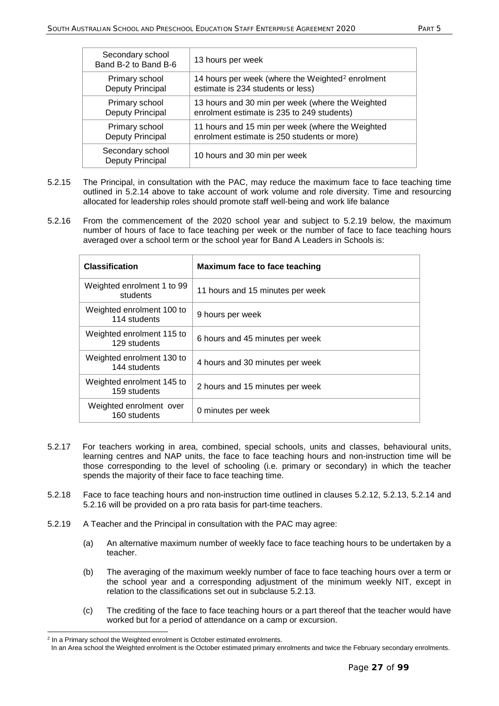| Secondary school<br>Band B-2 to Band B-6 | 13 hours per week                                            |
|------------------------------------------|--------------------------------------------------------------|
| Primary school                           | 14 hours per week (where the Weighted <sup>2</sup> enrolment |
| Deputy Principal                         | estimate is 234 students or less)                            |
| Primary school                           | 13 hours and 30 min per week (where the Weighted             |
| Deputy Principal                         | enrolment estimate is 235 to 249 students)                   |
| Primary school                           | 11 hours and 15 min per week (where the Weighted             |
| Deputy Principal                         | enrolment estimate is 250 students or more)                  |
| Secondary school<br>Deputy Principal     | 10 hours and 30 min per week                                 |

- 5.2.15 The Principal, in consultation with the PAC, may reduce the maximum face to face teaching time outlined in 5.2.14 above to take account of work volume and role diversity. Time and resourcing allocated for leadership roles should promote staff well-being and work life balance
- 5.2.16 From the commencement of the 2020 school year and subject to 5.2.19 below, the maximum number of hours of face to face teaching per week or the number of face to face teaching hours averaged over a school term or the school year for Band A Leaders in Schools is:

| <b>Classification</b>                     | Maximum face to face teaching    |
|-------------------------------------------|----------------------------------|
| Weighted enrolment 1 to 99<br>students    | 11 hours and 15 minutes per week |
| Weighted enrolment 100 to<br>114 students | 9 hours per week                 |
| Weighted enrolment 115 to<br>129 students | 6 hours and 45 minutes per week  |
| Weighted enrolment 130 to<br>144 students | 4 hours and 30 minutes per week  |
| Weighted enrolment 145 to<br>159 students | 2 hours and 15 minutes per week  |
| Weighted enrolment over<br>160 students   | 0 minutes per week               |

- 5.2.17 For teachers working in area, combined, special schools, units and classes, behavioural units, learning centres and NAP units, the face to face teaching hours and non-instruction time will be those corresponding to the level of schooling (i.e. primary or secondary) in which the teacher spends the majority of their face to face teaching time.
- 5.2.18 Face to face teaching hours and non-instruction time outlined in clauses 5.2.12, 5.2.13, 5.2.14 and 5.2.16 will be provided on a pro rata basis for part-time teachers.
- 5.2.19 A Teacher and the Principal in consultation with the PAC may agree:
	- (a) An alternative maximum number of weekly face to face teaching hours to be undertaken by a teacher.
	- (b) The averaging of the maximum weekly number of face to face teaching hours over a term or the school year and a corresponding adjustment of the minimum weekly NIT, except in relation to the classifications set out in subclause 5.2.13.
	- (c) The crediting of the face to face teaching hours or a part thereof that the teacher would have worked but for a period of attendance on a camp or excursion.

<span id="page-27-0"></span><sup>-</sup><sup>2</sup> In a Primary school the Weighted enrolment is October estimated enrolments.

In an Area school the Weighted enrolment is the October estimated primary enrolments and twice the February secondary enrolments.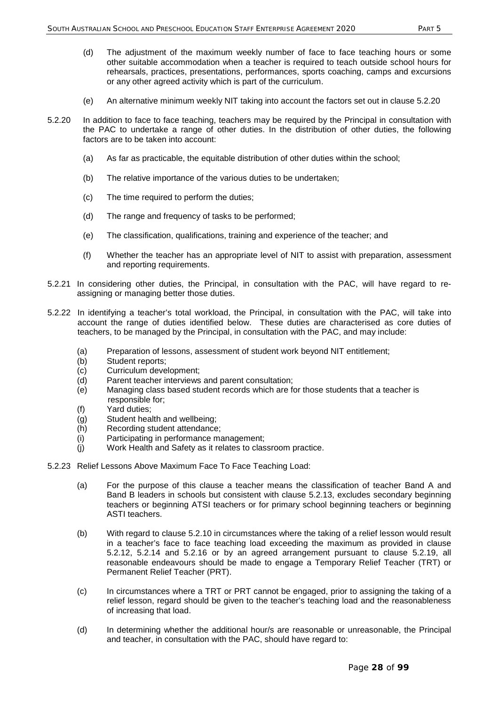- (d) The adjustment of the maximum weekly number of face to face teaching hours or some other suitable accommodation when a teacher is required to teach outside school hours for rehearsals, practices, presentations, performances, sports coaching, camps and excursions or any other agreed activity which is part of the curriculum.
- (e) An alternative minimum weekly NIT taking into account the factors set out in clause 5.2.20
- 5.2.20 In addition to face to face teaching, teachers may be required by the Principal in consultation with the PAC to undertake a range of other duties. In the distribution of other duties, the following factors are to be taken into account:
	- (a) As far as practicable, the equitable distribution of other duties within the school;
	- (b) The relative importance of the various duties to be undertaken;
	- (c) The time required to perform the duties;
	- (d) The range and frequency of tasks to be performed;
	- (e) The classification, qualifications, training and experience of the teacher; and
	- (f) Whether the teacher has an appropriate level of NIT to assist with preparation, assessment and reporting requirements.
- 5.2.21 In considering other duties, the Principal, in consultation with the PAC, will have regard to reassigning or managing better those duties.
- 5.2.22 In identifying a teacher's total workload, the Principal, in consultation with the PAC, will take into account the range of duties identified below. These duties are characterised as core duties of teachers, to be managed by the Principal, in consultation with the PAC, and may include:
	- (a) Preparation of lessons, assessment of student work beyond NIT entitlement;
	- (b) Student reports;<br>(c) Curriculum deve
	- Curriculum development;
	- (d) Parent teacher interviews and parent consultation;
	- (e) Managing class based student records which are for those students that a teacher is responsible for;
	- (f) Yard duties;
	- (g) Student health and wellbeing;
	- (h) Recording student attendance;
	- (i) Participating in performance management;
	- (j) Work Health and Safety as it relates to classroom practice.
- 5.2.23 Relief Lessons Above Maximum Face To Face Teaching Load:
	- (a) For the purpose of this clause a teacher means the classification of teacher Band A and Band B leaders in schools but consistent with clause 5.2.13, excludes secondary beginning teachers or beginning ATSI teachers or for primary school beginning teachers or beginning ASTI teachers.
	- (b) With regard to clause 5.2.10 in circumstances where the taking of a relief lesson would result in a teacher's face to face teaching load exceeding the maximum as provided in clause 5.2.12, 5.2.14 and 5.2.16 or by an agreed arrangement pursuant to clause 5.2.19, all reasonable endeavours should be made to engage a Temporary Relief Teacher (TRT) or Permanent Relief Teacher (PRT).
	- (c) In circumstances where a TRT or PRT cannot be engaged, prior to assigning the taking of a relief lesson, regard should be given to the teacher's teaching load and the reasonableness of increasing that load.
	- (d) In determining whether the additional hour/s are reasonable or unreasonable, the Principal and teacher, in consultation with the PAC, should have regard to: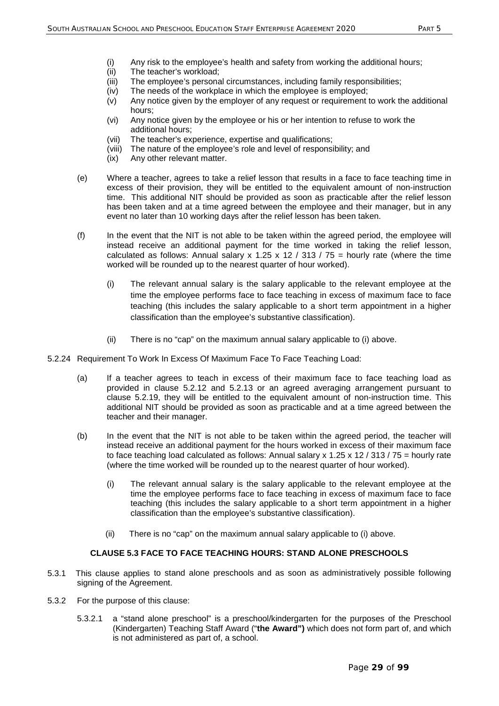- (i) Any risk to the employee's health and safety from working the additional hours;
- (ii) The teacher's workload;
- (iii) The employee's personal circumstances, including family responsibilities;
- (iv) The needs of the workplace in which the employee is employed;
- (v) Any notice given by the employer of any request or requirement to work the additional hours;
- (vi) Any notice given by the employee or his or her intention to refuse to work the additional hours;
- (vii) The teacher's experience, expertise and qualifications;
- (viii) The nature of the employee's role and level of responsibility; and
- (ix) Any other relevant matter.
- (e) Where a teacher, agrees to take a relief lesson that results in a face to face teaching time in excess of their provision, they will be entitled to the equivalent amount of non-instruction time. This additional NIT should be provided as soon as practicable after the relief lesson has been taken and at a time agreed between the employee and their manager, but in any event no later than 10 working days after the relief lesson has been taken.
- (f) In the event that the NIT is not able to be taken within the agreed period, the employee will instead receive an additional payment for the time worked in taking the relief lesson, calculated as follows: Annual salary x 1.25 x 12 / 313 / 75 = hourly rate (where the time worked will be rounded up to the nearest quarter of hour worked).
	- (i) The relevant annual salary is the salary applicable to the relevant employee at the time the employee performs face to face teaching in excess of maximum face to face teaching (this includes the salary applicable to a short term appointment in a higher classification than the employee's substantive classification).
	- (ii) There is no "cap" on the maximum annual salary applicable to (i) above.
- 5.2.24 Requirement To Work In Excess Of Maximum Face To Face Teaching Load:
	- (a) If a teacher agrees to teach in excess of their maximum face to face teaching load as provided in clause 5.2.12 and 5.2.13 or an agreed averaging arrangement pursuant to clause 5.2.19, they will be entitled to the equivalent amount of non-instruction time. This additional NIT should be provided as soon as practicable and at a time agreed between the teacher and their manager.
	- (b) In the event that the NIT is not able to be taken within the agreed period, the teacher will instead receive an additional payment for the hours worked in excess of their maximum face to face teaching load calculated as follows: Annual salary x 1.25 x 12 / 313 / 75 = hourly rate (where the time worked will be rounded up to the nearest quarter of hour worked).
		- (i) The relevant annual salary is the salary applicable to the relevant employee at the time the employee performs face to face teaching in excess of maximum face to face teaching (this includes the salary applicable to a short term appointment in a higher classification than the employee's substantive classification).
		- (ii) There is no "cap" on the maximum annual salary applicable to (i) above.

#### **CLAUSE 5.3 FACE TO FACE TEACHING HOURS: STAND ALONE PRESCHOOLS**

- 5.3.1 This clause applies to stand alone preschools and as soon as administratively possible following signing of the Agreement.
- 5.3.2 For the purpose of this clause:
	- 5.3.2.1 a "stand alone preschool" is a preschool/kindergarten for the purposes of the Preschool (Kindergarten) Teaching Staff Award ("**the Award")** which does not form part of, and which is not administered as part of, a school.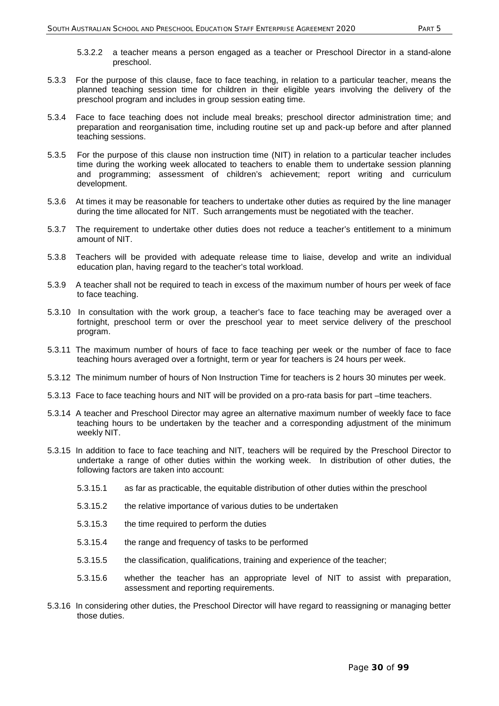- 5.3.2.2 a teacher means a person engaged as a teacher or Preschool Director in a stand-alone preschool.
- 5.3.3 For the purpose of this clause, face to face teaching, in relation to a particular teacher, means the planned teaching session time for children in their eligible years involving the delivery of the preschool program and includes in group session eating time.
- 5.3.4 Face to face teaching does not include meal breaks; preschool director administration time; and preparation and reorganisation time, including routine set up and pack-up before and after planned teaching sessions.
- 5.3.5 For the purpose of this clause non instruction time (NIT) in relation to a particular teacher includes time during the working week allocated to teachers to enable them to undertake session planning and programming; assessment of children's achievement; report writing and curriculum development.
- 5.3.6 At times it may be reasonable for teachers to undertake other duties as required by the line manager during the time allocated for NIT. Such arrangements must be negotiated with the teacher.
- 5.3.7 The requirement to undertake other duties does not reduce a teacher's entitlement to a minimum amount of NIT.
- 5.3.8 Teachers will be provided with adequate release time to liaise, develop and write an individual education plan, having regard to the teacher's total workload.
- 5.3.9 A teacher shall not be required to teach in excess of the maximum number of hours per week of face to face teaching.
- 5.3.10 In consultation with the work group, a teacher's face to face teaching may be averaged over a fortnight, preschool term or over the preschool year to meet service delivery of the preschool program.
- 5.3.11 The maximum number of hours of face to face teaching per week or the number of face to face teaching hours averaged over a fortnight, term or year for teachers is 24 hours per week.
- 5.3.12 The minimum number of hours of Non Instruction Time for teachers is 2 hours 30 minutes per week.
- 5.3.13 Face to face teaching hours and NIT will be provided on a pro-rata basis for part –time teachers.
- 5.3.14 A teacher and Preschool Director may agree an alternative maximum number of weekly face to face teaching hours to be undertaken by the teacher and a corresponding adjustment of the minimum weekly NIT.
- 5.3.15 In addition to face to face teaching and NIT, teachers will be required by the Preschool Director to undertake a range of other duties within the working week. In distribution of other duties, the following factors are taken into account:
	- 5.3.15.1 as far as practicable, the equitable distribution of other duties within the preschool
	- 5.3.15.2 the relative importance of various duties to be undertaken
	- 5.3.15.3 the time required to perform the duties
	- 5.3.15.4 the range and frequency of tasks to be performed
	- 5.3.15.5 the classification, qualifications, training and experience of the teacher;
	- 5.3.15.6 whether the teacher has an appropriate level of NIT to assist with preparation, assessment and reporting requirements.
- 5.3.16 In considering other duties, the Preschool Director will have regard to reassigning or managing better those duties.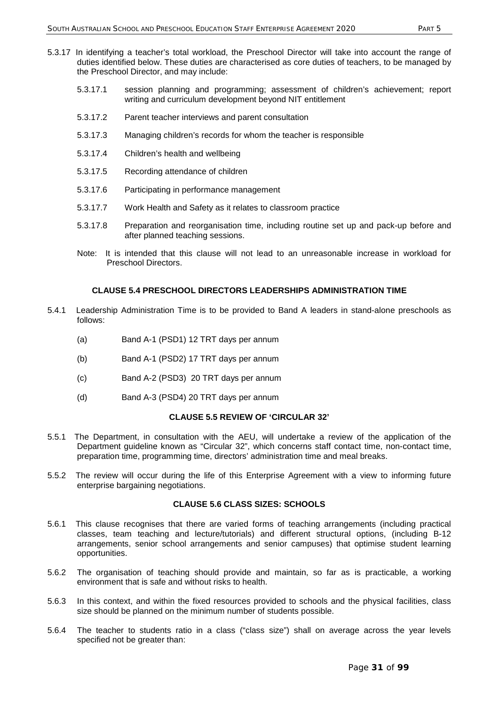- 5.3.17 In identifying a teacher's total workload, the Preschool Director will take into account the range of duties identified below. These duties are characterised as core duties of teachers, to be managed by the Preschool Director, and may include:
	- 5.3.17.1 session planning and programming; assessment of children's achievement; report writing and curriculum development beyond NIT entitlement
	- 5.3.17.2 Parent teacher interviews and parent consultation
	- 5.3.17.3 Managing children's records for whom the teacher is responsible
	- 5.3.17.4 Children's health and wellbeing
	- 5.3.17.5 Recording attendance of children
	- 5.3.17.6 Participating in performance management
	- 5.3.17.7 Work Health and Safety as it relates to classroom practice
	- 5.3.17.8 Preparation and reorganisation time, including routine set up and pack-up before and after planned teaching sessions.
	- Note: It is intended that this clause will not lead to an unreasonable increase in workload for Preschool Directors.

### **CLAUSE 5.4 PRESCHOOL DIRECTORS LEADERSHIPS ADMINISTRATION TIME**

- 5.4.1 Leadership Administration Time is to be provided to Band A leaders in stand-alone preschools as follows:
	- (a) Band A-1 (PSD1) 12 TRT days per annum
	- (b) Band A-1 (PSD2) 17 TRT days per annum
	- (c) Band A-2 (PSD3) 20 TRT days per annum
	- (d) Band A-3 (PSD4) 20 TRT days per annum

#### **CLAUSE 5.5 REVIEW OF 'CIRCULAR 32'**

- 5.5.1 The Department, in consultation with the AEU, will undertake a review of the application of the Department guideline known as "Circular 32", which concerns staff contact time, non-contact time, preparation time, programming time, directors' administration time and meal breaks.
- 5.5.2 The review will occur during the life of this Enterprise Agreement with a view to informing future enterprise bargaining negotiations.

### **CLAUSE 5.6 CLASS SIZES: SCHOOLS**

- 5.6.1 This clause recognises that there are varied forms of teaching arrangements (including practical classes, team teaching and lecture/tutorials) and different structural options, (including B-12 arrangements, senior school arrangements and senior campuses) that optimise student learning opportunities.
- 5.6.2 The organisation of teaching should provide and maintain, so far as is practicable, a working environment that is safe and without risks to health.
- 5.6.3 In this context, and within the fixed resources provided to schools and the physical facilities, class size should be planned on the minimum number of students possible.
- 5.6.4 The teacher to students ratio in a class ("class size") shall on average across the year levels specified not be greater than: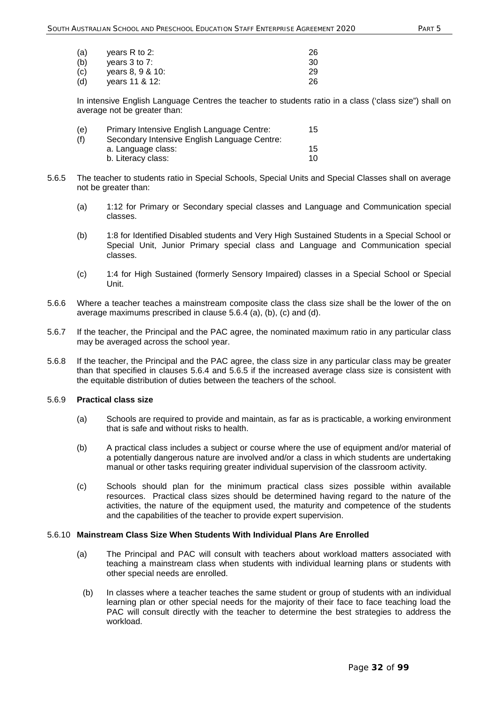| (a) | years $R$ to 2:    | 26 |
|-----|--------------------|----|
| (b) | vears $3$ to $7$ : | 30 |
| (c) | vears 8, 9 & 10:   | 29 |
| (d) | vears 11 & 12:     | 26 |

In intensive English Language Centres the teacher to students ratio in a class ('class size") shall on average not be greater than:

| (e) | Primary Intensive English Language Centre:   | 15 |
|-----|----------------------------------------------|----|
| (f) | Secondary Intensive English Language Centre: |    |
|     | a. Language class:                           | 15 |
|     | b. Literacy class:                           | 10 |

- 5.6.5 The teacher to students ratio in Special Schools, Special Units and Special Classes shall on average not be greater than:
	- (a) 1:12 for Primary or Secondary special classes and Language and Communication special classes.
	- (b) 1:8 for Identified Disabled students and Very High Sustained Students in a Special School or Special Unit, Junior Primary special class and Language and Communication special classes.
	- (c) 1:4 for High Sustained (formerly Sensory Impaired) classes in a Special School or Special Unit.
- 5.6.6 Where a teacher teaches a mainstream composite class the class size shall be the lower of the on average maximums prescribed in clause 5.6.4 (a), (b), (c) and (d).
- 5.6.7 If the teacher, the Principal and the PAC agree, the nominated maximum ratio in any particular class may be averaged across the school year.
- 5.6.8 If the teacher, the Principal and the PAC agree, the class size in any particular class may be greater than that specified in clauses 5.6.4 and 5.6.5 if the increased average class size is consistent with the equitable distribution of duties between the teachers of the school.

## 5.6.9 **Practical class size**

- (a) Schools are required to provide and maintain, as far as is practicable, a working environment that is safe and without risks to health.
- (b) A practical class includes a subject or course where the use of equipment and/or material of a potentially dangerous nature are involved and/or a class in which students are undertaking manual or other tasks requiring greater individual supervision of the classroom activity.
- (c) Schools should plan for the minimum practical class sizes possible within available resources. Practical class sizes should be determined having regard to the nature of the activities, the nature of the equipment used, the maturity and competence of the students and the capabilities of the teacher to provide expert supervision.

#### 5.6.10 **Mainstream Class Size When Students With Individual Plans Are Enrolled**

- (a) The Principal and PAC will consult with teachers about workload matters associated with teaching a mainstream class when students with individual learning plans or students with other special needs are enrolled.
- (b) In classes where a teacher teaches the same student or group of students with an individual learning plan or other special needs for the majority of their face to face teaching load the PAC will consult directly with the teacher to determine the best strategies to address the workload.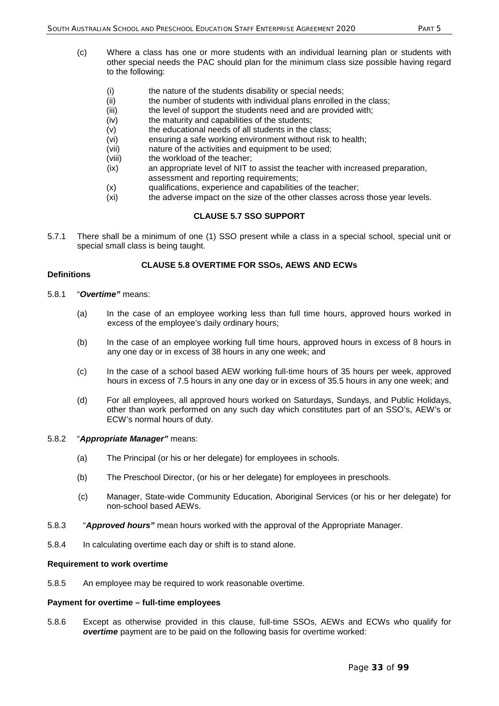- (c) Where a class has one or more students with an individual learning plan or students with other special needs the PAC should plan for the minimum class size possible having regard to the following:
	- (i) the nature of the students disability or special needs;
	- (ii) the number of students with individual plans enrolled in the class;
	- (iii) the level of support the students need and are provided with;
	- (iv) the maturity and capabilities of the students;
	- (v) the educational needs of all students in the class;
	- (vi) ensuring a safe working environment without risk to health;
	- (vii) nature of the activities and equipment to be used;
	- (viii) the workload of the teacher;
	- (ix) an appropriate level of NIT to assist the teacher with increased preparation, assessment and reporting requirements;
	- (x) qualifications, experience and capabilities of the teacher;
	- (xi) the adverse impact on the size of the other classes across those year levels.

## **CLAUSE 5.7 SSO SUPPORT**

5.7.1 There shall be a minimum of one (1) SSO present while a class in a special school, special unit or special small class is being taught.

## **CLAUSE 5.8 OVERTIME FOR SSOs, AEWS AND ECWs**

#### **Definitions**

- 5.8.1 "*Overtime"* means:
	- (a) In the case of an employee working less than full time hours, approved hours worked in excess of the employee's daily ordinary hours;
	- (b) In the case of an employee working full time hours, approved hours in excess of 8 hours in any one day or in excess of 38 hours in any one week; and
	- (c) In the case of a school based AEW working full-time hours of 35 hours per week, approved hours in excess of 7.5 hours in any one day or in excess of 35.5 hours in any one week; and
	- (d) For all employees, all approved hours worked on Saturdays, Sundays, and Public Holidays, other than work performed on any such day which constitutes part of an SSO's, AEW's or ECW's normal hours of duty.

#### 5.8.2 "*Appropriate Manager"* means:

- (a) The Principal (or his or her delegate) for employees in schools.
- (b) The Preschool Director, (or his or her delegate) for employees in preschools.
- (c) Manager, State-wide Community Education, Aboriginal Services (or his or her delegate) for non-school based AEWs.
- 5.8.3 "*Approved hours"* mean hours worked with the approval of the Appropriate Manager.
- 5.8.4 In calculating overtime each day or shift is to stand alone.

#### **Requirement to work overtime**

5.8.5 An employee may be required to work reasonable overtime.

#### **Payment for overtime – full-time employees**

5.8.6 Except as otherwise provided in this clause, full-time SSOs, AEWs and ECWs who qualify for *overtime* payment are to be paid on the following basis for overtime worked: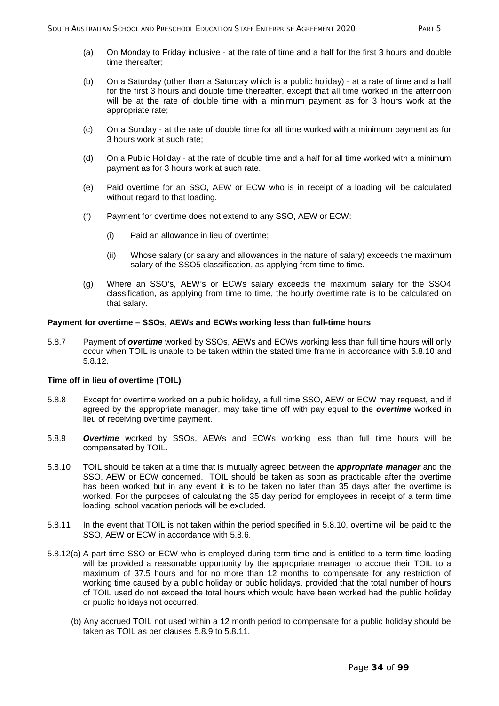- (a) On Monday to Friday inclusive at the rate of time and a half for the first 3 hours and double time thereafter;
- (b) On a Saturday (other than a Saturday which is a public holiday) at a rate of time and a half for the first 3 hours and double time thereafter, except that all time worked in the afternoon will be at the rate of double time with a minimum payment as for 3 hours work at the appropriate rate;
- (c) On a Sunday at the rate of double time for all time worked with a minimum payment as for 3 hours work at such rate;
- (d) On a Public Holiday at the rate of double time and a half for all time worked with a minimum payment as for 3 hours work at such rate.
- (e) Paid overtime for an SSO, AEW or ECW who is in receipt of a loading will be calculated without regard to that loading.
- (f) Payment for overtime does not extend to any SSO, AEW or ECW:
	- (i) Paid an allowance in lieu of overtime;
	- (ii) Whose salary (or salary and allowances in the nature of salary) exceeds the maximum salary of the SSO5 classification, as applying from time to time.
- (g) Where an SSO's, AEW's or ECWs salary exceeds the maximum salary for the SSO4 classification, as applying from time to time, the hourly overtime rate is to be calculated on that salary.

#### **Payment for overtime – SSOs, AEWs and ECWs working less than full-time hours**

5.8.7 Payment of *overtime* worked by SSOs, AEWs and ECWs working less than full time hours will only occur when TOIL is unable to be taken within the stated time frame in accordance with 5.8.10 and 5.8.12.

### **Time off in lieu of overtime (TOIL)**

- 5.8.8 Except for overtime worked on a public holiday, a full time SSO, AEW or ECW may request, and if agreed by the appropriate manager, may take time off with pay equal to the *overtime* worked in lieu of receiving overtime payment.
- 5.8.9 *Overtime* worked by SSOs, AEWs and ECWs working less than full time hours will be compensated by TOIL.
- 5.8.10 TOIL should be taken at a time that is mutually agreed between the *appropriate manager* and the SSO, AEW or ECW concerned. TOIL should be taken as soon as practicable after the overtime has been worked but in any event it is to be taken no later than 35 days after the overtime is worked. For the purposes of calculating the 35 day period for employees in receipt of a term time loading, school vacation periods will be excluded.
- 5.8.11 In the event that TOIL is not taken within the period specified in 5.8.10, overtime will be paid to the SSO, AEW or ECW in accordance with 5.8.6.
- 5.8.12(a**)** A part-time SSO or ECW who is employed during term time and is entitled to a term time loading will be provided a reasonable opportunity by the appropriate manager to accrue their TOIL to a maximum of 37.5 hours and for no more than 12 months to compensate for any restriction of working time caused by a public holiday or public holidays, provided that the total number of hours of TOIL used do not exceed the total hours which would have been worked had the public holiday or public holidays not occurred.
	- (b) Any accrued TOIL not used within a 12 month period to compensate for a public holiday should be taken as TOIL as per clauses 5.8.9 to 5.8.11.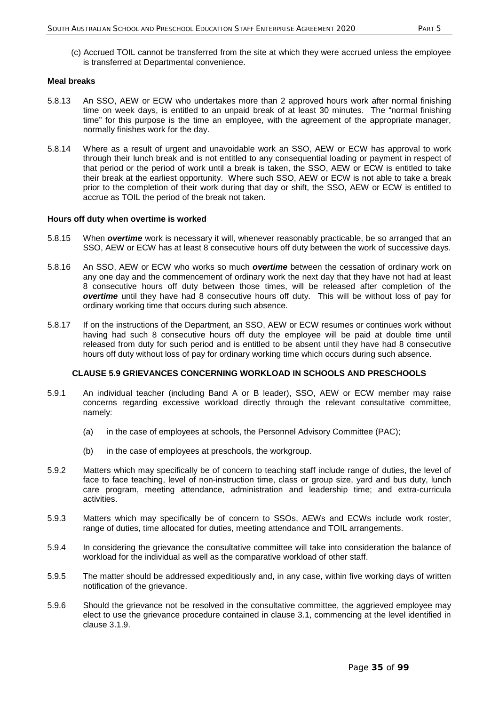(c) Accrued TOIL cannot be transferred from the site at which they were accrued unless the employee is transferred at Departmental convenience.

#### **Meal breaks**

- 5.8.13 An SSO, AEW or ECW who undertakes more than 2 approved hours work after normal finishing time on week days, is entitled to an unpaid break of at least 30 minutes. The "normal finishing time" for this purpose is the time an employee, with the agreement of the appropriate manager, normally finishes work for the day.
- 5.8.14 Where as a result of urgent and unavoidable work an SSO, AEW or ECW has approval to work through their lunch break and is not entitled to any consequential loading or payment in respect of that period or the period of work until a break is taken, the SSO, AEW or ECW is entitled to take their break at the earliest opportunity. Where such SSO, AEW or ECW is not able to take a break prior to the completion of their work during that day or shift, the SSO, AEW or ECW is entitled to accrue as TOIL the period of the break not taken.

#### **Hours off duty when overtime is worked**

- 5.8.15 When *overtime* work is necessary it will, whenever reasonably practicable, be so arranged that an SSO, AEW or ECW has at least 8 consecutive hours off duty between the work of successive days.
- 5.8.16 An SSO, AEW or ECW who works so much *overtime* between the cessation of ordinary work on any one day and the commencement of ordinary work the next day that they have not had at least 8 consecutive hours off duty between those times, will be released after completion of the *overtime* until they have had 8 consecutive hours off duty. This will be without loss of pay for ordinary working time that occurs during such absence.
- 5.8.17 If on the instructions of the Department, an SSO, AEW or ECW resumes or continues work without having had such 8 consecutive hours off duty the employee will be paid at double time until released from duty for such period and is entitled to be absent until they have had 8 consecutive hours off duty without loss of pay for ordinary working time which occurs during such absence.

## **CLAUSE 5.9 GRIEVANCES CONCERNING WORKLOAD IN SCHOOLS AND PRESCHOOLS**

- 5.9.1 An individual teacher (including Band A or B leader), SSO, AEW or ECW member may raise concerns regarding excessive workload directly through the relevant consultative committee, namely:
	- (a) in the case of employees at schools, the Personnel Advisory Committee (PAC);
	- (b) in the case of employees at preschools, the workgroup.
- 5.9.2 Matters which may specifically be of concern to teaching staff include range of duties, the level of face to face teaching, level of non-instruction time, class or group size, yard and bus duty, lunch care program, meeting attendance, administration and leadership time; and extra-curricula activities.
- 5.9.3 Matters which may specifically be of concern to SSOs, AEWs and ECWs include work roster, range of duties, time allocated for duties, meeting attendance and TOIL arrangements.
- 5.9.4 In considering the grievance the consultative committee will take into consideration the balance of workload for the individual as well as the comparative workload of other staff.
- 5.9.5 The matter should be addressed expeditiously and, in any case, within five working days of written notification of the grievance.
- 5.9.6 Should the grievance not be resolved in the consultative committee, the aggrieved employee may elect to use the grievance procedure contained in clause 3.1, commencing at the level identified in clause 3.1.9.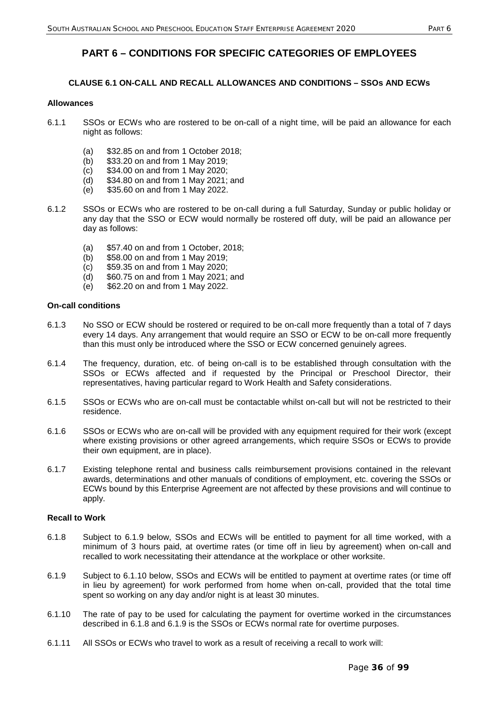# **PART 6 – CONDITIONS FOR SPECIFIC CATEGORIES OF EMPLOYEES**

# **CLAUSE 6.1 ON-CALL AND RECALL ALLOWANCES AND CONDITIONS – SSOs AND ECWs**

#### **Allowances**

- 6.1.1 SSOs or ECWs who are rostered to be on-call of a night time, will be paid an allowance for each night as follows:
	- (a) \$32.85 on and from 1 October 2018;
	- (b) \$33.20 on and from 1 May 2019;
	- (c) \$34.00 on and from 1 May 2020;
	- (d) \$34.80 on and from 1 May 2021; and
	- (e) \$35.60 on and from 1 May 2022.
- 6.1.2 SSOs or ECWs who are rostered to be on-call during a full Saturday, Sunday or public holiday or any day that the SSO or ECW would normally be rostered off duty, will be paid an allowance per day as follows:
	- (a)  $$57.40$  on and from 1 October, 2018;<br>(b)  $$58.00$  on and from 1 May 2019;
	- \$58.00 on and from 1 May 2019;
	- (c) \$59.35 on and from 1 May 2020;
	- (d) \$60.75 on and from 1 May 2021; and
	- (e) \$62.20 on and from 1 May 2022.

#### **On-call conditions**

- 6.1.3 No SSO or ECW should be rostered or required to be on-call more frequently than a total of 7 days every 14 days. Any arrangement that would require an SSO or ECW to be on-call more frequently than this must only be introduced where the SSO or ECW concerned genuinely agrees.
- 6.1.4 The frequency, duration, etc. of being on-call is to be established through consultation with the SSOs or ECWs affected and if requested by the Principal or Preschool Director, their representatives, having particular regard to Work Health and Safety considerations.
- 6.1.5 SSOs or ECWs who are on-call must be contactable whilst on-call but will not be restricted to their residence.
- 6.1.6 SSOs or ECWs who are on-call will be provided with any equipment required for their work (except where existing provisions or other agreed arrangements, which require SSOs or ECWs to provide their own equipment, are in place).
- 6.1.7 Existing telephone rental and business calls reimbursement provisions contained in the relevant awards, determinations and other manuals of conditions of employment, etc. covering the SSOs or ECWs bound by this Enterprise Agreement are not affected by these provisions and will continue to apply.

### **Recall to Work**

- 6.1.8 Subject to 6.1.9 below, SSOs and ECWs will be entitled to payment for all time worked, with a minimum of 3 hours paid, at overtime rates (or time off in lieu by agreement) when on-call and recalled to work necessitating their attendance at the workplace or other worksite.
- 6.1.9 Subject to 6.1.10 below, SSOs and ECWs will be entitled to payment at overtime rates (or time off in lieu by agreement) for work performed from home when on-call, provided that the total time spent so working on any day and/or night is at least 30 minutes.
- 6.1.10 The rate of pay to be used for calculating the payment for overtime worked in the circumstances described in 6.1.8 and 6.1.9 is the SSOs or ECWs normal rate for overtime purposes.
- 6.1.11 All SSOs or ECWs who travel to work as a result of receiving a recall to work will: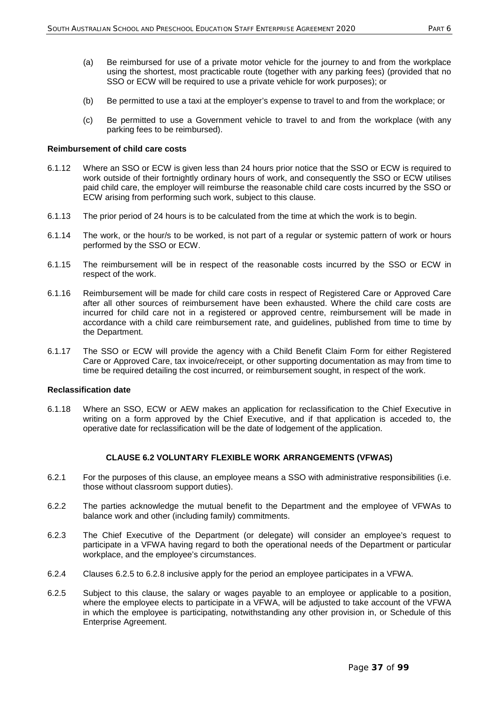- (a) Be reimbursed for use of a private motor vehicle for the journey to and from the workplace using the shortest, most practicable route (together with any parking fees) (provided that no SSO or ECW will be required to use a private vehicle for work purposes); or
- (b) Be permitted to use a taxi at the employer's expense to travel to and from the workplace; or
- (c) Be permitted to use a Government vehicle to travel to and from the workplace (with any parking fees to be reimbursed).

#### **Reimbursement of child care costs**

- 6.1.12 Where an SSO or ECW is given less than 24 hours prior notice that the SSO or ECW is required to work outside of their fortnightly ordinary hours of work, and consequently the SSO or ECW utilises paid child care, the employer will reimburse the reasonable child care costs incurred by the SSO or ECW arising from performing such work, subject to this clause.
- 6.1.13 The prior period of 24 hours is to be calculated from the time at which the work is to begin.
- 6.1.14 The work, or the hour/s to be worked, is not part of a regular or systemic pattern of work or hours performed by the SSO or ECW.
- 6.1.15 The reimbursement will be in respect of the reasonable costs incurred by the SSO or ECW in respect of the work.
- 6.1.16 Reimbursement will be made for child care costs in respect of Registered Care or Approved Care after all other sources of reimbursement have been exhausted. Where the child care costs are incurred for child care not in a registered or approved centre, reimbursement will be made in accordance with a child care reimbursement rate, and guidelines, published from time to time by the Department.
- 6.1.17 The SSO or ECW will provide the agency with a Child Benefit Claim Form for either Registered Care or Approved Care, tax invoice/receipt, or other supporting documentation as may from time to time be required detailing the cost incurred, or reimbursement sought, in respect of the work.

#### **Reclassification date**

6.1.18 Where an SSO, ECW or AEW makes an application for reclassification to the Chief Executive in writing on a form approved by the Chief Executive, and if that application is acceded to, the operative date for reclassification will be the date of lodgement of the application.

#### **CLAUSE 6.2 VOLUNTARY FLEXIBLE WORK ARRANGEMENTS (VFWAS)**

- 6.2.1 For the purposes of this clause, an employee means a SSO with administrative responsibilities (i.e. those without classroom support duties).
- 6.2.2 The parties acknowledge the mutual benefit to the Department and the employee of VFWAs to balance work and other (including family) commitments.
- 6.2.3 The Chief Executive of the Department (or delegate) will consider an employee's request to participate in a VFWA having regard to both the operational needs of the Department or particular workplace, and the employee's circumstances.
- 6.2.4 Clauses 6.2.5 to 6.2.8 inclusive apply for the period an employee participates in a VFWA.
- 6.2.5 Subject to this clause, the salary or wages payable to an employee or applicable to a position, where the employee elects to participate in a VFWA, will be adjusted to take account of the VFWA in which the employee is participating, notwithstanding any other provision in, or Schedule of this Enterprise Agreement.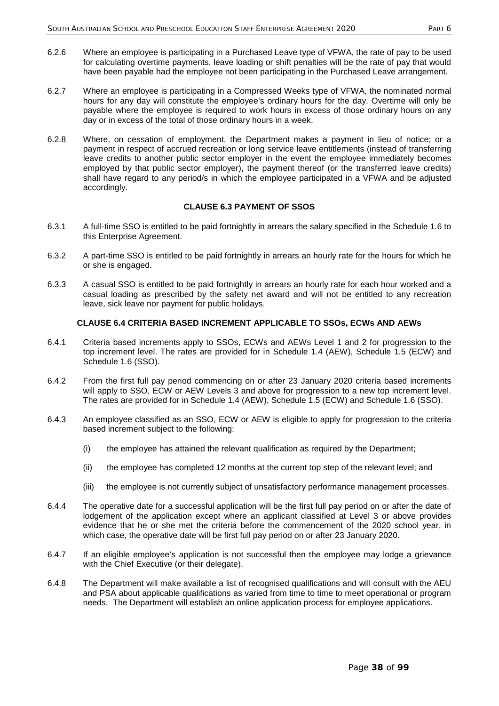- 6.2.6 Where an employee is participating in a Purchased Leave type of VFWA, the rate of pay to be used for calculating overtime payments, leave loading or shift penalties will be the rate of pay that would have been payable had the employee not been participating in the Purchased Leave arrangement.
- 6.2.7 Where an employee is participating in a Compressed Weeks type of VFWA, the nominated normal hours for any day will constitute the employee's ordinary hours for the day. Overtime will only be payable where the employee is required to work hours in excess of those ordinary hours on any day or in excess of the total of those ordinary hours in a week.
- 6.2.8 Where, on cessation of employment, the Department makes a payment in lieu of notice; or a payment in respect of accrued recreation or long service leave entitlements (instead of transferring leave credits to another public sector employer in the event the employee immediately becomes employed by that public sector employer), the payment thereof (or the transferred leave credits) shall have regard to any period/s in which the employee participated in a VFWA and be adjusted accordingly.

## **CLAUSE 6.3 PAYMENT OF SSOS**

- 6.3.1 A full-time SSO is entitled to be paid fortnightly in arrears the salary specified in the Schedule 1.6 to this Enterprise Agreement.
- 6.3.2 A part-time SSO is entitled to be paid fortnightly in arrears an hourly rate for the hours for which he or she is engaged.
- 6.3.3 A casual SSO is entitled to be paid fortnightly in arrears an hourly rate for each hour worked and a casual loading as prescribed by the safety net award and will not be entitled to any recreation leave, sick leave nor payment for public holidays.

## **CLAUSE 6.4 CRITERIA BASED INCREMENT APPLICABLE TO SSOs, ECWs AND AEWs**

- 6.4.1 Criteria based increments apply to SSOs, ECWs and AEWs Level 1 and 2 for progression to the top increment level. The rates are provided for in Schedule 1.4 (AEW), Schedule 1.5 (ECW) and Schedule 1.6 (SSO).
- 6.4.2 From the first full pay period commencing on or after 23 January 2020 criteria based increments will apply to SSO, ECW or AEW Levels 3 and above for progression to a new top increment level. The rates are provided for in Schedule 1.4 (AEW), Schedule 1.5 (ECW) and Schedule 1.6 (SSO).
- 6.4.3 An employee classified as an SSO, ECW or AEW is eligible to apply for progression to the criteria based increment subject to the following:
	- (i) the employee has attained the relevant qualification as required by the Department;
	- (ii) the employee has completed 12 months at the current top step of the relevant level; and
	- (iii) the employee is not currently subject of unsatisfactory performance management processes.
- 6.4.4 The operative date for a successful application will be the first full pay period on or after the date of lodgement of the application except where an applicant classified at Level 3 or above provides evidence that he or she met the criteria before the commencement of the 2020 school year, in which case, the operative date will be first full pay period on or after 23 January 2020.
- 6.4.7 If an eligible employee's application is not successful then the employee may lodge a grievance with the Chief Executive (or their delegate).
- 6.4.8 The Department will make available a list of recognised qualifications and will consult with the AEU and PSA about applicable qualifications as varied from time to time to meet operational or program needs. The Department will establish an online application process for employee applications.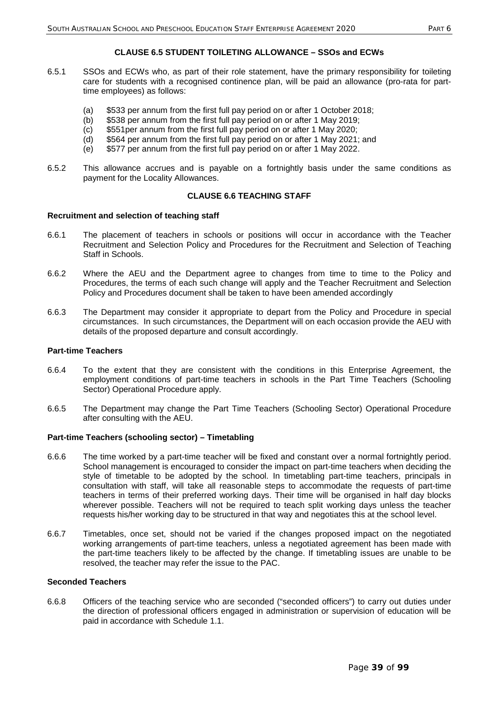## **CLAUSE 6.5 STUDENT TOILETING ALLOWANCE – SSOs and ECWs**

- 6.5.1 SSOs and ECWs who, as part of their role statement, have the primary responsibility for toileting care for students with a recognised continence plan, will be paid an allowance (pro-rata for parttime employees) as follows:
	- (a) \$533 per annum from the first full pay period on or after 1 October 2018;
	- (b) \$538 per annum from the first full pay period on or after 1 May 2019;
	- (c) \$551per annum from the first full pay period on or after 1 May 2020;
	- (d) \$564 per annum from the first full pay period on or after 1 May 2021; and
	- (e) \$577 per annum from the first full pay period on or after 1 May 2022.
- 6.5.2 This allowance accrues and is payable on a fortnightly basis under the same conditions as payment for the Locality Allowances.

## **CLAUSE 6.6 TEACHING STAFF**

#### **Recruitment and selection of teaching staff**

- 6.6.1 The placement of teachers in schools or positions will occur in accordance with the Teacher Recruitment and Selection Policy and Procedures for the Recruitment and Selection of Teaching Staff in Schools.
- 6.6.2 Where the AEU and the Department agree to changes from time to time to the Policy and Procedures, the terms of each such change will apply and the Teacher Recruitment and Selection Policy and Procedures document shall be taken to have been amended accordingly
- 6.6.3 The Department may consider it appropriate to depart from the Policy and Procedure in special circumstances. In such circumstances, the Department will on each occasion provide the AEU with details of the proposed departure and consult accordingly.

#### **Part-time Teachers**

- 6.6.4 To the extent that they are consistent with the conditions in this Enterprise Agreement, the employment conditions of part-time teachers in schools in the Part Time Teachers (Schooling Sector) Operational Procedure apply.
- 6.6.5 The Department may change the Part Time Teachers (Schooling Sector) Operational Procedure after consulting with the AEU.

#### **Part-time Teachers (schooling sector) – Timetabling**

- 6.6.6 The time worked by a part-time teacher will be fixed and constant over a normal fortnightly period. School management is encouraged to consider the impact on part-time teachers when deciding the style of timetable to be adopted by the school. In timetabling part-time teachers, principals in consultation with staff, will take all reasonable steps to accommodate the requests of part-time teachers in terms of their preferred working days. Their time will be organised in half day blocks wherever possible. Teachers will not be required to teach split working days unless the teacher requests his/her working day to be structured in that way and negotiates this at the school level.
- 6.6.7 Timetables, once set, should not be varied if the changes proposed impact on the negotiated working arrangements of part-time teachers, unless a negotiated agreement has been made with the part-time teachers likely to be affected by the change. If timetabling issues are unable to be resolved, the teacher may refer the issue to the PAC.

## **Seconded Teachers**

6.6.8 Officers of the teaching service who are seconded ("seconded officers") to carry out duties under the direction of professional officers engaged in administration or supervision of education will be paid in accordance with Schedule 1.1.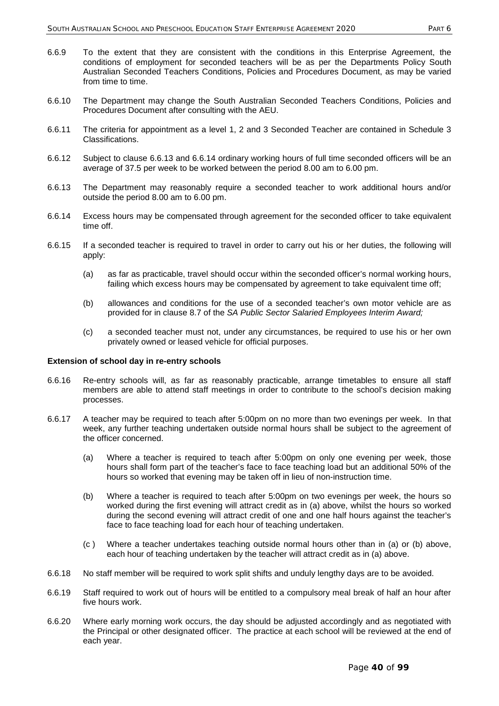- 6.6.9 To the extent that they are consistent with the conditions in this Enterprise Agreement, the conditions of employment for seconded teachers will be as per the Departments Policy South Australian Seconded Teachers Conditions, Policies and Procedures Document, as may be varied from time to time.
- 6.6.10 The Department may change the South Australian Seconded Teachers Conditions, Policies and Procedures Document after consulting with the AEU.
- 6.6.11 The criteria for appointment as a level 1, 2 and 3 Seconded Teacher are contained in Schedule 3 Classifications.
- 6.6.12 Subject to clause 6.6.13 and 6.6.14 ordinary working hours of full time seconded officers will be an average of 37.5 per week to be worked between the period 8.00 am to 6.00 pm.
- 6.6.13 The Department may reasonably require a seconded teacher to work additional hours and/or outside the period 8.00 am to 6.00 pm.
- 6.6.14 Excess hours may be compensated through agreement for the seconded officer to take equivalent time off.
- 6.6.15 If a seconded teacher is required to travel in order to carry out his or her duties, the following will apply:
	- (a) as far as practicable, travel should occur within the seconded officer's normal working hours, failing which excess hours may be compensated by agreement to take equivalent time off;
	- (b) allowances and conditions for the use of a seconded teacher's own motor vehicle are as provided for in clause 8.7 of the *SA Public Sector Salaried Employees Interim Award;*
	- (c) a seconded teacher must not, under any circumstances, be required to use his or her own privately owned or leased vehicle for official purposes.

#### **Extension of school day in re-entry schools**

- 6.6.16 Re-entry schools will, as far as reasonably practicable, arrange timetables to ensure all staff members are able to attend staff meetings in order to contribute to the school's decision making processes.
- 6.6.17 A teacher may be required to teach after 5:00pm on no more than two evenings per week. In that week, any further teaching undertaken outside normal hours shall be subject to the agreement of the officer concerned.
	- (a) Where a teacher is required to teach after 5:00pm on only one evening per week, those hours shall form part of the teacher's face to face teaching load but an additional 50% of the hours so worked that evening may be taken off in lieu of non-instruction time.
	- (b) Where a teacher is required to teach after 5:00pm on two evenings per week, the hours so worked during the first evening will attract credit as in (a) above, whilst the hours so worked during the second evening will attract credit of one and one half hours against the teacher's face to face teaching load for each hour of teaching undertaken.
	- (c ) Where a teacher undertakes teaching outside normal hours other than in (a) or (b) above, each hour of teaching undertaken by the teacher will attract credit as in (a) above.
- 6.6.18 No staff member will be required to work split shifts and unduly lengthy days are to be avoided.
- 6.6.19 Staff required to work out of hours will be entitled to a compulsory meal break of half an hour after five hours work.
- 6.6.20 Where early morning work occurs, the day should be adjusted accordingly and as negotiated with the Principal or other designated officer. The practice at each school will be reviewed at the end of each year.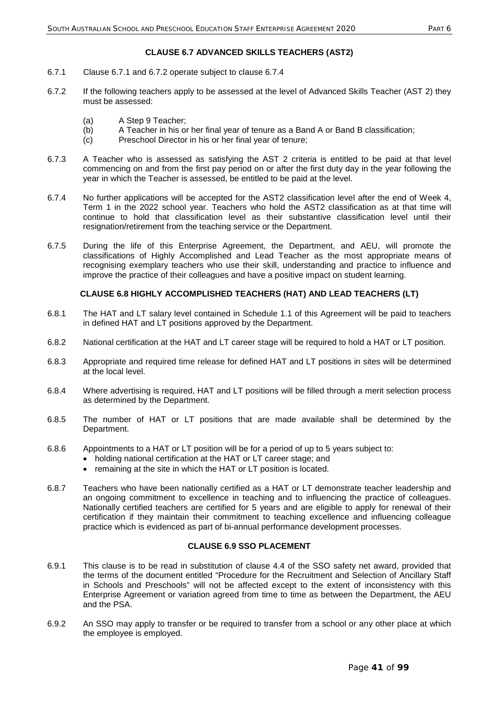## **CLAUSE 6.7 ADVANCED SKILLS TEACHERS (AST2)**

- 6.7.1 Clause 6.7.1 and 6.7.2 operate subject to clause 6.7.4
- 6.7.2 If the following teachers apply to be assessed at the level of Advanced Skills Teacher (AST 2) they must be assessed:
	- (a) A Step 9 Teacher;
	- (b) A Teacher in his or her final year of tenure as a Band A or Band B classification;<br>(c) Preschool Director in his or her final year of tenure;
	- Preschool Director in his or her final year of tenure;
- 6.7.3 A Teacher who is assessed as satisfying the AST 2 criteria is entitled to be paid at that level commencing on and from the first pay period on or after the first duty day in the year following the year in which the Teacher is assessed, be entitled to be paid at the level.
- 6.7.4 No further applications will be accepted for the AST2 classification level after the end of Week 4, Term 1 in the 2022 school year. Teachers who hold the AST2 classification as at that time will continue to hold that classification level as their substantive classification level until their resignation/retirement from the teaching service or the Department.
- 6.7.5 During the life of this Enterprise Agreement, the Department, and AEU, will promote the classifications of Highly Accomplished and Lead Teacher as the most appropriate means of recognising exemplary teachers who use their skill, understanding and practice to influence and improve the practice of their colleagues and have a positive impact on student learning.

## **CLAUSE 6.8 HIGHLY ACCOMPLISHED TEACHERS (HAT) AND LEAD TEACHERS (LT)**

- 6.8.1 The HAT and LT salary level contained in Schedule 1.1 of this Agreement will be paid to teachers in defined HAT and LT positions approved by the Department.
- 6.8.2 National certification at the HAT and LT career stage will be required to hold a HAT or LT position.
- 6.8.3 Appropriate and required time release for defined HAT and LT positions in sites will be determined at the local level.
- 6.8.4 Where advertising is required, HAT and LT positions will be filled through a merit selection process as determined by the Department.
- 6.8.5 The number of HAT or LT positions that are made available shall be determined by the Department.
- 6.8.6 Appointments to a HAT or LT position will be for a period of up to 5 years subject to:
	- holding national certification at the HAT or LT career stage; and
	- remaining at the site in which the HAT or LT position is located.
- 6.8.7 Teachers who have been nationally certified as a HAT or LT demonstrate teacher leadership and an ongoing commitment to excellence in teaching and to influencing the practice of colleagues. Nationally certified teachers are certified for 5 years and are eligible to apply for renewal of their certification if they maintain their commitment to teaching excellence and influencing colleague practice which is evidenced as part of bi-annual performance development processes.

## **CLAUSE 6.9 SSO PLACEMENT**

- 6.9.1 This clause is to be read in substitution of clause 4.4 of the SSO safety net award, provided that the terms of the document entitled "Procedure for the Recruitment and Selection of Ancillary Staff in Schools and Preschools" will not be affected except to the extent of inconsistency with this Enterprise Agreement or variation agreed from time to time as between the Department, the AEU and the PSA.
- 6.9.2 An SSO may apply to transfer or be required to transfer from a school or any other place at which the employee is employed.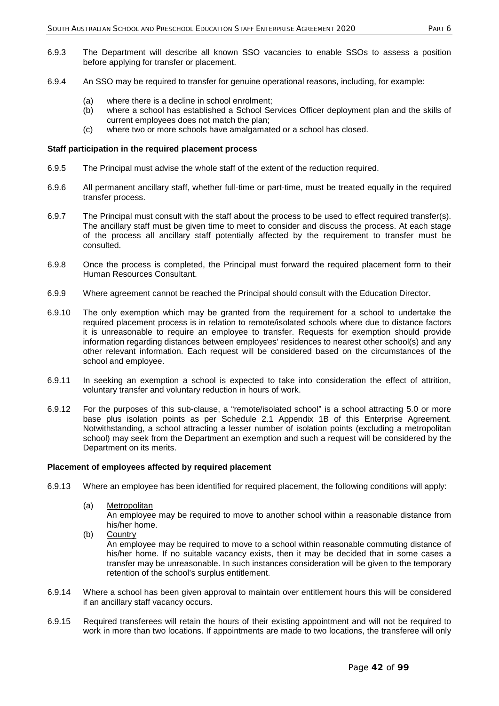- 6.9.3 The Department will describe all known SSO vacancies to enable SSOs to assess a position before applying for transfer or placement.
- 6.9.4 An SSO may be required to transfer for genuine operational reasons, including, for example:
	- (a) where there is a decline in school enrolment;
	- (b) where a school has established a School Services Officer deployment plan and the skills of current employees does not match the plan;
	- (c) where two or more schools have amalgamated or a school has closed.

#### **Staff participation in the required placement process**

- 6.9.5 The Principal must advise the whole staff of the extent of the reduction required.
- 6.9.6 All permanent ancillary staff, whether full-time or part-time, must be treated equally in the required transfer process.
- 6.9.7 The Principal must consult with the staff about the process to be used to effect required transfer(s). The ancillary staff must be given time to meet to consider and discuss the process. At each stage of the process all ancillary staff potentially affected by the requirement to transfer must be consulted.
- 6.9.8 Once the process is completed, the Principal must forward the required placement form to their Human Resources Consultant.
- 6.9.9 Where agreement cannot be reached the Principal should consult with the Education Director.
- 6.9.10 The only exemption which may be granted from the requirement for a school to undertake the required placement process is in relation to remote/isolated schools where due to distance factors it is unreasonable to require an employee to transfer. Requests for exemption should provide information regarding distances between employees' residences to nearest other school(s) and any other relevant information. Each request will be considered based on the circumstances of the school and employee.
- 6.9.11 In seeking an exemption a school is expected to take into consideration the effect of attrition, voluntary transfer and voluntary reduction in hours of work.
- 6.9.12 For the purposes of this sub-clause, a "remote/isolated school" is a school attracting 5.0 or more base plus isolation points as per Schedule 2.1 Appendix 1B of this Enterprise Agreement. Notwithstanding, a school attracting a lesser number of isolation points (excluding a metropolitan school) may seek from the Department an exemption and such a request will be considered by the Department on its merits.

#### **Placement of employees affected by required placement**

- 6.9.13 Where an employee has been identified for required placement, the following conditions will apply:
	- (a) Metropolitan

An employee may be required to move to another school within a reasonable distance from his/her home.

- (b) Country An employee may be required to move to a school within reasonable commuting distance of his/her home. If no suitable vacancy exists, then it may be decided that in some cases a transfer may be unreasonable. In such instances consideration will be given to the temporary retention of the school's surplus entitlement.
- 6.9.14 Where a school has been given approval to maintain over entitlement hours this will be considered if an ancillary staff vacancy occurs.
- 6.9.15 Required transferees will retain the hours of their existing appointment and will not be required to work in more than two locations. If appointments are made to two locations, the transferee will only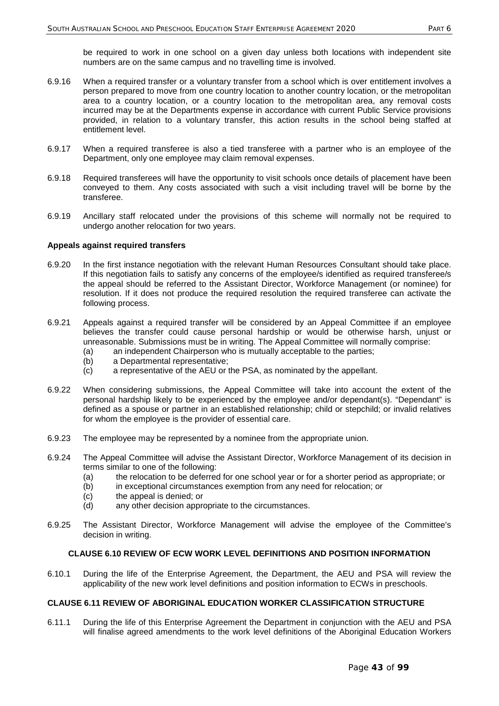be required to work in one school on a given day unless both locations with independent site numbers are on the same campus and no travelling time is involved.

- 6.9.16 When a required transfer or a voluntary transfer from a school which is over entitlement involves a person prepared to move from one country location to another country location, or the metropolitan area to a country location, or a country location to the metropolitan area, any removal costs incurred may be at the Departments expense in accordance with current Public Service provisions provided, in relation to a voluntary transfer, this action results in the school being staffed at entitlement level.
- 6.9.17 When a required transferee is also a tied transferee with a partner who is an employee of the Department, only one employee may claim removal expenses.
- 6.9.18 Required transferees will have the opportunity to visit schools once details of placement have been conveyed to them. Any costs associated with such a visit including travel will be borne by the transferee.
- 6.9.19 Ancillary staff relocated under the provisions of this scheme will normally not be required to undergo another relocation for two years.

#### **Appeals against required transfers**

- 6.9.20 In the first instance negotiation with the relevant Human Resources Consultant should take place. If this negotiation fails to satisfy any concerns of the employee/s identified as required transferee/s the appeal should be referred to the Assistant Director, Workforce Management (or nominee) for resolution. If it does not produce the required resolution the required transferee can activate the following process.
- 6.9.21 Appeals against a required transfer will be considered by an Appeal Committee if an employee believes the transfer could cause personal hardship or would be otherwise harsh, unjust or unreasonable. Submissions must be in writing. The Appeal Committee will normally comprise:
	- (a) an independent Chairperson who is mutually acceptable to the parties;
	- (b) a Departmental representative;<br>(c) a representative of the AEU or t
	- a representative of the AEU or the PSA, as nominated by the appellant.
- 6.9.22 When considering submissions, the Appeal Committee will take into account the extent of the personal hardship likely to be experienced by the employee and/or dependant(s). "Dependant" is defined as a spouse or partner in an established relationship; child or stepchild; or invalid relatives for whom the employee is the provider of essential care.
- 6.9.23 The employee may be represented by a nominee from the appropriate union.
- 6.9.24 The Appeal Committee will advise the Assistant Director, Workforce Management of its decision in terms similar to one of the following:
	- (a) the relocation to be deferred for one school year or for a shorter period as appropriate; or
	- (b) in exceptional circumstances exemption from any need for relocation; or
	- (c) the appeal is denied; or
	- (d) any other decision appropriate to the circumstances.
- 6.9.25 The Assistant Director, Workforce Management will advise the employee of the Committee's decision in writing.

## **CLAUSE 6.10 REVIEW OF ECW WORK LEVEL DEFINITIONS AND POSITION INFORMATION**

6.10.1 During the life of the Enterprise Agreement, the Department, the AEU and PSA will review the applicability of the new work level definitions and position information to ECWs in preschools.

### **CLAUSE 6.11 REVIEW OF ABORIGINAL EDUCATION WORKER CLASSIFICATION STRUCTURE**

6.11.1 During the life of this Enterprise Agreement the Department in conjunction with the AEU and PSA will finalise agreed amendments to the work level definitions of the Aboriginal Education Workers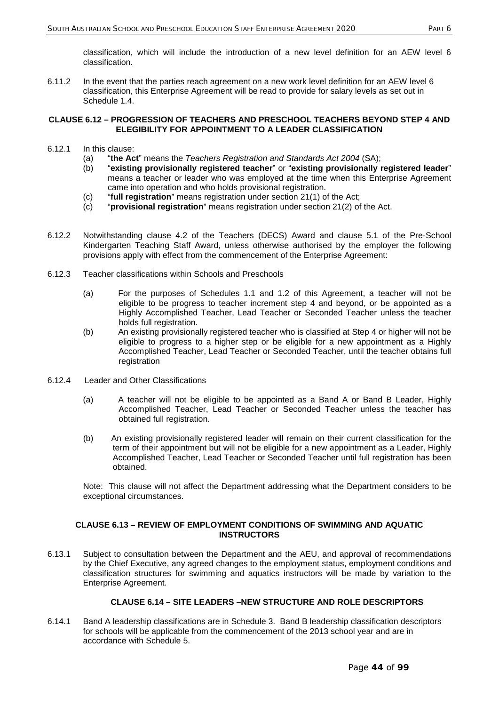classification, which will include the introduction of a new level definition for an AEW level 6 classification.

6.11.2 In the event that the parties reach agreement on a new work level definition for an AEW level 6 classification, this Enterprise Agreement will be read to provide for salary levels as set out in Schedule 1.4.

## **CLAUSE 6.12 – PROGRESSION OF TEACHERS AND PRESCHOOL TEACHERS BEYOND STEP 4 AND ELEGIBILITY FOR APPOINTMENT TO A LEADER CLASSIFICATION**

- 6.12.1 In this clause:
	- (a) "**the Act**" means the *Teachers Registration and Standards Act 2004* (SA);
	- (b) "**existing provisionally registered teacher**" or "**existing provisionally registered leader**" means a teacher or leader who was employed at the time when this Enterprise Agreement came into operation and who holds provisional registration.
	- (c) "**full registration**" means registration under section 21(1) of the Act;
	- (c) "**provisional registration**" means registration under section 21(2) of the Act.
- 6.12.2 Notwithstanding clause 4.2 of the Teachers (DECS) Award and clause 5.1 of the Pre-School Kindergarten Teaching Staff Award, unless otherwise authorised by the employer the following provisions apply with effect from the commencement of the Enterprise Agreement:
- 6.12.3 Teacher classifications within Schools and Preschools
	- (a) For the purposes of Schedules 1.1 and 1.2 of this Agreement, a teacher will not be eligible to be progress to teacher increment step 4 and beyond, or be appointed as a Highly Accomplished Teacher, Lead Teacher or Seconded Teacher unless the teacher holds full registration.
	- (b) An existing provisionally registered teacher who is classified at Step 4 or higher will not be eligible to progress to a higher step or be eligible for a new appointment as a Highly Accomplished Teacher, Lead Teacher or Seconded Teacher, until the teacher obtains full registration
- 6.12.4 Leader and Other Classifications
	- (a) A teacher will not be eligible to be appointed as a Band A or Band B Leader, Highly Accomplished Teacher, Lead Teacher or Seconded Teacher unless the teacher has obtained full registration.
	- (b) An existing provisionally registered leader will remain on their current classification for the term of their appointment but will not be eligible for a new appointment as a Leader, Highly Accomplished Teacher, Lead Teacher or Seconded Teacher until full registration has been obtained.

Note: This clause will not affect the Department addressing what the Department considers to be exceptional circumstances.

## **CLAUSE 6.13 – REVIEW OF EMPLOYMENT CONDITIONS OF SWIMMING AND AQUATIC INSTRUCTORS**

6.13.1 Subject to consultation between the Department and the AEU, and approval of recommendations by the Chief Executive, any agreed changes to the employment status, employment conditions and classification structures for swimming and aquatics instructors will be made by variation to the Enterprise Agreement.

# **CLAUSE 6.14 – SITE LEADERS –NEW STRUCTURE AND ROLE DESCRIPTORS**

6.14.1 Band A leadership classifications are in Schedule 3. Band B leadership classification descriptors for schools will be applicable from the commencement of the 2013 school year and are in accordance with Schedule 5.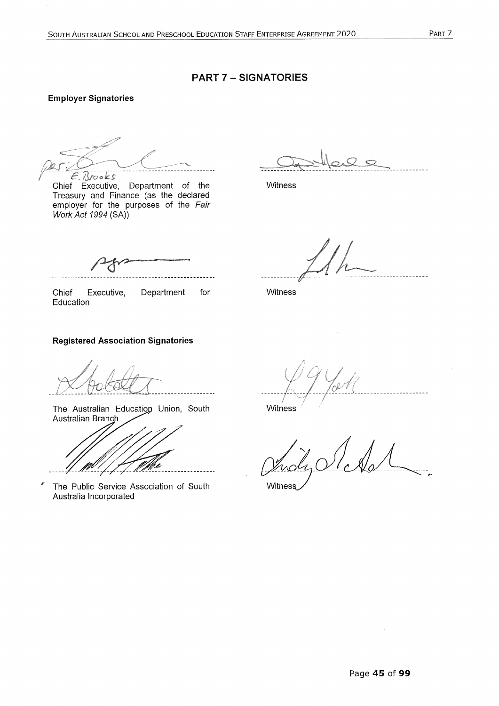# **PART 7 - SIGNATORIES**

# **Employer Signatories**

 $E.Brooks$ 

Chief Executive, Department of the Treasury and Finance (as the declared employer for the purposes of the Fair Work Act 1994 (SA))

**Witness** 

 $- - - -$ 

Chief Executive, Department for Witness Education

## **Registered Association Signatories**

The Australian Education Union, South Australian Branc

The Public Service Association of South Australia Incorporated

**Witness** 

Witness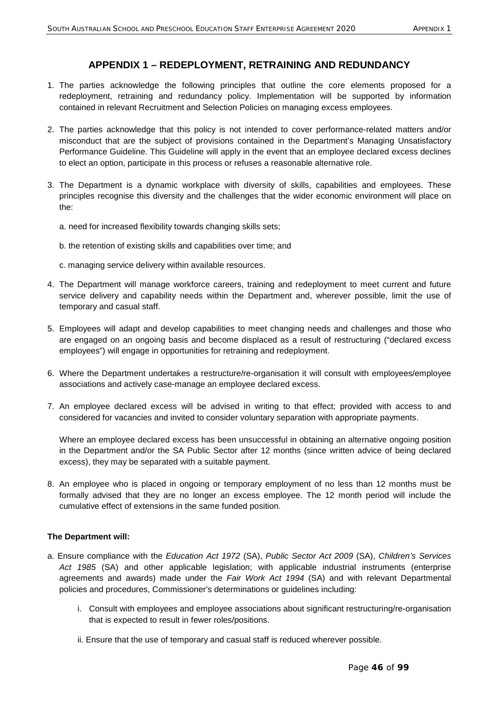# **APPENDIX 1 – REDEPLOYMENT, RETRAINING AND REDUNDANCY**

- 1. The parties acknowledge the following principles that outline the core elements proposed for a redeployment, retraining and redundancy policy. Implementation will be supported by information contained in relevant Recruitment and Selection Policies on managing excess employees.
- 2. The parties acknowledge that this policy is not intended to cover performance-related matters and/or misconduct that are the subject of provisions contained in the Department's Managing Unsatisfactory Performance Guideline. This Guideline will apply in the event that an employee declared excess declines to elect an option, participate in this process or refuses a reasonable alternative role.
- 3. The Department is a dynamic workplace with diversity of skills, capabilities and employees. These principles recognise this diversity and the challenges that the wider economic environment will place on the:
	- a. need for increased flexibility towards changing skills sets;
	- b. the retention of existing skills and capabilities over time; and
	- c. managing service delivery within available resources.
- 4. The Department will manage workforce careers, training and redeployment to meet current and future service delivery and capability needs within the Department and, wherever possible, limit the use of temporary and casual staff.
- 5. Employees will adapt and develop capabilities to meet changing needs and challenges and those who are engaged on an ongoing basis and become displaced as a result of restructuring ("declared excess employees") will engage in opportunities for retraining and redeployment.
- 6. Where the Department undertakes a restructure/re-organisation it will consult with employees/employee associations and actively case-manage an employee declared excess.
- 7. An employee declared excess will be advised in writing to that effect; provided with access to and considered for vacancies and invited to consider voluntary separation with appropriate payments.

Where an employee declared excess has been unsuccessful in obtaining an alternative ongoing position in the Department and/or the SA Public Sector after 12 months (since written advice of being declared excess), they may be separated with a suitable payment.

8. An employee who is placed in ongoing or temporary employment of no less than 12 months must be formally advised that they are no longer an excess employee. The 12 month period will include the cumulative effect of extensions in the same funded position.

## **The Department will:**

- a. Ensure compliance with the *Education Act 1972* (SA), *Public Sector Act 2009* (SA), *Children's Services Act 1985* (SA) and other applicable legislation; with applicable industrial instruments (enterprise agreements and awards) made under the *Fair Work Act 1994* (SA) and with relevant Departmental policies and procedures, Commissioner's determinations or guidelines including:
	- i. Consult with employees and employee associations about significant restructuring/re-organisation that is expected to result in fewer roles/positions.
	- ii. Ensure that the use of temporary and casual staff is reduced wherever possible.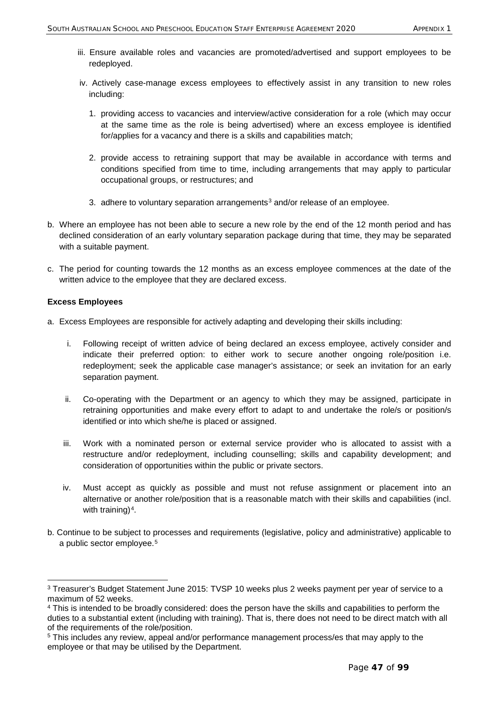- iii. Ensure available roles and vacancies are promoted/advertised and support employees to be redeployed.
- iv. Actively case-manage excess employees to effectively assist in any transition to new roles including:
	- 1. providing access to vacancies and interview/active consideration for a role (which may occur at the same time as the role is being advertised) where an excess employee is identified for/applies for a vacancy and there is a skills and capabilities match;
	- 2. provide access to retraining support that may be available in accordance with terms and conditions specified from time to time, including arrangements that may apply to particular occupational groups, or restructures; and
	- [3](#page-47-0). adhere to voluntary separation arrangements<sup>3</sup> and/or release of an employee.
- b. Where an employee has not been able to secure a new role by the end of the 12 month period and has declined consideration of an early voluntary separation package during that time, they may be separated with a suitable payment.
- c. The period for counting towards the 12 months as an excess employee commences at the date of the written advice to the employee that they are declared excess.

## **Excess Employees**

-

- a. Excess Employees are responsible for actively adapting and developing their skills including:
	- i. Following receipt of written advice of being declared an excess employee, actively consider and indicate their preferred option: to either work to secure another ongoing role/position i.e. redeployment; seek the applicable case manager's assistance; or seek an invitation for an early separation payment.
	- ii. Co-operating with the Department or an agency to which they may be assigned, participate in retraining opportunities and make every effort to adapt to and undertake the role/s or position/s identified or into which she/he is placed or assigned.
	- iii. Work with a nominated person or external service provider who is allocated to assist with a restructure and/or redeployment, including counselling; skills and capability development; and consideration of opportunities within the public or private sectors.
	- iv. Must accept as quickly as possible and must not refuse assignment or placement into an alternative or another role/position that is a reasonable match with their skills and capabilities (incl. with training) $4$ .
- b. Continue to be subject to processes and requirements (legislative, policy and administrative) applicable to a public sector employee.<sup>[5](#page-47-2)</sup>

<span id="page-47-0"></span><sup>&</sup>lt;sup>3</sup> Treasurer's Budget Statement June 2015: TVSP 10 weeks plus 2 weeks payment per year of service to a maximum of 52 weeks.

<span id="page-47-1"></span><sup>4</sup> This is intended to be broadly considered: does the person have the skills and capabilities to perform the duties to a substantial extent (including with training). That is, there does not need to be direct match with all of the requirements of the role/position.

<span id="page-47-2"></span><sup>&</sup>lt;sup>5</sup> This includes any review, appeal and/or performance management process/es that may apply to the employee or that may be utilised by the Department.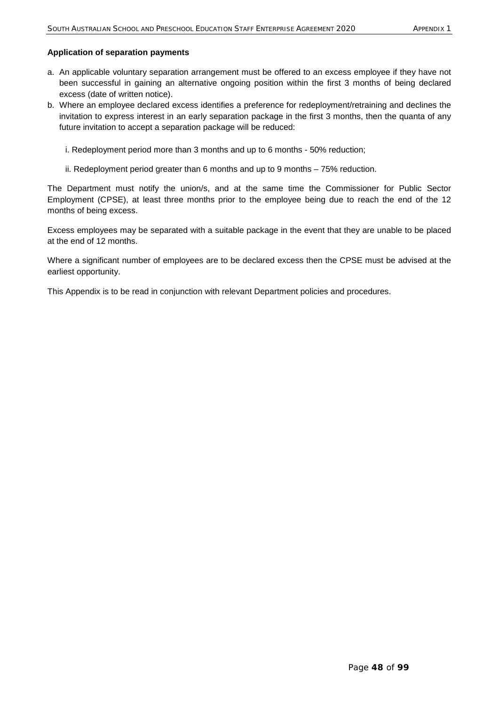### **Application of separation payments**

- a. An applicable voluntary separation arrangement must be offered to an excess employee if they have not been successful in gaining an alternative ongoing position within the first 3 months of being declared excess (date of written notice).
- b. Where an employee declared excess identifies a preference for redeployment/retraining and declines the invitation to express interest in an early separation package in the first 3 months, then the quanta of any future invitation to accept a separation package will be reduced:
	- i. Redeployment period more than 3 months and up to 6 months 50% reduction;
	- ii. Redeployment period greater than 6 months and up to 9 months 75% reduction.

The Department must notify the union/s, and at the same time the Commissioner for Public Sector Employment (CPSE), at least three months prior to the employee being due to reach the end of the 12 months of being excess.

Excess employees may be separated with a suitable package in the event that they are unable to be placed at the end of 12 months.

Where a significant number of employees are to be declared excess then the CPSE must be advised at the earliest opportunity.

This Appendix is to be read in conjunction with relevant Department policies and procedures.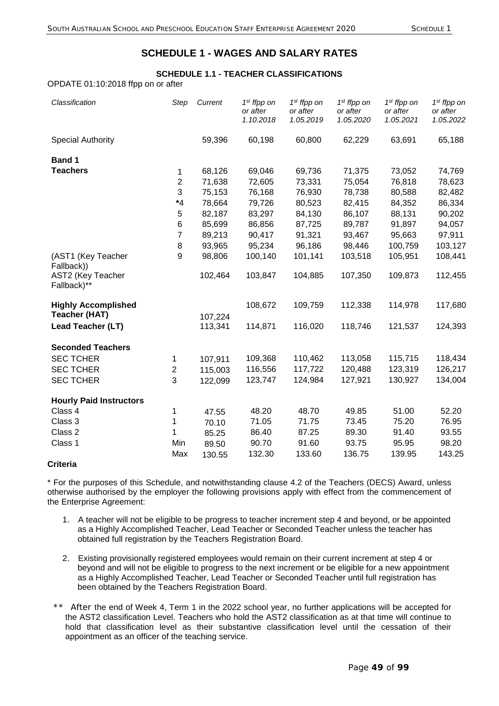# **SCHEDULE 1 - WAGES AND SALARY RATES**

# **SCHEDULE 1.1 - TEACHER CLASSIFICATIONS**

OPDATE 01:10:2018 ffpp on or after

| Classification                                     | Step             | Current            | $1st$ ffpp on<br>or after<br>1.10.2018 | $1st$ ffpp on<br>or after<br>1.05.2019 | $1st$ ffpp on<br>or after<br>1.05.2020 | $1st$ ffpp on<br>or after<br>1.05.2021 | $1st$ ffpp on<br>or after<br>1.05.2022 |
|----------------------------------------------------|------------------|--------------------|----------------------------------------|----------------------------------------|----------------------------------------|----------------------------------------|----------------------------------------|
| <b>Special Authority</b>                           |                  | 59,396             | 60,198                                 | 60,800                                 | 62,229                                 | 63,691                                 | 65,188                                 |
| <b>Band 1</b>                                      |                  |                    |                                        |                                        |                                        |                                        |                                        |
| <b>Teachers</b>                                    | $\mathbf{1}$     | 68,126             | 69,046                                 | 69,736                                 | 71,375                                 | 73,052                                 | 74,769                                 |
|                                                    | $\mathbf 2$      | 71,638             | 72,605                                 | 73,331                                 | 75,054                                 | 76,818                                 | 78,623                                 |
|                                                    | 3                | 75,153             | 76,168                                 | 76,930                                 | 78,738                                 | 80,588                                 | 82,482                                 |
|                                                    | $*_{4}$          | 78,664             | 79,726                                 | 80,523                                 | 82,415                                 | 84,352                                 | 86,334                                 |
|                                                    | 5                | 82,187             | 83,297                                 | 84,130                                 | 86,107                                 | 88,131                                 | 90,202                                 |
|                                                    | $\,6$            | 85,699             | 86,856                                 | 87,725                                 | 89,787                                 | 91,897                                 | 94,057                                 |
|                                                    | 7                | 89,213             | 90,417                                 | 91,321                                 | 93,467                                 | 95,663                                 | 97,911                                 |
|                                                    | 8                | 93,965             | 95,234                                 | 96,186                                 | 98,446                                 | 100,759                                | 103,127                                |
| (AST1 (Key Teacher<br>Fallback))                   | 9                | 98,806             | 100,140                                | 101,141                                | 103,518                                | 105,951                                | 108,441                                |
| AST2 (Key Teacher<br>Fallback)**                   |                  | 102,464            | 103,847                                | 104,885                                | 107,350                                | 109,873                                | 112,455                                |
| <b>Highly Accomplished</b><br><b>Teacher (HAT)</b> |                  |                    | 108,672                                | 109,759                                | 112,338                                | 114,978                                | 117,680                                |
| <b>Lead Teacher (LT)</b>                           |                  | 107,224<br>113,341 | 114,871                                | 116,020                                | 118,746                                | 121,537                                | 124,393                                |
| <b>Seconded Teachers</b>                           |                  |                    |                                        |                                        |                                        |                                        |                                        |
| <b>SEC TCHER</b>                                   | 1                | 107,911            | 109,368                                | 110,462                                | 113,058                                | 115,715                                | 118,434                                |
| <b>SEC TCHER</b>                                   | $\boldsymbol{2}$ | 115,003            | 116,556                                | 117,722                                | 120,488                                | 123,319                                | 126,217                                |
| <b>SEC TCHER</b>                                   | 3                | 122,099            | 123,747                                | 124,984                                | 127,921                                | 130,927                                | 134,004                                |
| <b>Hourly Paid Instructors</b>                     |                  |                    |                                        |                                        |                                        |                                        |                                        |
| Class 4                                            | 1                | 47.55              | 48.20                                  | 48.70                                  | 49.85                                  | 51.00                                  | 52.20                                  |
| Class 3                                            | 1                | 70.10              | 71.05                                  | 71.75                                  | 73.45                                  | 75.20                                  | 76.95                                  |
| Class 2                                            | 1                | 85.25              | 86.40                                  | 87.25                                  | 89.30                                  | 91.40                                  | 93.55                                  |
| Class 1                                            | Min              | 89.50              | 90.70                                  | 91.60                                  | 93.75                                  | 95.95                                  | 98.20                                  |
|                                                    | Max              | 130.55             | 132.30                                 | 133.60                                 | 136.75                                 | 139.95                                 | 143.25                                 |

# **Criteria**

\* For the purposes of this Schedule, and notwithstanding clause 4.2 of the Teachers (DECS) Award, unless otherwise authorised by the employer the following provisions apply with effect from the commencement of the Enterprise Agreement:

- 1. A teacher will not be eligible to be progress to teacher increment step 4 and beyond, or be appointed as a Highly Accomplished Teacher, Lead Teacher or Seconded Teacher unless the teacher has obtained full registration by the Teachers Registration Board.
- 2. Existing provisionally registered employees would remain on their current increment at step 4 or beyond and will not be eligible to progress to the next increment or be eligible for a new appointment as a Highly Accomplished Teacher, Lead Teacher or Seconded Teacher until full registration has been obtained by the Teachers Registration Board.
- \*\* After the end of Week 4, Term 1 in the 2022 school year, no further applications will be accepted for the AST2 classification Level. Teachers who hold the AST2 classification as at that time will continue to hold that classification level as their substantive classification level until the cessation of their appointment as an officer of the teaching service.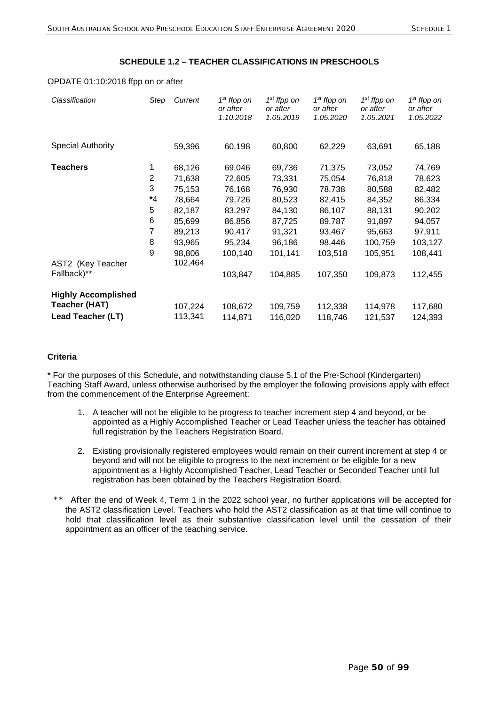## **SCHEDULE 1.2 – TEACHER CLASSIFICATIONS IN PRESCHOOLS**

#### OPDATE 01:10:2018 ffpp on or after

| Classification                                                   | Step                                       | Current                                                                                | 1 <sup>st</sup> ffpp on<br>or after<br>1.10.2018                                        | 1 <sup>st</sup> ffpp on<br>or after<br>1.05.2019                                        | 1 <sup>st</sup> ffpp on<br>or after<br>1.05.2020                                        | 1 <sup>st</sup> ffpp on<br>or after<br>1.05.2021                                         | 1 <sup>st</sup> ffpp on<br>or after<br>1.05.2022                                         |
|------------------------------------------------------------------|--------------------------------------------|----------------------------------------------------------------------------------------|-----------------------------------------------------------------------------------------|-----------------------------------------------------------------------------------------|-----------------------------------------------------------------------------------------|------------------------------------------------------------------------------------------|------------------------------------------------------------------------------------------|
| <b>Special Authority</b>                                         |                                            | 59,396                                                                                 | 60,198                                                                                  | 60,800                                                                                  | 62,229                                                                                  | 63,691                                                                                   | 65,188                                                                                   |
| Teachers                                                         | 1<br>2<br>3<br>*4<br>5<br>6<br>7<br>8<br>9 | 68,126<br>71,638<br>75,153<br>78,664<br>82,187<br>85,699<br>89,213<br>93,965<br>98,806 | 69,046<br>72,605<br>76,168<br>79,726<br>83,297<br>86,856<br>90,417<br>95,234<br>100,140 | 69,736<br>73,331<br>76,930<br>80,523<br>84,130<br>87,725<br>91,321<br>96,186<br>101,141 | 71,375<br>75,054<br>78,738<br>82,415<br>86,107<br>89,787<br>93,467<br>98,446<br>103,518 | 73,052<br>76,818<br>80,588<br>84,352<br>88,131<br>91,897<br>95,663<br>100,759<br>105,951 | 74,769<br>78,623<br>82,482<br>86,334<br>90,202<br>94,057<br>97,911<br>103,127<br>108,441 |
| AST2 (Key Teacher<br>Fallback)**                                 |                                            | 102,464                                                                                | 103,847                                                                                 | 104,885                                                                                 | 107,350                                                                                 | 109,873                                                                                  | 112,455                                                                                  |
| <b>Highly Accomplished</b><br>Teacher (HAT)<br>Lead Teacher (LT) |                                            | 107,224<br>113,341                                                                     | 108,672<br>114,871                                                                      | 109,759<br>116,020                                                                      | 112,338<br>118,746                                                                      | 114,978<br>121,537                                                                       | 117,680<br>124,393                                                                       |

# **Criteria**

\* For the purposes of this Schedule, and notwithstanding clause 5.1 of the Pre-School (Kindergarten) Teaching Staff Award, unless otherwise authorised by the employer the following provisions apply with effect from the commencement of the Enterprise Agreement:

- 1. A teacher will not be eligible to be progress to teacher increment step 4 and beyond, or be appointed as a Highly Accomplished Teacher or Lead Teacher unless the teacher has obtained full registration by the Teachers Registration Board.
- 2. Existing provisionally registered employees would remain on their current increment at step 4 or beyond and will not be eligible to progress to the next increment or be eligible for a new appointment as a Highly Accomplished Teacher, Lead Teacher or Seconded Teacher until full registration has been obtained by the Teachers Registration Board.
- \*\* After the end of Week 4, Term 1 in the 2022 school year, no further applications will be accepted for the AST2 classification Level. Teachers who hold the AST2 classification as at that time will continue to hold that classification level as their substantive classification level until the cessation of their appointment as an officer of the teaching service.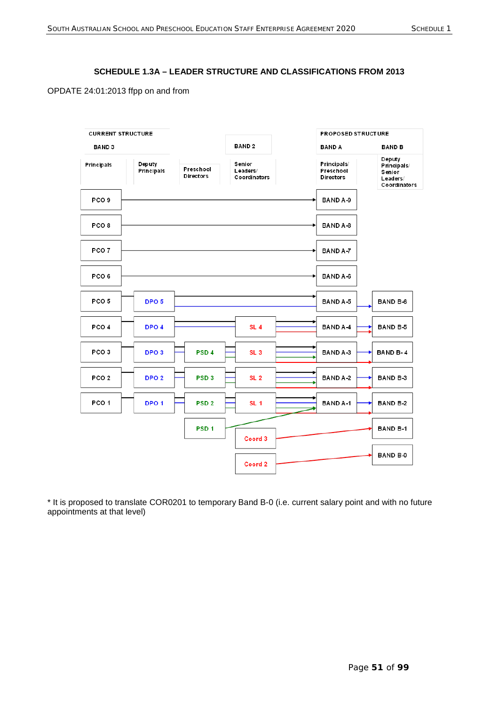## **SCHEDULE 1.3A – LEADER STRUCTURE AND CLASSIFICATIONS FROM 2013**

OPDATE 24:01:2013 ffpp on and from



\* It is proposed to translate COR0201 to temporary Band B-0 (i.e. current salary point and with no future appointments at that level)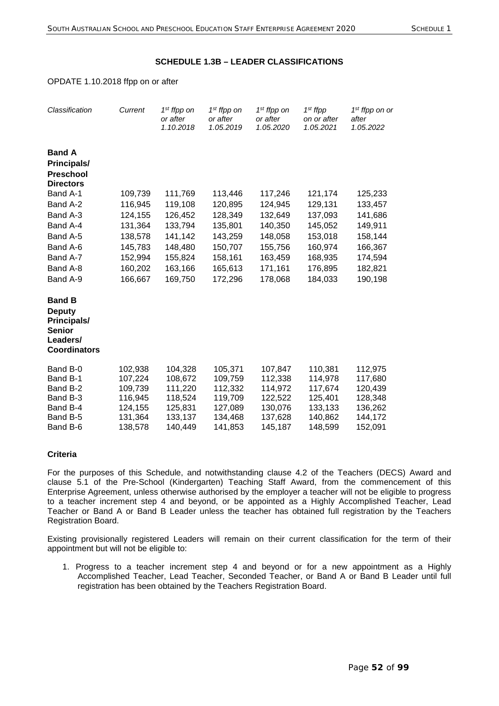## **SCHEDULE 1.3B – LEADER CLASSIFICATIONS**

#### OPDATE 1.10.2018 ffpp on or after

| Classification                                                                                    | Current                                                                   | 1 <sup>st</sup> ffpp on<br>or after<br>1.10.2018                          | 1 <sup>st</sup> ffpp on<br>or after<br>1.05.2019                          | $1st$ ffpp on<br>or after<br>1.05.2020                                    | $1st$ ffpp<br>on or after<br>1.05.2021                                    | 1 <sup>st</sup> ffpp on or<br>after<br>1.05.2022                          |
|---------------------------------------------------------------------------------------------------|---------------------------------------------------------------------------|---------------------------------------------------------------------------|---------------------------------------------------------------------------|---------------------------------------------------------------------------|---------------------------------------------------------------------------|---------------------------------------------------------------------------|
| <b>Band A</b><br><b>Principals/</b><br><b>Preschool</b><br><b>Directors</b>                       |                                                                           |                                                                           |                                                                           |                                                                           |                                                                           |                                                                           |
| Band A-1                                                                                          | 109,739                                                                   | 111,769                                                                   | 113,446                                                                   | 117,246                                                                   | 121,174                                                                   | 125,233                                                                   |
| Band A-2                                                                                          | 116,945                                                                   | 119,108                                                                   | 120,895                                                                   | 124,945                                                                   | 129,131                                                                   | 133,457                                                                   |
| Band A-3                                                                                          | 124,155                                                                   | 126,452                                                                   | 128,349                                                                   | 132,649                                                                   | 137,093                                                                   | 141,686                                                                   |
| Band A-4                                                                                          | 131,364                                                                   | 133,794                                                                   | 135,801                                                                   | 140,350                                                                   | 145,052                                                                   | 149,911                                                                   |
| Band A-5                                                                                          | 138,578                                                                   | 141,142                                                                   | 143,259                                                                   | 148,058                                                                   | 153,018                                                                   | 158,144                                                                   |
| Band A-6                                                                                          | 145,783                                                                   | 148,480                                                                   | 150,707                                                                   | 155,756                                                                   | 160,974                                                                   | 166,367                                                                   |
| Band A-7                                                                                          | 152,994                                                                   | 155,824                                                                   | 158,161                                                                   | 163,459                                                                   | 168,935                                                                   | 174,594                                                                   |
| Band A-8                                                                                          | 160,202                                                                   | 163,166                                                                   | 165,613                                                                   | 171,161                                                                   | 176,895                                                                   | 182,821                                                                   |
| Band A-9                                                                                          | 166,667                                                                   | 169,750                                                                   | 172,296                                                                   | 178,068                                                                   | 184,033                                                                   | 190,198                                                                   |
| <b>Band B</b><br><b>Deputy</b><br>Principals/<br><b>Senior</b><br>Leaders/<br><b>Coordinators</b> |                                                                           |                                                                           |                                                                           |                                                                           |                                                                           |                                                                           |
| Band B-0<br>Band B-1<br>Band B-2<br>Band B-3<br>Band B-4<br>Band B-5<br>Band B-6                  | 102,938<br>107,224<br>109,739<br>116,945<br>124,155<br>131,364<br>138,578 | 104,328<br>108,672<br>111,220<br>118,524<br>125,831<br>133,137<br>140,449 | 105,371<br>109,759<br>112,332<br>119,709<br>127,089<br>134,468<br>141,853 | 107,847<br>112,338<br>114,972<br>122,522<br>130,076<br>137,628<br>145,187 | 110,381<br>114,978<br>117,674<br>125,401<br>133,133<br>140,862<br>148,599 | 112,975<br>117,680<br>120,439<br>128,348<br>136,262<br>144,172<br>152,091 |

## **Criteria**

For the purposes of this Schedule, and notwithstanding clause 4.2 of the Teachers (DECS) Award and clause 5.1 of the Pre-School (Kindergarten) Teaching Staff Award, from the commencement of this Enterprise Agreement, unless otherwise authorised by the employer a teacher will not be eligible to progress to a teacher increment step 4 and beyond, or be appointed as a Highly Accomplished Teacher, Lead Teacher or Band A or Band B Leader unless the teacher has obtained full registration by the Teachers Registration Board.

Existing provisionally registered Leaders will remain on their current classification for the term of their appointment but will not be eligible to:

1. Progress to a teacher increment step 4 and beyond or for a new appointment as a Highly Accomplished Teacher, Lead Teacher, Seconded Teacher, or Band A or Band B Leader until full registration has been obtained by the Teachers Registration Board.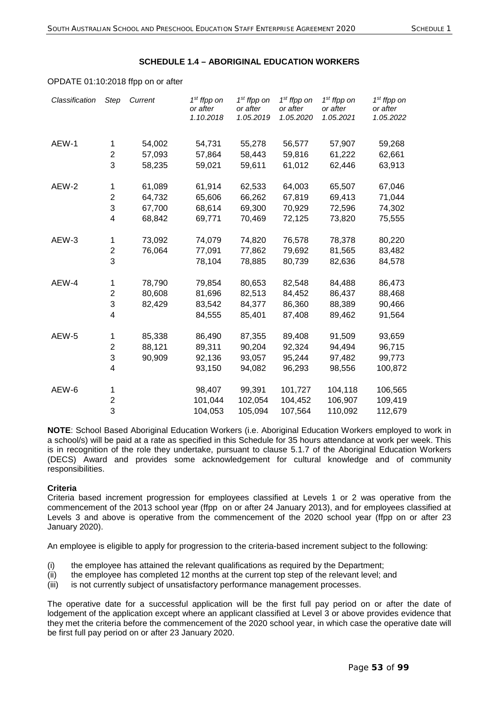### **SCHEDULE 1.4 – ABORIGINAL EDUCATION WORKERS**

#### OPDATE 01:10:2018 ffpp on or after

| Classification | <b>Step</b>             | Current | 1 <sup>st</sup> ffpp on<br>or after<br>1.10.2018 | $1st$ ffpp on<br>or after<br>1.05.2019 | 1 <sup>st</sup> ffpp on<br>or after<br>1.05.2020 | 1 <sup>st</sup> ffpp on<br>or after<br>1.05.2021 | 1 <sup>st</sup> ffpp on<br>or after<br>1.05.2022 |
|----------------|-------------------------|---------|--------------------------------------------------|----------------------------------------|--------------------------------------------------|--------------------------------------------------|--------------------------------------------------|
| AEW-1          | 1                       | 54,002  | 54,731                                           | 55,278                                 | 56,577                                           | 57,907                                           | 59,268                                           |
|                | $\overline{\mathbf{c}}$ | 57,093  | 57,864                                           | 58,443                                 | 59,816                                           | 61,222                                           | 62,661                                           |
|                | 3                       | 58,235  | 59,021                                           | 59,611                                 | 61,012                                           | 62,446                                           | 63,913                                           |
| AEW-2          | 1                       | 61,089  | 61,914                                           | 62,533                                 | 64,003                                           | 65,507                                           | 67,046                                           |
|                | $\overline{\mathbf{c}}$ | 64,732  | 65,606                                           | 66,262                                 | 67,819                                           | 69,413                                           | 71,044                                           |
|                | 3                       | 67,700  | 68,614                                           | 69,300                                 | 70,929                                           | 72,596                                           | 74,302                                           |
|                | 4                       | 68,842  | 69,771                                           | 70,469                                 | 72,125                                           | 73,820                                           | 75,555                                           |
| AEW-3          | 1                       | 73,092  | 74,079                                           | 74,820                                 | 76,578                                           | 78,378                                           | 80,220                                           |
|                | 2                       | 76,064  | 77,091                                           | 77,862                                 | 79,692                                           | 81,565                                           | 83,482                                           |
|                | 3                       |         | 78,104                                           | 78,885                                 | 80,739                                           | 82,636                                           | 84,578                                           |
| AEW-4          | 1                       | 78,790  | 79,854                                           | 80,653                                 | 82,548                                           | 84,488                                           | 86,473                                           |
|                | 2                       | 80,608  | 81,696                                           | 82,513                                 | 84,452                                           | 86,437                                           | 88,468                                           |
|                | 3                       | 82,429  | 83,542                                           | 84,377                                 | 86,360                                           | 88,389                                           | 90,466                                           |
|                | 4                       |         | 84,555                                           | 85,401                                 | 87,408                                           | 89,462                                           | 91,564                                           |
| AEW-5          | 1                       | 85,338  | 86,490                                           | 87,355                                 | 89,408                                           | 91,509                                           | 93,659                                           |
|                | 2                       | 88,121  | 89,311                                           | 90,204                                 | 92,324                                           | 94,494                                           | 96,715                                           |
|                | 3                       | 90,909  | 92,136                                           | 93,057                                 | 95,244                                           | 97,482                                           | 99,773                                           |
|                | 4                       |         | 93,150                                           | 94,082                                 | 96,293                                           | 98,556                                           | 100,872                                          |
| AEW-6          | 1                       |         | 98,407                                           | 99,391                                 | 101,727                                          | 104,118                                          | 106,565                                          |
|                | $\overline{2}$          |         | 101,044                                          | 102,054                                | 104,452                                          | 106,907                                          | 109,419                                          |
|                | 3                       |         | 104,053                                          | 105,094                                | 107,564                                          | 110,092                                          | 112,679                                          |

**NOTE**: School Based Aboriginal Education Workers (i.e. Aboriginal Education Workers employed to work in a school/s) will be paid at a rate as specified in this Schedule for 35 hours attendance at work per week. This is in recognition of the role they undertake, pursuant to clause 5.1.7 of the Aboriginal Education Workers (DECS) Award and provides some acknowledgement for cultural knowledge and of community responsibilities.

#### **Criteria**

Criteria based increment progression for employees classified at Levels 1 or 2 was operative from the commencement of the 2013 school year (ffpp on or after 24 January 2013), and for employees classified at Levels 3 and above is operative from the commencement of the 2020 school year (ffpp on or after 23 January 2020).

An employee is eligible to apply for progression to the criteria-based increment subject to the following:

- (i) the employee has attained the relevant qualifications as required by the Department;
- (ii) the employee has completed 12 months at the current top step of the relevant level; and
- (iii) is not currently subject of unsatisfactory performance management processes.

The operative date for a successful application will be the first full pay period on or after the date of lodgement of the application except where an applicant classified at Level 3 or above provides evidence that they met the criteria before the commencement of the 2020 school year, in which case the operative date will be first full pay period on or after 23 January 2020.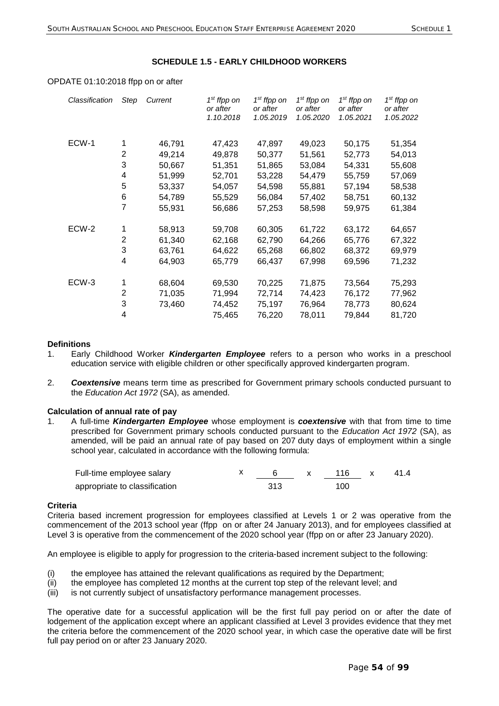## **SCHEDULE 1.5 - EARLY CHILDHOOD WORKERS**

| Classification | Step | Current | $1st$ ffpp on<br>or after<br>1.10.2018 | 1 <sup>st</sup> ffpp on<br>or after<br>1.05.2019 | $1st$ ffpp on<br>or after<br>1.05.2020 | $1st$ ffpp on<br>or after<br>1.05.2021 | $1st$ ffpp on<br>or after<br>1.05.2022 |
|----------------|------|---------|----------------------------------------|--------------------------------------------------|----------------------------------------|----------------------------------------|----------------------------------------|
| ECW-1          | 1    | 46,791  | 47,423                                 | 47,897                                           | 49,023                                 | 50,175                                 | 51,354                                 |
|                | 2    | 49,214  | 49,878                                 | 50,377                                           | 51,561                                 | 52,773                                 | 54,013                                 |
|                | 3    | 50,667  | 51,351                                 | 51,865                                           | 53,084                                 | 54,331                                 | 55,608                                 |
|                | 4    | 51,999  | 52,701                                 | 53,228                                           | 54,479                                 | 55,759                                 | 57,069                                 |
|                | 5    | 53,337  | 54,057                                 | 54,598                                           | 55,881                                 | 57,194                                 | 58,538                                 |
|                | 6    | 54,789  | 55,529                                 | 56,084                                           | 57,402                                 | 58,751                                 | 60,132                                 |
|                | 7    | 55,931  | 56,686                                 | 57,253                                           | 58,598                                 | 59,975                                 | 61,384                                 |
| ECW-2          | 1    | 58,913  | 59,708                                 | 60,305                                           | 61,722                                 | 63,172                                 | 64,657                                 |
|                | 2    | 61,340  | 62,168                                 | 62,790                                           | 64,266                                 | 65,776                                 | 67,322                                 |
|                | 3    | 63,761  | 64,622                                 | 65,268                                           | 66,802                                 | 68,372                                 | 69,979                                 |
|                | 4    | 64,903  | 65,779                                 | 66,437                                           | 67,998                                 | 69,596                                 | 71,232                                 |
| ECW-3          | 1    | 68,604  | 69,530                                 | 70,225                                           | 71,875                                 | 73,564                                 | 75,293                                 |
|                | 2    | 71,035  | 71,994                                 | 72,714                                           | 74,423                                 | 76,172                                 | 77,962                                 |
|                | 3    | 73,460  | 74,452                                 | 75,197                                           | 76,964                                 | 78,773                                 | 80,624                                 |
|                | 4    |         | 75,465                                 | 76,220                                           | 78,011                                 | 79,844                                 | 81,720                                 |
|                |      |         |                                        |                                                  |                                        |                                        |                                        |

## OPDATE 01:10:2018 ffpp on or after

### **Definitions**

- 1. Early Childhood Worker *Kindergarten Employee* refers to a person who works in a preschool education service with eligible children or other specifically approved kindergarten program.
- 2. *Coextensive* means term time as prescribed for Government primary schools conducted pursuant to the *Education Act 1972* (SA), as amended.

#### **Calculation of annual rate of pay**

1. A full-time *Kindergarten Employee* whose employment is *coextensive* with that from time to time prescribed for Government primary schools conducted pursuant to the *Education Act 1972* (SA), as amended, will be paid an annual rate of pay based on 207 duty days of employment within a single school year, calculated in accordance with the following formula:

| Full-time employee salary     |     | 116 | 41.4 |
|-------------------------------|-----|-----|------|
| appropriate to classification | 313 | 100 |      |

#### **Criteria**

Criteria based increment progression for employees classified at Levels 1 or 2 was operative from the commencement of the 2013 school year (ffpp on or after 24 January 2013), and for employees classified at Level 3 is operative from the commencement of the 2020 school year (ffpp on or after 23 January 2020).

An employee is eligible to apply for progression to the criteria-based increment subject to the following:

- (i) the employee has attained the relevant qualifications as required by the Department;
- (ii) the employee has completed 12 months at the current top step of the relevant level; and
- (iii) is not currently subject of unsatisfactory performance management processes.

The operative date for a successful application will be the first full pay period on or after the date of lodgement of the application except where an applicant classified at Level 3 provides evidence that they met the criteria before the commencement of the 2020 school year, in which case the operative date will be first full pay period on or after 23 January 2020.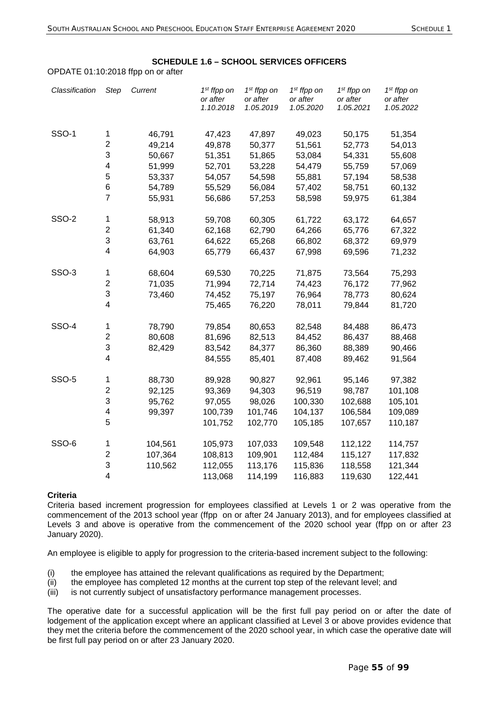## **SCHEDULE 1.6 – SCHOOL SERVICES OFFICERS**

OPDATE 01:10:2018 ffpp on or after

| Classification | <b>Step</b>               | Current | 1 <sup>st</sup> ffpp on<br>or after<br>1.10.2018 | $1st$ ffpp on<br>or after<br>1.05.2019 | $1st$ ffpp on<br>or after<br>1.05.2020 | 1 <sup>st</sup> ffpp on<br>or after<br>1.05.2021 | 1 <sup>st</sup> ffpp on<br>or after<br>1.05.2022 |
|----------------|---------------------------|---------|--------------------------------------------------|----------------------------------------|----------------------------------------|--------------------------------------------------|--------------------------------------------------|
| <b>SSO-1</b>   | $\mathbf 1$               | 46,791  | 47,423                                           | 47,897                                 | 49,023                                 | 50,175                                           | 51,354                                           |
|                | $\overline{\mathbf{c}}$   | 49,214  | 49,878                                           | 50,377                                 | 51,561                                 | 52,773                                           | 54,013                                           |
|                | 3                         | 50,667  | 51,351                                           | 51,865                                 | 53,084                                 | 54,331                                           | 55,608                                           |
|                | $\overline{\mathbf{4}}$   | 51,999  | 52,701                                           | 53,228                                 | 54,479                                 | 55,759                                           | 57,069                                           |
|                | 5                         | 53,337  | 54,057                                           | 54,598                                 | 55,881                                 | 57,194                                           | 58,538                                           |
|                | $\,6$                     | 54,789  | 55,529                                           | 56,084                                 | 57,402                                 | 58,751                                           | 60,132                                           |
|                | $\overline{7}$            | 55,931  | 56,686                                           | 57,253                                 | 58,598                                 | 59,975                                           | 61,384                                           |
| <b>SSO-2</b>   | $\mathbf 1$               | 58,913  | 59,708                                           | 60,305                                 | 61,722                                 | 63,172                                           | 64,657                                           |
|                | $\boldsymbol{2}$          | 61,340  | 62,168                                           | 62,790                                 | 64,266                                 | 65,776                                           | 67,322                                           |
|                | 3                         | 63,761  | 64,622                                           | 65,268                                 | 66,802                                 | 68,372                                           | 69,979                                           |
|                | 4                         | 64,903  | 65,779                                           | 66,437                                 | 67,998                                 | 69,596                                           | 71,232                                           |
| SSO-3          | $\mathbf 1$               | 68,604  | 69,530                                           | 70,225                                 | 71,875                                 | 73,564                                           | 75,293                                           |
|                | $\overline{\mathbf{c}}$   | 71,035  | 71,994                                           | 72,714                                 | 74,423                                 | 76,172                                           | 77,962                                           |
|                | $\ensuremath{\mathsf{3}}$ | 73,460  | 74,452                                           | 75,197                                 | 76,964                                 | 78,773                                           | 80,624                                           |
|                | $\overline{\mathbf{4}}$   |         | 75,465                                           | 76,220                                 | 78,011                                 | 79,844                                           | 81,720                                           |
| <b>SSO-4</b>   | 1                         | 78,790  | 79,854                                           | 80,653                                 | 82,548                                 | 84,488                                           | 86,473                                           |
|                | $\boldsymbol{2}$          | 80,608  | 81,696                                           | 82,513                                 | 84,452                                 | 86,437                                           | 88,468                                           |
|                | 3                         | 82,429  | 83,542                                           | 84,377                                 | 86,360                                 | 88,389                                           | 90,466                                           |
|                | $\overline{\mathbf{4}}$   |         | 84,555                                           | 85,401                                 | 87,408                                 | 89,462                                           | 91,564                                           |
| <b>SSO-5</b>   | 1                         | 88,730  | 89,928                                           | 90,827                                 | 92,961                                 | 95,146                                           | 97,382                                           |
|                | $\overline{\mathbf{c}}$   | 92,125  | 93,369                                           | 94,303                                 | 96,519                                 | 98,787                                           | 101,108                                          |
|                | 3                         | 95,762  | 97,055                                           | 98,026                                 | 100,330                                | 102,688                                          | 105,101                                          |
|                | $\overline{\mathbf{4}}$   | 99,397  | 100,739                                          | 101,746                                | 104,137                                | 106,584                                          | 109,089                                          |
|                | 5                         |         | 101,752                                          | 102,770                                | 105,185                                | 107,657                                          | 110,187                                          |
| SSO-6          | 1                         | 104,561 | 105,973                                          | 107,033                                | 109,548                                | 112,122                                          | 114,757                                          |
|                | $\boldsymbol{2}$          | 107,364 | 108,813                                          | 109,901                                | 112,484                                | 115,127                                          | 117,832                                          |
|                | 3                         | 110,562 | 112,055                                          | 113,176                                | 115,836                                | 118,558                                          | 121,344                                          |
|                | $\overline{\mathbf{4}}$   |         | 113,068                                          | 114,199                                | 116,883                                | 119,630                                          | 122,441                                          |

#### **Criteria**

Criteria based increment progression for employees classified at Levels 1 or 2 was operative from the commencement of the 2013 school year (ffpp on or after 24 January 2013), and for employees classified at Levels 3 and above is operative from the commencement of the 2020 school year (ffpp on or after 23 January 2020).

An employee is eligible to apply for progression to the criteria-based increment subject to the following:

- (i) the employee has attained the relevant qualifications as required by the Department;
- (ii) the employee has completed 12 months at the current top step of the relevant level; and

(iii) is not currently subject of unsatisfactory performance management processes.

The operative date for a successful application will be the first full pay period on or after the date of lodgement of the application except where an applicant classified at Level 3 or above provides evidence that they met the criteria before the commencement of the 2020 school year, in which case the operative date will be first full pay period on or after 23 January 2020.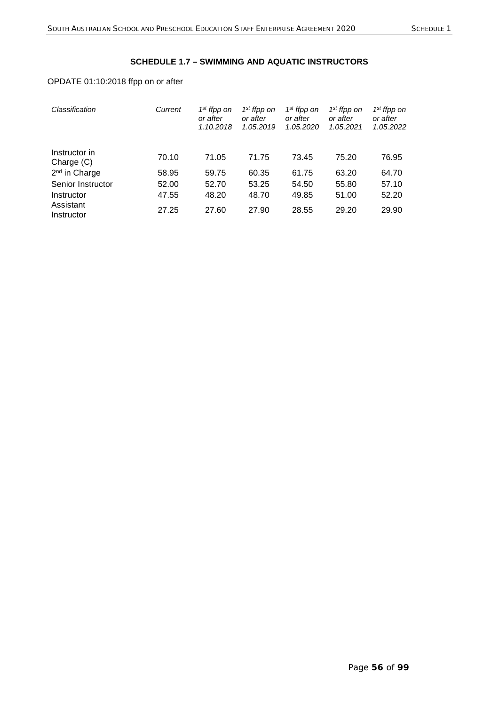# **SCHEDULE 1.7 – SWIMMING AND AQUATIC INSTRUCTORS**

# OPDATE 01:10:2018 ffpp on or after

| Classification              | Current | 1 <sup>st</sup> ffpp on<br>or after<br>1.10.2018 | 1 <sup>st</sup> ffpp on<br>or after<br>1.05.2019 | $1st$ ffpp on<br>or after<br>1.05.2020 | 1 <sup>st</sup> ffpp on<br>or after<br>1.05.2021 | 1 <sup>st</sup> ffpp on<br>or after<br>1.05.2022 |
|-----------------------------|---------|--------------------------------------------------|--------------------------------------------------|----------------------------------------|--------------------------------------------------|--------------------------------------------------|
| Instructor in<br>Charge (C) | 70.10   | 71.05                                            | 71.75                                            | 73.45                                  | 75.20                                            | 76.95                                            |
| 2 <sup>nd</sup> in Charge   | 58.95   | 59.75                                            | 60.35                                            | 61.75                                  | 63.20                                            | 64.70                                            |
| Senior Instructor           | 52.00   | 52.70                                            | 53.25                                            | 54.50                                  | 55.80                                            | 57.10                                            |
| Instructor                  | 47.55   | 48.20                                            | 48.70                                            | 49.85                                  | 51.00                                            | 52.20                                            |
| Assistant<br>Instructor     | 27.25   | 27.60                                            | 27.90                                            | 28.55                                  | 29.20                                            | 29.90                                            |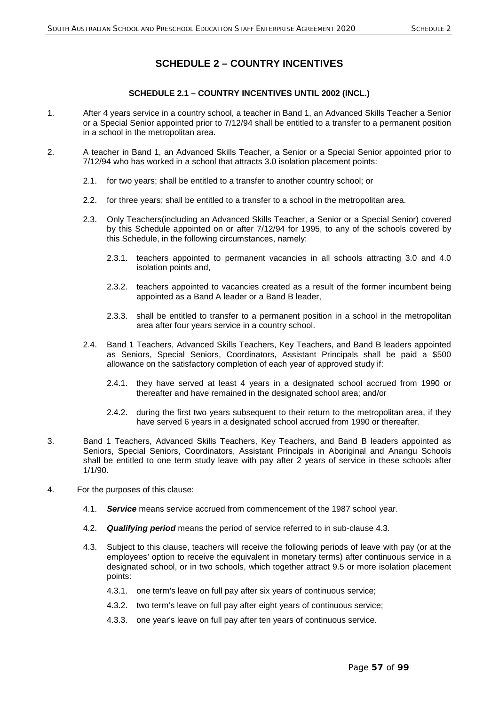# **SCHEDULE 2 – COUNTRY INCENTIVES**

## **SCHEDULE 2.1 – COUNTRY INCENTIVES UNTIL 2002 (INCL.)**

- 1. After 4 years service in a country school, a teacher in Band 1, an Advanced Skills Teacher a Senior or a Special Senior appointed prior to 7/12/94 shall be entitled to a transfer to a permanent position in a school in the metropolitan area.
- 2. A teacher in Band 1, an Advanced Skills Teacher, a Senior or a Special Senior appointed prior to 7/12/94 who has worked in a school that attracts 3.0 isolation placement points:
	- 2.1. for two years; shall be entitled to a transfer to another country school; or
	- 2.2. for three years; shall be entitled to a transfer to a school in the metropolitan area.
	- 2.3. Only Teachers(including an Advanced Skills Teacher, a Senior or a Special Senior) covered by this Schedule appointed on or after 7/12/94 for 1995, to any of the schools covered by this Schedule, in the following circumstances, namely:
		- 2.3.1. teachers appointed to permanent vacancies in all schools attracting 3.0 and 4.0 isolation points and,
		- 2.3.2. teachers appointed to vacancies created as a result of the former incumbent being appointed as a Band A leader or a Band B leader,
		- 2.3.3. shall be entitled to transfer to a permanent position in a school in the metropolitan area after four years service in a country school.
	- 2.4. Band 1 Teachers, Advanced Skills Teachers, Key Teachers, and Band B leaders appointed as Seniors, Special Seniors, Coordinators, Assistant Principals shall be paid a \$500 allowance on the satisfactory completion of each year of approved study if:
		- 2.4.1. they have served at least 4 years in a designated school accrued from 1990 or thereafter and have remained in the designated school area; and/or
		- 2.4.2. during the first two years subsequent to their return to the metropolitan area, if they have served 6 years in a designated school accrued from 1990 or thereafter.
- 3. Band 1 Teachers, Advanced Skills Teachers, Key Teachers, and Band B leaders appointed as Seniors, Special Seniors, Coordinators, Assistant Principals in Aboriginal and Anangu Schools shall be entitled to one term study leave with pay after 2 years of service in these schools after 1/1/90.
- 4. For the purposes of this clause:
	- 4.1. *Service* means service accrued from commencement of the 1987 school year.
	- 4.2. *Qualifying period* means the period of service referred to in sub-clause 4.3.
	- 4.3. Subject to this clause, teachers will receive the following periods of leave with pay (or at the employees' option to receive the equivalent in monetary terms) after continuous service in a designated school, or in two schools, which together attract 9.5 or more isolation placement points:
		- 4.3.1. one term's leave on full pay after six years of continuous service;
		- 4.3.2. two term's leave on full pay after eight years of continuous service;
		- 4.3.3. one year's leave on full pay after ten years of continuous service.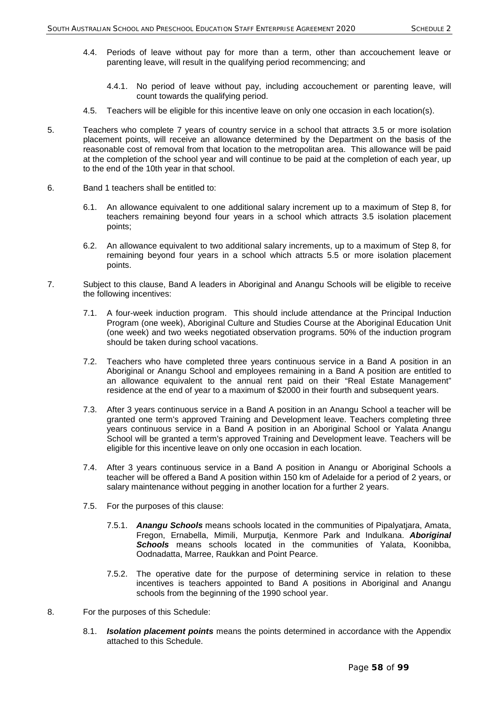- 4.4. Periods of leave without pay for more than a term, other than accouchement leave or parenting leave, will result in the qualifying period recommencing; and
	- 4.4.1. No period of leave without pay, including accouchement or parenting leave, will count towards the qualifying period.
- 4.5. Teachers will be eligible for this incentive leave on only one occasion in each location(s).
- 5. Teachers who complete 7 years of country service in a school that attracts 3.5 or more isolation placement points, will receive an allowance determined by the Department on the basis of the reasonable cost of removal from that location to the metropolitan area. This allowance will be paid at the completion of the school year and will continue to be paid at the completion of each year, up to the end of the 10th year in that school.
- 6. Band 1 teachers shall be entitled to:
	- 6.1. An allowance equivalent to one additional salary increment up to a maximum of Step 8, for teachers remaining beyond four years in a school which attracts 3.5 isolation placement points;
	- 6.2. An allowance equivalent to two additional salary increments, up to a maximum of Step 8, for remaining beyond four years in a school which attracts 5.5 or more isolation placement points.
- 7. Subject to this clause, Band A leaders in Aboriginal and Anangu Schools will be eligible to receive the following incentives:
	- 7.1. A four-week induction program. This should include attendance at the Principal Induction Program (one week), Aboriginal Culture and Studies Course at the Aboriginal Education Unit (one week) and two weeks negotiated observation programs. 50% of the induction program should be taken during school vacations.
	- 7.2. Teachers who have completed three years continuous service in a Band A position in an Aboriginal or Anangu School and employees remaining in a Band A position are entitled to an allowance equivalent to the annual rent paid on their "Real Estate Management" residence at the end of year to a maximum of \$2000 in their fourth and subsequent years.
	- 7.3. After 3 years continuous service in a Band A position in an Anangu School a teacher will be granted one term's approved Training and Development leave. Teachers completing three years continuous service in a Band A position in an Aboriginal School or Yalata Anangu School will be granted a term's approved Training and Development leave. Teachers will be eligible for this incentive leave on only one occasion in each location.
	- 7.4. After 3 years continuous service in a Band A position in Anangu or Aboriginal Schools a teacher will be offered a Band A position within 150 km of Adelaide for a period of 2 years, or salary maintenance without pegging in another location for a further 2 years.
	- 7.5. For the purposes of this clause:
		- 7.5.1. *Anangu Schools* means schools located in the communities of Pipalyatjara, Amata, Fregon, Ernabella, Mimili, Murputja, Kenmore Park and Indulkana. *Aboriginal Schools* means schools located in the communities of Yalata, Koonibba, Oodnadatta, Marree, Raukkan and Point Pearce.
		- 7.5.2. The operative date for the purpose of determining service in relation to these incentives is teachers appointed to Band A positions in Aboriginal and Anangu schools from the beginning of the 1990 school year.
- 8. For the purposes of this Schedule:
	- 8.1. *Isolation placement points* means the points determined in accordance with the Appendix attached to this Schedule.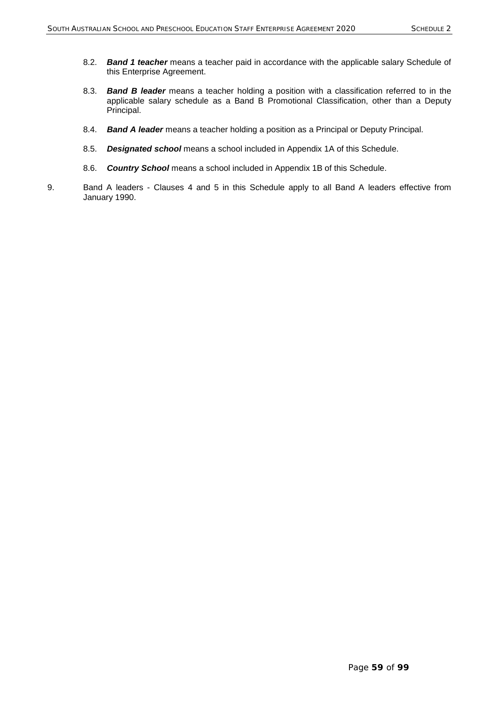- 8.2. *Band 1 teacher* means a teacher paid in accordance with the applicable salary Schedule of this Enterprise Agreement.
- 8.3. *Band B leader* means a teacher holding a position with a classification referred to in the applicable salary schedule as a Band B Promotional Classification, other than a Deputy Principal.
- 8.4. *Band A leader* means a teacher holding a position as a Principal or Deputy Principal.
- 8.5. *Designated school* means a school included in Appendix 1A of this Schedule.
- 8.6. *Country School* means a school included in Appendix 1B of this Schedule.
- 9. Band A leaders Clauses 4 and 5 in this Schedule apply to all Band A leaders effective from January 1990.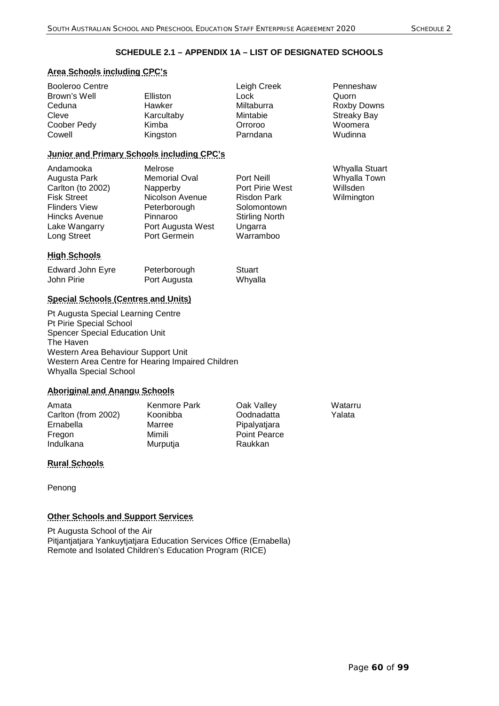# **SCHEDULE 2.1 – APPENDIX 1A – LIST OF DESIGNATED SCHOOLS**

# **Area Schools including CPC's**

| Booleroo Centre |            | Leigh Creek | Penneshaw          |
|-----------------|------------|-------------|--------------------|
| Brown's Well    | Elliston   | Lock        | Quorn              |
| Ceduna          | Hawker     | Miltaburra  | Roxby Downs        |
| Cleve           | Karcultaby | Mintabie    | <b>Streaky Bay</b> |
| Coober Pedy     | Kimba      | Orroroo     | Woomera            |
| Cowell          | Kingston   | Parndana    | Wudinna            |

# **Junior and Primary Schools including CPC's**

| Andamooka<br>Augusta Park<br>Carlton (to 2002) | Melrose<br><b>Memorial Oval</b><br>Napperby | Port Neill<br>Port Pirie West | Whyalla Stuart<br>Whyalla Town<br>Willsden |
|------------------------------------------------|---------------------------------------------|-------------------------------|--------------------------------------------|
| <b>Fisk Street</b>                             | Nicolson Avenue                             | <b>Risdon Park</b>            | Wilmington                                 |
| <b>Flinders View</b>                           | Peterborough                                | Solomontown                   |                                            |
| <b>Hincks Avenue</b>                           | Pinnaroo                                    | <b>Stirling North</b>         |                                            |
| Lake Wangarry                                  | Port Augusta West                           | Ungarra                       |                                            |
| Long Street                                    | Port Germein                                | Warramboo                     |                                            |

# **High Schools**

| Edward John Eyre | Peterborough | Stuart  |
|------------------|--------------|---------|
| John Pirie       | Port Augusta | Whyalla |

# **Special Schools (Centres and Units)**

Pt Augusta Special Learning Centre Pt Pirie Special School Spencer Special Education Unit The Haven Western Area Behaviour Support Unit Western Area Centre for Hearing Impaired Children Whyalla Special School

# **Aboriginal and Anangu Schools**

| Amata               | Kenmore Park | Oak Valley   | Watarru |
|---------------------|--------------|--------------|---------|
| Carlton (from 2002) | Koonibba     | Oodnadatta   | Yalata  |
| Ernabella           | Marree       | Pipalyatjara |         |
| Fregon              | Mimili       | Point Pearce |         |
| Indulkana           | Murputja     | Raukkan      |         |
|                     |              |              |         |

# **Rural Schools**

Penong

# **Other Schools and Support Services**

Pt Augusta School of the Air Pitjantjatjara Yankuytjatjara Education Services Office (Ernabella) Remote and Isolated Children's Education Program (RICE)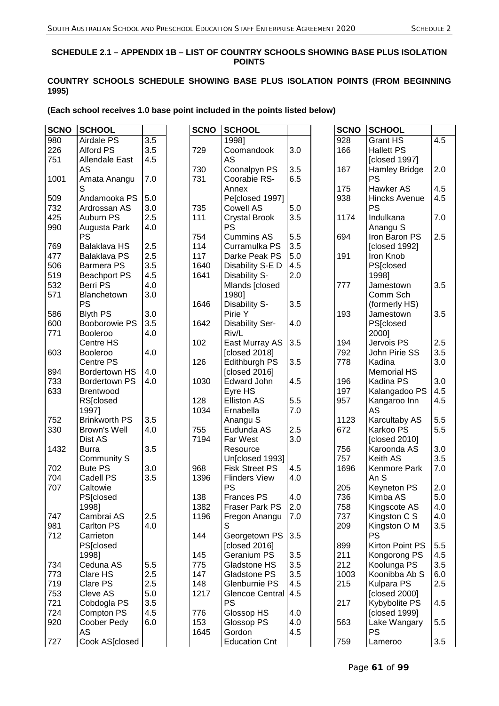## **SCHEDULE 2.1 – APPENDIX 1B – LIST OF COUNTRY SCHOOLS SHOWING BASE PLUS ISOLATION POINTS**

# **COUNTRY SCHOOLS SCHEDULE SHOWING BASE PLUS ISOLATION POINTS (FROM BEGINNING 1995)**

## **(Each school receives 1.0 base point included in the points listed below)**

| <b>SCNO</b> | <b>SCHOOL</b>        |     | <b>SCNO</b> | <b>SCHOOL</b>          |     | <b>SCNO</b> | <b>SCHOOL</b>        |     |
|-------------|----------------------|-----|-------------|------------------------|-----|-------------|----------------------|-----|
| 980         | Airdale PS           | 3.5 |             | 1998]                  |     | 928         | <b>Grant HS</b>      | 4.5 |
| 226         | <b>Alford PS</b>     | 3.5 | 729         | Coomandook             | 3.0 | 166         | <b>Hallett PS</b>    |     |
| 751         | Allendale East       | 4.5 |             | AS                     |     |             | [closed 1997]        |     |
|             | AS                   |     | 730         | Coonalpyn PS           | 3.5 | 167         | Hamley Bridge        | 2.0 |
| 1001        | Amata Anangu         | 7.0 | 731         | Coorabie RS-           | 6.5 |             | <b>PS</b>            |     |
|             | S                    |     |             | Annex                  |     | 175         | Hawker AS            | 4.5 |
| 509         | Andamooka PS         | 5.0 |             | Pe[closed 1997]        |     | 938         | <b>Hincks Avenue</b> | 4.5 |
| 732         | Ardrossan AS         | 3.0 | 735         | Cowell AS              | 5.0 |             | <b>PS</b>            |     |
| 425         | Auburn PS            | 2.5 | 111         | <b>Crystal Brook</b>   | 3.5 | 1174        | Indulkana            | 7.0 |
| 990         | Augusta Park         | 4.0 |             | PS                     |     |             | Anangu S             |     |
|             | <b>PS</b>            |     | 754         | <b>Cummins AS</b>      | 5.5 | 694         | Iron Baron PS        | 2.5 |
| 769         | Balaklava HS         | 2.5 | 114         | Curramulka PS          | 3.5 |             | [closed 1992]        |     |
| 477         | Balaklava PS         | 2.5 | 117         | Darke Peak PS          | 5.0 | 191         | Iron Knob            |     |
| 506         | <b>Barmera PS</b>    | 3.5 | 1640        | Disability S-E D       | 4.5 |             | PS[closed            |     |
| 519         | <b>Beachport PS</b>  | 4.5 | 1641        | Disability S-          | 2.0 |             | 1998]                |     |
| 532         | Berri PS             | 4.0 |             | Mlands [closed         |     | 777         | Jamestown            | 3.5 |
| 571         | Blanchetown          | 3.0 |             | 1980]                  |     |             | Comm Sch             |     |
|             | <b>PS</b>            |     | 1646        | Disability S-          | 3.5 |             | (formerly HS)        |     |
| 586         | <b>Blyth PS</b>      | 3.0 |             | Pirie Y                |     | 193         | Jamestown            | 3.5 |
| 600         | Booborowie PS        | 3.5 | 1642        | <b>Disability Ser-</b> | 4.0 |             | <b>PS[closed</b>     |     |
| 771         | Booleroo             | 4.0 |             | Riv/L                  |     |             | 2000]                |     |
|             | Centre HS            |     | 102         | East Murray AS         | 3.5 | 194         | Jervois PS           | 2.5 |
| 603         |                      | 4.0 |             | [closed 2018]          |     | 792         | John Pirie SS        | 3.5 |
|             | <b>Booleroo</b>      |     |             | <b>Edithburgh PS</b>   |     |             | Kadina               | 3.0 |
|             | Centre PS            |     | 126         |                        | 3.5 | 778         |                      |     |
| 894         | <b>Bordertown HS</b> | 4.0 |             | [closed 2016]          |     |             | <b>Memorial HS</b>   |     |
| 733         | <b>Bordertown PS</b> | 4.0 | 1030        | <b>Edward John</b>     | 4.5 | 196         | Kadina PS            | 3.0 |
| 633         | <b>Brentwood</b>     |     |             | Eyre HS                |     | 197         | Kalangadoo PS        | 4.5 |
|             | RS[closed            |     | 128         | <b>Elliston AS</b>     | 5.5 | 957         | Kangaroo Inn         | 4.5 |
|             | 1997]                |     | 1034        | Ernabella              | 7.0 |             | AS                   |     |
| 752         | <b>Brinkworth PS</b> | 3.5 |             | Anangu S               |     | 1123        | Karcultaby AS        | 5.5 |
| 330         | Brown's Well         | 4.0 | 755         | Eudunda AS             | 2.5 | 672         | Karkoo PS            | 5.5 |
|             | Dist AS              |     | 7194        | Far West               | 3.0 |             | [closed 2010]        |     |
| 1432        | <b>Burra</b>         | 3.5 |             | Resource               |     | 756         | Karoonda AS          | 3.0 |
|             | Community S          |     |             | Un[closed 1993]        |     | 757         | Keith AS             | 3.5 |
| 702         | <b>Bute PS</b>       | 3.0 | 968         | <b>Fisk Street PS</b>  | 4.5 | 1696        | Kenmore Park         | 7.0 |
| 704         | Cadell PS            | 3.5 | 1396        | <b>Flinders View</b>   | 4.0 |             | An S                 |     |
| 707         | Caltowie             |     |             | PS                     |     | 205         | Keyneton PS          | 2.0 |
|             | PS[closed            |     | 138         | <b>Frances PS</b>      | 4.0 | 736         | Kimba AS             | 5.0 |
|             | 1998]                |     | 1382        | Fraser Park PS         | 2.0 | 758         | Kingscote AS         | 4.0 |
| 747         | Cambrai AS           | 2.5 | 1196        | Fregon Anangu          | 7.0 | 737         | Kingston C S         | 4.0 |
| 981         | Carlton PS           | 4.0 |             | S                      |     | 209         | Kingston O M         | 3.5 |
| 712         | Carrieton            |     | 144         | Georgetown PS          | 3.5 |             | <b>PS</b>            |     |
|             | PS[closed            |     |             | [closed 2016]          |     | 899         | Kirton Point PS      | 5.5 |
|             | 1998]                |     | 145         | Geranium PS            | 3.5 | 211         | Kongorong PS         | 4.5 |
| 734         | Ceduna AS            | 5.5 | 775         | Gladstone HS           | 3.5 | 212         | Koolunga PS          | 3.5 |
| 773         | Clare HS             | 2.5 | 147         | Gladstone PS           | 3.5 | 1003        | Koonibba Ab S        | 6.0 |
| 719         | Clare PS             | 2.5 | 148         | Glenburnie PS          | 4.5 | 215         | Kulpara PS           | 2.5 |
| 753         | Cleve AS             | 5.0 | 1217        | Glencoe Central        | 4.5 |             | [closed 2000]        |     |
| 721         | Cobdogla PS          | 3.5 |             | PS                     |     | 217         | Kybybolite PS        | 4.5 |
| 724         | Compton PS           | 4.5 | 776         | Glossop HS             | 4.0 |             | [closed 1999]        |     |
| 920         | Coober Pedy          | 6.0 | 153         | Glossop PS             | 4.0 | 563         | Lake Wangary         | 5.5 |
|             | AS                   |     | 1645        | Gordon                 | 4.5 |             | <b>PS</b>            |     |
| 727         | Cook AS[closed       |     |             | <b>Education Cnt</b>   |     | 759         | Lameroo              | 3.5 |
|             |                      |     |             |                        |     |             |                      |     |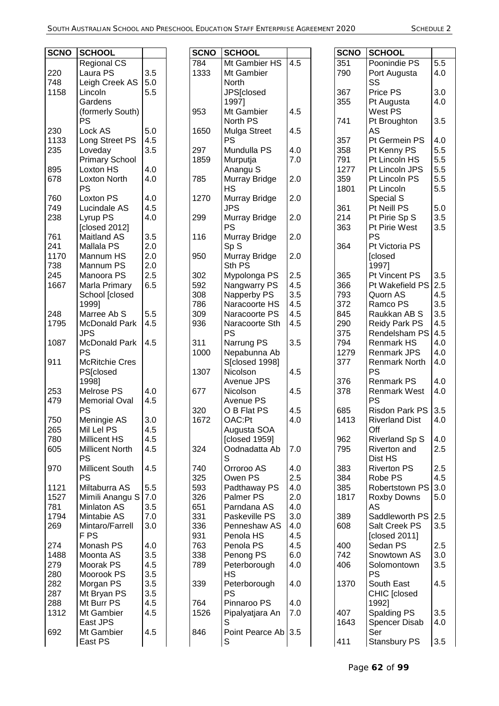Ē

| <b>SCNO</b> | <b>SCHOOL</b>          |     |  |
|-------------|------------------------|-----|--|
|             | <b>Regional CS</b>     |     |  |
| 220         | Laura PS               | 3.5 |  |
| 748         | Leigh Creek AS         | 5.0 |  |
| 1158        | Lincoln                | 5.5 |  |
|             |                        |     |  |
|             | Gardens                |     |  |
|             | (formerly South)       |     |  |
|             | PS                     |     |  |
| 230         | Lock AS                | 5.0 |  |
| 1133        | Long Street PS         | 4.5 |  |
| 235         | Loveday                | 3.5 |  |
|             | <b>Primary School</b>  |     |  |
|             |                        |     |  |
| 895         | Loxton HS              | 4.0 |  |
| 678         | <b>Loxton North</b>    | 4.0 |  |
|             | PS                     |     |  |
| 760         | Loxton PS              | 4.0 |  |
| 749         | Lucindale AS           | 4.5 |  |
| 238         | Lyrup PS               | 4.0 |  |
|             | [closed 2012]          |     |  |
| 761         | <b>Maitland AS</b>     | 3.5 |  |
|             |                        |     |  |
| 241         | <b>Mallala PS</b>      | 2.0 |  |
| 1170        | Mannum HS              | 2.0 |  |
| 738         | Mannum PS              | 2.0 |  |
| 245         | Manoora PS             | 2.5 |  |
| 1667        | Marla Primary          | 6.5 |  |
|             | School [closed         |     |  |
|             | 1999]                  |     |  |
| 248         | Marree Ab S            | 5.5 |  |
|             |                        |     |  |
| 1795        | McDonald Park          | 4.5 |  |
|             | JPS                    |     |  |
| 1087        | McDonald Park          | 4.5 |  |
|             | PS                     |     |  |
| 911         | <b>McRitchie Cres</b>  |     |  |
|             | PS[closed              |     |  |
|             | 1998]                  |     |  |
| 253         | Melrose PS             | 4.0 |  |
| 479         | <b>Memorial Oval</b>   | 4.5 |  |
|             | PS                     |     |  |
|             |                        |     |  |
| 750         | Meningie AS            | 3.0 |  |
| 265         | Mil Lel PS             | 4.5 |  |
| 780         | Millicent HS           | 4.5 |  |
| 605         | <b>Millicent North</b> | 4.5 |  |
|             | PS                     |     |  |
| 970         | Millicent South        | 4.5 |  |
|             | PS                     |     |  |
| 1121        | Miltaburra AS          | 5.5 |  |
| 1527        | Mimili Anangu S        | 7.0 |  |
|             |                        |     |  |
| 781         | <b>Minlaton AS</b>     | 3.5 |  |
| 1794        | Mintabie AS            | 7.0 |  |
| 269         | Mintaro/Farrell        | 3.0 |  |
|             | F PS                   |     |  |
| 274         | Monash PS              | 4.0 |  |
| 1488        | Moonta AS              | 3.5 |  |
| 279         | Moorak PS              | 4.5 |  |
| 280         | Moorook PS             | 3.5 |  |
|             |                        |     |  |
| 282         | Morgan PS              | 3.5 |  |
| 287         | Mt Bryan PS            | 3.5 |  |
| 288         | Mt Burr PS             | 4.5 |  |
| 1312        | Mt Gambier             | 4.5 |  |
|             | East JPS               |     |  |
| 692         | Mt Gambier             | 4.5 |  |
|             | East PS                |     |  |
|             |                        |     |  |

| <b>SCNO</b> | SCHOOL          |     |
|-------------|-----------------|-----|
| 784         | Mt Gambier HS   | 4.5 |
| 1333        | Mt Gambier      |     |
|             | North           |     |
|             |                 |     |
|             | JPS[closed      |     |
|             | 1997]           |     |
| 953         | Mt Gambier      | 4.5 |
|             | North PS        |     |
| 1650        | Mulga Street    | 4.5 |
|             | PS              |     |
| 297         | Mundulla PS     | 4.0 |
| 1859        |                 | 7.0 |
|             | Murputja        |     |
|             | Anangu S        |     |
| 785         | Murray Bridge   | 2.0 |
|             | НS              |     |
| 1270        | Murray Bridge   | 2.0 |
|             | JPS             |     |
| 299         | Murray Bridge   | 2.0 |
|             | PS              |     |
| 116         |                 | 2.0 |
|             | Murray Bridge   |     |
|             | SpS             |     |
| 950         | Murray Bridge   | 2.0 |
|             | Sth PS          |     |
| 302         | Mypolonga PS    | 2.5 |
| 592         | Nangwarry PS    | 4.5 |
| 308         | Napperby PS     | 3.5 |
| 786         | Naracoorte HS   | 4.5 |
|             |                 |     |
| 309         | Naracoorte PS   | 4.5 |
| 936         | Naracoorte Sth  | 4.5 |
|             | PS              |     |
| 311         | Narrung PS      | 3.5 |
| 1000        | Nepabunna Ab    |     |
|             | S[closed 1998]  |     |
| 1307        | Nicolson        | 4.5 |
|             | Avenue JPS      |     |
| 677         | Nicolson        | 4.5 |
|             |                 |     |
|             | Avenue PS       |     |
| 320         | O B Flat PS     | 4.5 |
| 1672        | OAC:Pt          | 4.0 |
|             | Augusta SOA     |     |
|             | [closed 1959]   |     |
| 324         | Oodnadatta Ab   | 7.0 |
|             | S               |     |
| 740         | Orroroo AS      | 4.0 |
| 325         | Owen PS         | 2.5 |
|             |                 |     |
| 593         | Padthaway PS    | 4.0 |
| 326         | Palmer PS       | 2.0 |
| 651         | Parndana AS     | 4.0 |
| 331         | Paskeville PS   | 3.0 |
| 336         | Penneshaw AS    | 4.0 |
| 931         | Penola HS       | 4.5 |
| 763         | Penola PS       | 4.5 |
| 338         | Penong PS       | 6.0 |
| 789         | Peterborough    | 4.0 |
|             | НS              |     |
|             |                 |     |
| 339         | Peterborough    | 4.0 |
|             | PS              |     |
| 764         | Pinnaroo PS     | 4.0 |
| 1526        | Pipalyatjara An | 7.0 |
|             | S               |     |
| 846         | Point Pearce Ab | 3.5 |
|             | S               |     |
|             |                 |     |

| <b>SCNO</b> | <b>SCHOOL</b>         |     |
|-------------|-----------------------|-----|
| 351         | Poonindie PS          | 5.5 |
| 790         | Port Augusta          | 4.0 |
|             | SS                    |     |
| 367         | Price PS              | 3.0 |
| 355         | Pt Augusta            | 4.0 |
|             |                       |     |
|             | West PS               |     |
| 741         | Pt Broughton          | 3.5 |
|             | AS                    |     |
| 357         | Pt Germein PS         | 4.0 |
| 358         | Pt Kenny PS           | 5.5 |
| 791         | Pt Lincoln HS         | 5.5 |
| 1277        | Pt Lincoln JPS        | 5.5 |
| 359         | Pt Lincoln PS         | 5.5 |
| 1801        | Pt Lincoln            | 5.5 |
|             | Special S             |     |
| 361         | Pt Neill PS           | 5.0 |
| 214         | Pt Pirie Sp S         | 3.5 |
| 363         | Pt Pirie West         | 3.5 |
|             | PS                    |     |
| 364         | Pt Victoria PS        |     |
|             | <b>[closed</b>        |     |
|             | 1997]                 |     |
| 365         | Pt Vincent PS         | 3.5 |
| 366         | Pt Wakefield PS       | 2.5 |
| 793         | Quorn AS              | 4.5 |
| 372         | Ramco PS              | 3.5 |
| 845         | Raukkan AB S          | 3.5 |
| 290         | <b>Reidy Park PS</b>  | 4.5 |
| 375         | Rendelsham PS         | 4.5 |
| 794         | <b>Renmark HS</b>     | 4.0 |
| 1279        | Renmark JPS           | 4.0 |
| 377         | <b>Renmark North</b>  | 4.0 |
|             | PS                    |     |
| 376         | <b>Renmark PS</b>     | 4.0 |
| 378         | <b>Renmark West</b>   | 4.0 |
|             | PS                    |     |
| 685         | Risdon Park PS        | 3.5 |
| 1413        | <b>Riverland Dist</b> | 4.0 |
|             | Off                   |     |
| 962         | <b>Riverland Sp S</b> | 4.0 |
| 795         | Riverton and          | 2.5 |
|             | Dist HS               |     |
| 383         | <b>Riverton PS</b>    | 2.5 |
| 384         | Robe PS               | 4.5 |
| 385         | Robertstown PS        | 3.0 |
| 1817        | <b>Roxby Downs</b>    | 5.0 |
|             | AS                    |     |
| 389         | Saddleworth PS        | 2.5 |
| 608         | Salt Creek PS         | 3.5 |
|             | [closed 2011]         |     |
| 400         | Sedan PS              | 2.5 |
| 742         | Snowtown AS           | 3.0 |
| 406         | Solomontown           | 3.5 |
|             | PS                    |     |
| 1370        | South East            | 4.5 |
|             | CHIC [closed          |     |
|             | 1992]                 |     |
| 407         | <b>Spalding PS</b>    | 3.5 |
| 1643        | Spencer Disab         | 4.0 |
|             | Ser                   |     |
| 411         | Stansbury PS          | 3.5 |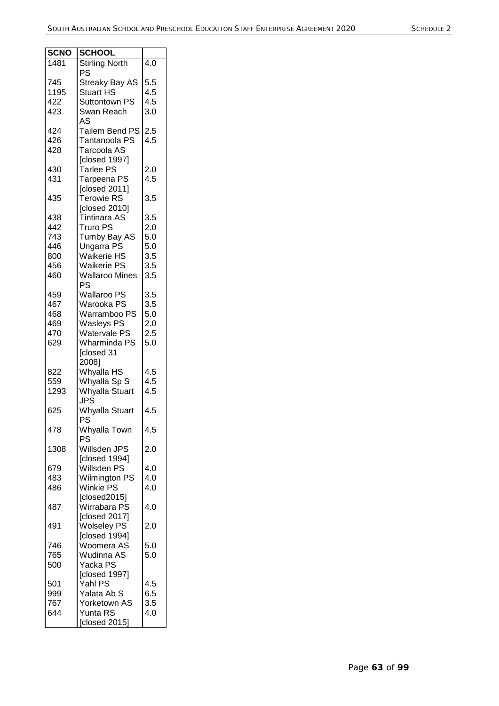| <b>SCNO</b> | <b>SCHOOL</b>         |     |
|-------------|-----------------------|-----|
| 1481        | <b>Stirling North</b> | 4.0 |
|             | PS                    |     |
| 745         | <b>Streaky Bay AS</b> | 5.5 |
| 1195        | <b>Stuart HS</b>      | 4.5 |
| 422         | <b>Suttontown PS</b>  | 4.5 |
| 423         | Swan Reach            | 3.0 |
|             | AS                    |     |
| 424         | Tailem Bend PS        | 2.5 |
| 426         | Tantanoola PS         | 4.5 |
| 428         | Tarcoola AS           |     |
|             | [closed 1997]         |     |
|             | <b>Tarlee PS</b>      | 2.0 |
| 430<br>431  |                       | 4.5 |
|             | Tarpeena PS           |     |
|             | [closed 2011]         |     |
| 435         | <b>Terowie RS</b>     | 3.5 |
|             | [closed 2010]         |     |
| 438         | <b>Tintinara AS</b>   | 3.5 |
| 442         | <b>Truro PS</b>       | 2.0 |
| 743         | Tumby Bay AS          | 5.0 |
| 446         | <b>Ungarra PS</b>     | 5.0 |
| 800         | <b>Waikerie HS</b>    | 3.5 |
| 456         | <b>Waikerie PS</b>    | 3.5 |
| 460         | <b>Wallaroo Mines</b> | 3.5 |
|             | <b>PS</b>             |     |
| 459         | <b>Wallaroo PS</b>    | 3.5 |
| 467         | Warooka PS            | 3.5 |
| 468         | Warramboo PS          | 5.0 |
| 469         | <b>Wasleys PS</b>     | 2.0 |
| 470         | <b>Watervale PS</b>   | 2.5 |
| 629         | <b>Wharminda PS</b>   | 5.0 |
|             | [closed 31            |     |
|             | 2008]                 |     |
| 822         | Whyalla HS            | 4.5 |
| 559         | Whyalla Sp S          | 4.5 |
| 1293        | <b>Whyalla Stuart</b> | 4.5 |
|             | <b>JPS</b>            |     |
| 625         | Whyalla Stuart        | 4.5 |
|             | PS                    |     |
| 478         | Whyalla Town          | 4.5 |
|             | PS                    |     |
| 1308        | Willsden JPS          | 2.0 |
|             | [closed 1994]         |     |
| 679         | Willsden PS           | 4.0 |
| 483         | <b>Wilmington PS</b>  | 4.0 |
| 486         | <b>Winkie PS</b>      | 4.0 |
|             | [closed2015]          |     |
| 487         | Wirrabara PS          | 4.0 |
|             | [closed 2017]         |     |
| 491         | <b>Wolseley PS</b>    | 2.0 |
|             | [closed 1994]         |     |
| 746         | Woomera AS            | 5.0 |
| 765         | Wudinna AS            | 5.0 |
| 500         | Yacka PS              |     |
|             | [closed 1997]         |     |
| 501         | Yahl PS               | 4.5 |
| 999         | Yalata Ab S           | 6.5 |
| 767         | Yorketown AS          | 3.5 |
| 644         | Yunta RS              | 4.0 |
|             | [closed 2015]         |     |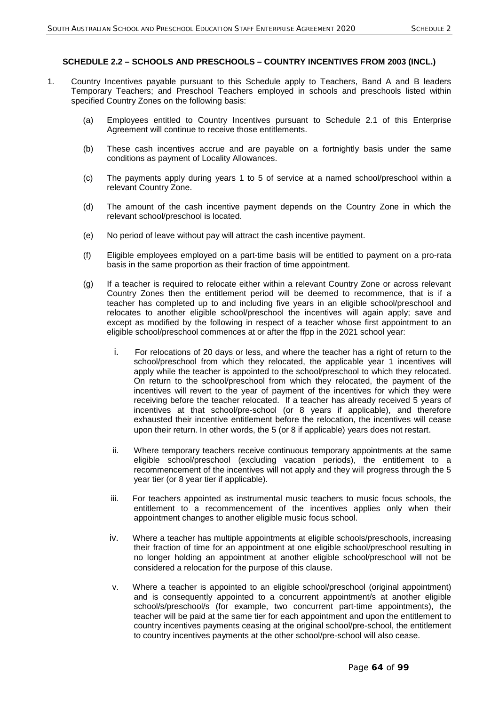## **SCHEDULE 2.2 – SCHOOLS AND PRESCHOOLS – COUNTRY INCENTIVES FROM 2003 (INCL.)**

- 1. Country Incentives payable pursuant to this Schedule apply to Teachers, Band A and B leaders Temporary Teachers; and Preschool Teachers employed in schools and preschools listed within specified Country Zones on the following basis:
	- (a) Employees entitled to Country Incentives pursuant to Schedule 2.1 of this Enterprise Agreement will continue to receive those entitlements.
	- (b) These cash incentives accrue and are payable on a fortnightly basis under the same conditions as payment of Locality Allowances.
	- (c) The payments apply during years 1 to 5 of service at a named school/preschool within a relevant Country Zone.
	- (d) The amount of the cash incentive payment depends on the Country Zone in which the relevant school/preschool is located.
	- (e) No period of leave without pay will attract the cash incentive payment.
	- (f) Eligible employees employed on a part-time basis will be entitled to payment on a pro-rata basis in the same proportion as their fraction of time appointment.
	- (g) If a teacher is required to relocate either within a relevant Country Zone or across relevant Country Zones then the entitlement period will be deemed to recommence, that is if a teacher has completed up to and including five years in an eligible school/preschool and relocates to another eligible school/preschool the incentives will again apply; save and except as modified by the following in respect of a teacher whose first appointment to an eligible school/preschool commences at or after the ffpp in the 2021 school year:
		- i. For relocations of 20 days or less, and where the teacher has a right of return to the school/preschool from which they relocated, the applicable year 1 incentives will apply while the teacher is appointed to the school/preschool to which they relocated. On return to the school/preschool from which they relocated, the payment of the incentives will revert to the year of payment of the incentives for which they were receiving before the teacher relocated. If a teacher has already received 5 years of incentives at that school/pre-school (or 8 years if applicable), and therefore exhausted their incentive entitlement before the relocation, the incentives will cease upon their return. In other words, the 5 (or 8 if applicable) years does not restart.
		- ii. Where temporary teachers receive continuous temporary appointments at the same eligible school/preschool (excluding vacation periods), the entitlement to a recommencement of the incentives will not apply and they will progress through the 5 year tier (or 8 year tier if applicable).
		- iii. For teachers appointed as instrumental music teachers to music focus schools, the entitlement to a recommencement of the incentives applies only when their appointment changes to another eligible music focus school.
		- iv. Where a teacher has multiple appointments at eligible schools/preschools, increasing their fraction of time for an appointment at one eligible school/preschool resulting in no longer holding an appointment at another eligible school/preschool will not be considered a relocation for the purpose of this clause.
		- v. Where a teacher is appointed to an eligible school/preschool (original appointment) and is consequently appointed to a concurrent appointment/s at another eligible school/s/preschool/s (for example, two concurrent part-time appointments), the teacher will be paid at the same tier for each appointment and upon the entitlement to country incentives payments ceasing at the original school/pre-school, the entitlement to country incentives payments at the other school/pre-school will also cease.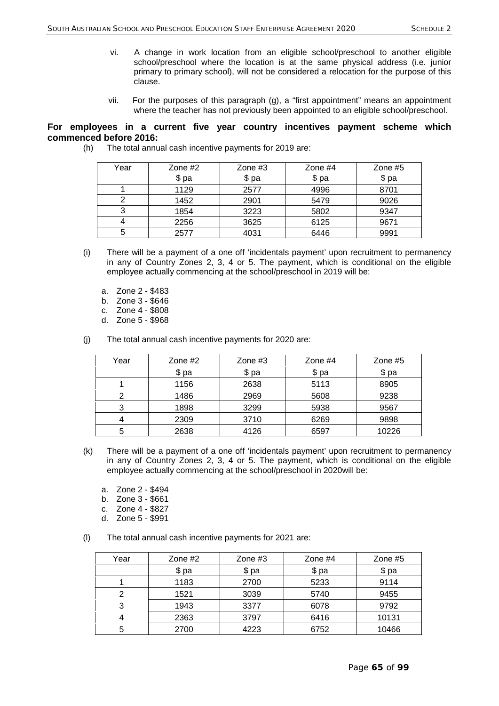- vi. A change in work location from an eligible school/preschool to another eligible school/preschool where the location is at the same physical address (i.e. junior primary to primary school), will not be considered a relocation for the purpose of this clause.
- vii. For the purposes of this paragraph (g), a "first appointment" means an appointment where the teacher has not previously been appointed to an eligible school/preschool.

## **For employees in a current five year country incentives payment scheme which commenced before 2016:**

| Year | Zone #2 | Zone $#3$ | Zone $#4$ | Zone $#5$ |
|------|---------|-----------|-----------|-----------|
|      | \$ pa   | \$ pa     | \$ pa     | \$ pa     |
|      | 1129    | 2577      | 4996      | 8701      |
|      | 1452    | 2901      | 5479      | 9026      |
|      | 1854    | 3223      | 5802      | 9347      |
|      | 2256    | 3625      | 6125      | 9671      |
| 5    | 2577    | 4031      | 6446      | 9991      |

(h) The total annual cash incentive payments for 2019 are:

- (i) There will be a payment of a one off 'incidentals payment' upon recruitment to permanency in any of Country Zones 2, 3, 4 or 5. The payment, which is conditional on the eligible employee actually commencing at the school/preschool in 2019 will be:
	- a. Zone 2 \$483
	- b. Zone 3 \$646
	- c. Zone 4 \$808
	- d. Zone 5 \$968
- (j) The total annual cash incentive payments for 2020 are:

| Year | Zone $#2$ | Zone $#3$ | Zone #4 | Zone $#5$ |
|------|-----------|-----------|---------|-----------|
|      | \$ pa     | \$ pa     | $$$ pa  | \$ pa     |
|      | 1156      | 2638      | 5113    | 8905      |
| ົ    | 1486      | 2969      | 5608    | 9238      |
| 3    | 1898      | 3299      | 5938    | 9567      |
|      | 2309      | 3710      | 6269    | 9898      |
| 5    | 2638      | 4126      | 6597    | 10226     |

- (k) There will be a payment of a one off 'incidentals payment' upon recruitment to permanency in any of Country Zones 2, 3, 4 or 5. The payment, which is conditional on the eligible employee actually commencing at the school/preschool in 2020will be:
	- a. Zone 2 \$494
	- b. Zone 3 \$661
	- c. Zone 4 \$827
	- d. Zone 5 \$991
- (l) The total annual cash incentive payments for 2021 are:

| Year | Zone $#2$ | Zone $#3$ | Zone $#4$ | Zone $#5$ |
|------|-----------|-----------|-----------|-----------|
|      | \$ pa     | \$ pa     | \$ pa     | \$ pa     |
|      | 1183      | 2700      | 5233      | 9114      |
| 2    | 1521      | 3039      | 5740      | 9455      |
| 3    | 1943      | 3377      | 6078      | 9792      |
| 4    | 2363      | 3797      | 6416      | 10131     |
| 5    | 2700      | 4223      | 6752      | 10466     |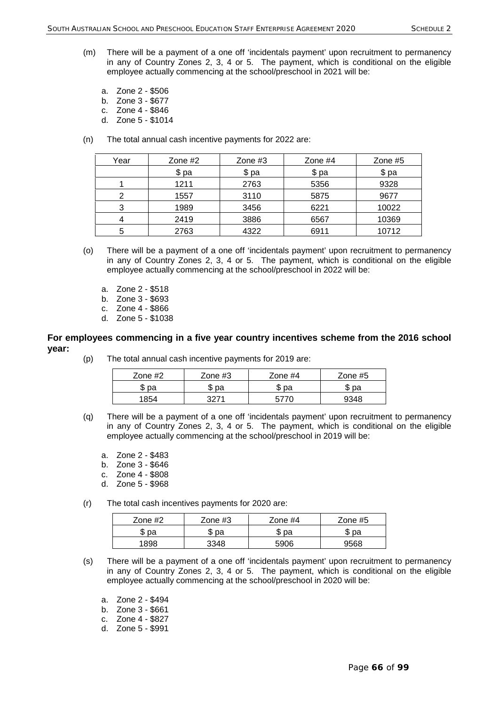- (m) There will be a payment of a one off 'incidentals payment' upon recruitment to permanency in any of Country Zones 2, 3, 4 or 5. The payment, which is conditional on the eligible employee actually commencing at the school/preschool in 2021 will be:
	- a. Zone 2 \$506
	- b. Zone 3 \$677
	- c. Zone 4 \$846
	- d. Zone 5 \$1014
- (n) The total annual cash incentive payments for 2022 are:

| Year | Zone $#2$ | Zone $#3$ | Zone $#4$ | Zone $#5$ |
|------|-----------|-----------|-----------|-----------|
|      | \$ pa     | \$ pa     | \$ pa     | \$ pa     |
|      | 1211      | 2763      | 5356      | 9328      |
| 2    | 1557      | 3110      | 5875      | 9677      |
| 3    | 1989      | 3456      | 6221      | 10022     |
|      | 2419      | 3886      | 6567      | 10369     |
| 5    | 2763      | 4322      | 6911      | 10712     |

- (o) There will be a payment of a one off 'incidentals payment' upon recruitment to permanency in any of Country Zones 2, 3, 4 or 5. The payment, which is conditional on the eligible employee actually commencing at the school/preschool in 2022 will be:
	- a. Zone 2 \$518
	- b. Zone 3 \$693
	- c. Zone 4 \$866
	- d. Zone 5 \$1038

#### **For employees commencing in a five year country incentives scheme from the 2016 school year:**

(p) The total annual cash incentive payments for 2019 are:

| Zone #2 | Zone #3 | Zone $#4$ | Zone #5 |
|---------|---------|-----------|---------|
| \$ pa   | рa<br>w | ზ pa      | \$ pa   |
| '854    | 2071    |           | 9348    |

- (q) There will be a payment of a one off 'incidentals payment' upon recruitment to permanency in any of Country Zones 2, 3, 4 or 5. The payment, which is conditional on the eligible employee actually commencing at the school/preschool in 2019 will be:
	- a. Zone 2 \$483
	- b. Zone 3 \$646
	- c. Zone 4 \$808
	- d. Zone 5 \$968
- (r) The total cash incentives payments for 2020 are:

| Zone #2 | Zone #3 | Zone #4 | Zone #5 |
|---------|---------|---------|---------|
| \$ pa   | \$ pa   | ზ pa    | \$ pa   |
| 1898    | 3348    | 5906    | 9568    |

- (s) There will be a payment of a one off 'incidentals payment' upon recruitment to permanency in any of Country Zones 2, 3, 4 or 5. The payment, which is conditional on the eligible employee actually commencing at the school/preschool in 2020 will be:
	- a. Zone 2 \$494
	- b. Zone 3 \$661
	- c. Zone 4 \$827
	- d. Zone 5 \$991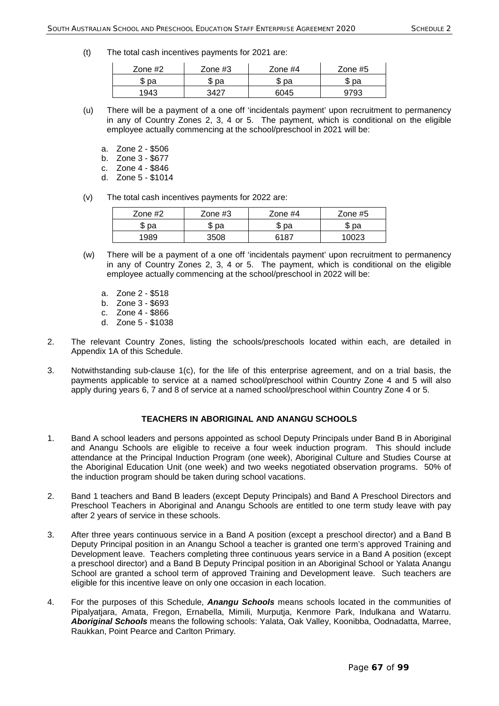(t) The total cash incentives payments for 2021 are:

| Zone $#2$ | Zone #3 | Zone $#4$ | Zone $#5$ |
|-----------|---------|-----------|-----------|
| pa        | рa<br>w | рa<br>w   | pa<br>ѡ   |
| 1943      | 3427    | 6045      | 793       |

- (u) There will be a payment of a one off 'incidentals payment' upon recruitment to permanency in any of Country Zones 2, 3, 4 or 5. The payment, which is conditional on the eligible employee actually commencing at the school/preschool in 2021 will be:
	- a. Zone 2 \$506
	- b. Zone 3 \$677
	- c. Zone 4 \$846
	- d. Zone 5 \$1014
- (v) The total cash incentives payments for 2022 are:

| Zone $#2$ | Zone $#3$ | Zone #4 | Zone $#5$ |
|-----------|-----------|---------|-----------|
| \$ pa     | рa<br>w   | ზ pa    | \$ pa     |
| 1989      | 3508      | 21.R7   | . വാ      |

- (w) There will be a payment of a one off 'incidentals payment' upon recruitment to permanency in any of Country Zones 2, 3, 4 or 5. The payment, which is conditional on the eligible employee actually commencing at the school/preschool in 2022 will be:
	- a. Zone 2 \$518
	- b. Zone 3 \$693
	- c. Zone 4 \$866
	- d. Zone 5 \$1038
- 2. The relevant Country Zones, listing the schools/preschools located within each, are detailed in Appendix 1A of this Schedule.
- 3. Notwithstanding sub-clause 1(c), for the life of this enterprise agreement, and on a trial basis, the payments applicable to service at a named school/preschool within Country Zone 4 and 5 will also apply during years 6, 7 and 8 of service at a named school/preschool within Country Zone 4 or 5.

## **TEACHERS IN ABORIGINAL AND ANANGU SCHOOLS**

- 1. Band A school leaders and persons appointed as school Deputy Principals under Band B in Aboriginal and Anangu Schools are eligible to receive a four week induction program. This should include attendance at the Principal Induction Program (one week), Aboriginal Culture and Studies Course at the Aboriginal Education Unit (one week) and two weeks negotiated observation programs. 50% of the induction program should be taken during school vacations.
- 2. Band 1 teachers and Band B leaders (except Deputy Principals) and Band A Preschool Directors and Preschool Teachers in Aboriginal and Anangu Schools are entitled to one term study leave with pay after 2 years of service in these schools.
- 3. After three years continuous service in a Band A position (except a preschool director) and a Band B Deputy Principal position in an Anangu School a teacher is granted one term's approved Training and Development leave. Teachers completing three continuous years service in a Band A position (except a preschool director) and a Band B Deputy Principal position in an Aboriginal School or Yalata Anangu School are granted a school term of approved Training and Development leave. Such teachers are eligible for this incentive leave on only one occasion in each location.
- 4. For the purposes of this Schedule, *Anangu Schools* means schools located in the communities of Pipalyatjara, Amata, Fregon, Ernabella, Mimili, Murputja, Kenmore Park, Indulkana and Watarru. *Aboriginal Schools* means the following schools: Yalata, Oak Valley, Koonibba, Oodnadatta, Marree, Raukkan, Point Pearce and Carlton Primary.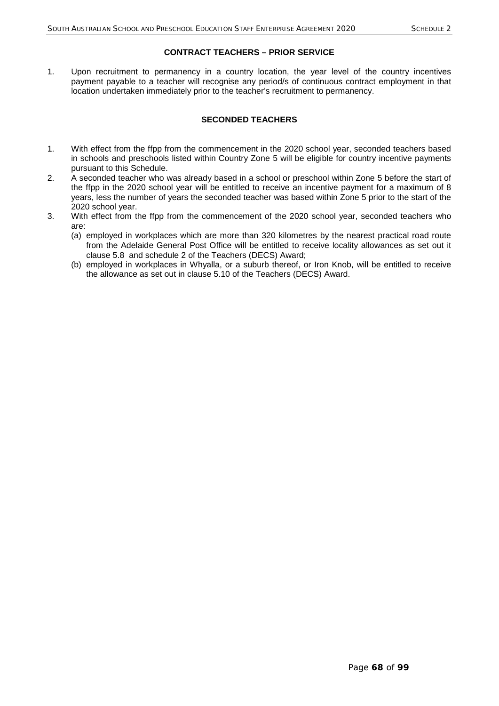## **CONTRACT TEACHERS – PRIOR SERVICE**

1. Upon recruitment to permanency in a country location, the year level of the country incentives payment payable to a teacher will recognise any period/s of continuous contract employment in that location undertaken immediately prior to the teacher's recruitment to permanency.

## **SECONDED TEACHERS**

- 1. With effect from the ffpp from the commencement in the 2020 school year, seconded teachers based in schools and preschools listed within Country Zone 5 will be eligible for country incentive payments pursuant to this Schedule.
- 2. A seconded teacher who was already based in a school or preschool within Zone 5 before the start of the ffpp in the 2020 school year will be entitled to receive an incentive payment for a maximum of 8 years, less the number of years the seconded teacher was based within Zone 5 prior to the start of the 2020 school year.
- 3. With effect from the ffpp from the commencement of the 2020 school year, seconded teachers who are:
	- (a) employed in workplaces which are more than 320 kilometres by the nearest practical road route from the Adelaide General Post Office will be entitled to receive locality allowances as set out it clause 5.8 and schedule 2 of the Teachers (DECS) Award;
	- (b) employed in workplaces in Whyalla, or a suburb thereof, or Iron Knob, will be entitled to receive the allowance as set out in clause 5.10 of the Teachers (DECS) Award.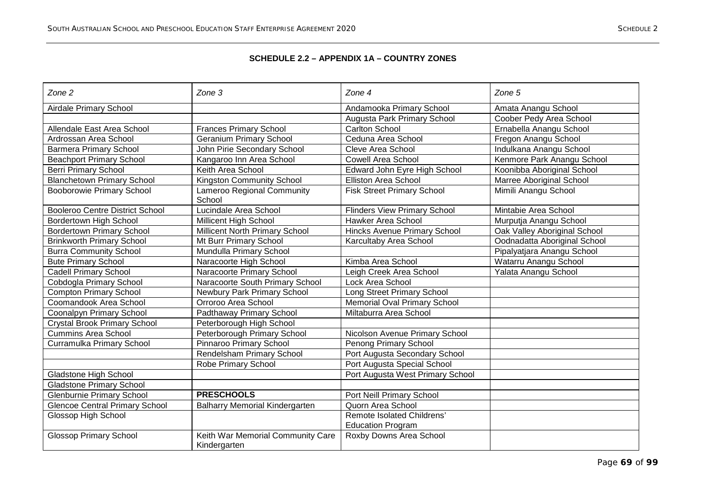# **SCHEDULE 2.2 – APPENDIX 1A – COUNTRY ZONES**

| Zone 2                                 | Zone 3                                            | Zone $4$                            | Zone 5                       |
|----------------------------------------|---------------------------------------------------|-------------------------------------|------------------------------|
| <b>Airdale Primary School</b>          |                                                   | Andamooka Primary School            | Amata Anangu School          |
|                                        |                                                   | Augusta Park Primary School         | Coober Pedy Area School      |
| Allendale East Area School             | <b>Frances Primary School</b>                     | <b>Carlton School</b>               | Ernabella Anangu School      |
| Ardrossan Area School                  | <b>Geranium Primary School</b>                    | Ceduna Area School                  | Fregon Anangu School         |
| <b>Barmera Primary School</b>          | John Pirie Secondary School                       | Cleve Area School                   | Indulkana Anangu School      |
| <b>Beachport Primary School</b>        | Kangaroo Inn Area School                          | <b>Cowell Area School</b>           | Kenmore Park Anangu School   |
| <b>Berri Primary School</b>            | Keith Area School                                 | Edward John Eyre High School        | Koonibba Aboriginal School   |
| <b>Blanchetown Primary School</b>      | Kingston Community School                         | <b>Elliston Area School</b>         | Marree Aboriginal School     |
| <b>Booborowie Primary School</b>       | Lameroo Regional Community<br>School              | <b>Fisk Street Primary School</b>   | Mimili Anangu School         |
| <b>Booleroo Centre District School</b> | Lucindale Area School                             | <b>Flinders View Primary School</b> | Mintabie Area School         |
| Bordertown High School                 | <b>Millicent High School</b>                      | Hawker Area School                  | Murputja Anangu School       |
| <b>Bordertown Primary School</b>       | Millicent North Primary School                    | <b>Hincks Avenue Primary School</b> | Oak Valley Aboriginal School |
| <b>Brinkworth Primary School</b>       | Mt Burr Primary School                            | Karcultaby Area School              | Oodnadatta Aboriginal School |
| <b>Burra Community School</b>          | Mundulla Primary School                           |                                     | Pipalyatjara Anangu School   |
| <b>Bute Primary School</b>             | Naracoorte High School                            | Kimba Area School                   | Watarru Anangu School        |
| <b>Cadell Primary School</b>           | Naracoorte Primary School                         | Leigh Creek Area School             | Yalata Anangu School         |
| Cobdogla Primary School                | Naracoorte South Primary School                   | Lock Area School                    |                              |
| <b>Compton Primary School</b>          | Newbury Park Primary School                       | Long Street Primary School          |                              |
| Coomandook Area School                 | Orroroo Area School                               | <b>Memorial Oval Primary School</b> |                              |
| Coonalpyn Primary School               | Padthaway Primary School                          | Miltaburra Area School              |                              |
| <b>Crystal Brook Primary School</b>    | Peterborough High School                          |                                     |                              |
| <b>Cummins Area School</b>             | Peterborough Primary School                       | Nicolson Avenue Primary School      |                              |
| Curramulka Primary School              | Pinnaroo Primary School                           | Penong Primary School               |                              |
|                                        | Rendelsham Primary School                         | Port Augusta Secondary School       |                              |
|                                        | Robe Primary School                               | Port Augusta Special School         |                              |
| <b>Gladstone High School</b>           |                                                   | Port Augusta West Primary School    |                              |
| <b>Gladstone Primary School</b>        |                                                   |                                     |                              |
| <b>Glenburnie Primary School</b>       | <b>PRESCHOOLS</b>                                 | Port Neill Primary School           |                              |
| <b>Glencoe Central Primary School</b>  | <b>Balharry Memorial Kindergarten</b>             | Quorn Area School                   |                              |
| Glossop High School                    |                                                   | Remote Isolated Childrens'          |                              |
|                                        |                                                   | <b>Education Program</b>            |                              |
| <b>Glossop Primary School</b>          | Keith War Memorial Community Care<br>Kindergarten | Roxby Downs Area School             |                              |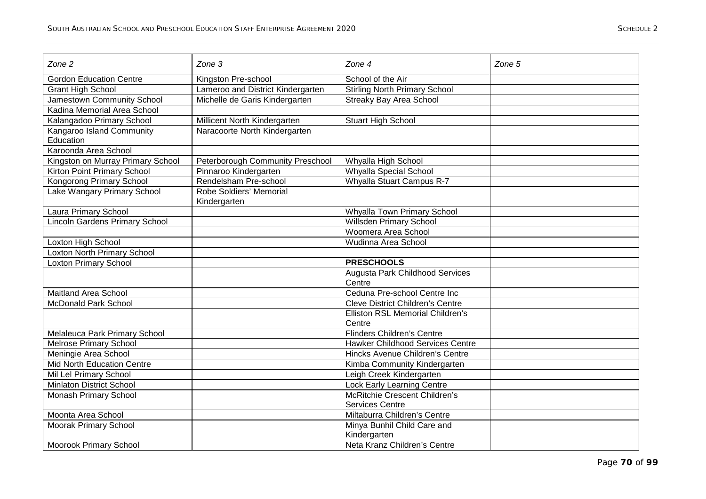| Zone 2                                | Zone 3                            | Zone $4$                                  | Zone 5 |
|---------------------------------------|-----------------------------------|-------------------------------------------|--------|
| <b>Gordon Education Centre</b>        | Kingston Pre-school               | School of the Air                         |        |
| <b>Grant High School</b>              | Lameroo and District Kindergarten | <b>Stirling North Primary School</b>      |        |
| Jamestown Community School            | Michelle de Garis Kindergarten    | <b>Streaky Bay Area School</b>            |        |
| Kadina Memorial Area School           |                                   |                                           |        |
| Kalangadoo Primary School             | Millicent North Kindergarten      | <b>Stuart High School</b>                 |        |
| Kangaroo Island Community             | Naracoorte North Kindergarten     |                                           |        |
| Education                             |                                   |                                           |        |
| Karoonda Area School                  |                                   |                                           |        |
| Kingston on Murray Primary School     | Peterborough Community Preschool  | Whyalla High School                       |        |
| Kirton Point Primary School           | Pinnaroo Kindergarten             | Whyalla Special School                    |        |
| Kongorong Primary School              | Rendelsham Pre-school             | Whyalla Stuart Campus R-7                 |        |
| Lake Wangary Primary School           | Robe Soldiers' Memorial           |                                           |        |
|                                       | Kindergarten                      |                                           |        |
| Laura Primary School                  |                                   | Whyalla Town Primary School               |        |
| <b>Lincoln Gardens Primary School</b> |                                   | Willsden Primary School                   |        |
|                                       |                                   | Woomera Area School                       |        |
| Loxton High School                    |                                   | Wudinna Area School                       |        |
| Loxton North Primary School           |                                   |                                           |        |
| <b>Loxton Primary School</b>          |                                   | <b>PRESCHOOLS</b>                         |        |
|                                       |                                   | Augusta Park Childhood Services<br>Centre |        |
| <b>Maitland Area School</b>           |                                   | Ceduna Pre-school Centre Inc              |        |
| <b>McDonald Park School</b>           |                                   | <b>Cleve District Children's Centre</b>   |        |
|                                       |                                   | Elliston RSL Memorial Children's          |        |
|                                       |                                   | Centre                                    |        |
| Melaleuca Park Primary School         |                                   | <b>Flinders Children's Centre</b>         |        |
| <b>Melrose Primary School</b>         |                                   | <b>Hawker Childhood Services Centre</b>   |        |
| Meningie Area School                  |                                   | Hincks Avenue Children's Centre           |        |
| <b>Mid North Education Centre</b>     |                                   | Kimba Community Kindergarten              |        |
| Mil Lel Primary School                |                                   | Leigh Creek Kindergarten                  |        |
| <b>Minlaton District School</b>       |                                   | <b>Lock Early Learning Centre</b>         |        |
| Monash Primary School                 |                                   | <b>McRitchie Crescent Children's</b>      |        |
|                                       |                                   | <b>Services Centre</b>                    |        |
| Moonta Area School                    |                                   | Miltaburra Children's Centre              |        |
| Moorak Primary School                 |                                   | Minya Bunhil Child Care and               |        |
|                                       |                                   | Kindergarten                              |        |
| <b>Moorook Primary School</b>         |                                   | Neta Kranz Children's Centre              |        |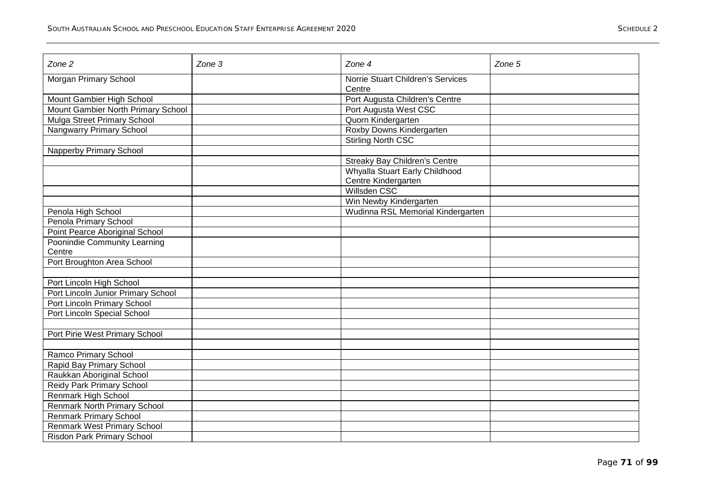| Zone 2                              | Zone 3 | Zone 4                                      | Zone 5 |
|-------------------------------------|--------|---------------------------------------------|--------|
| Morgan Primary School               |        | Norrie Stuart Children's Services<br>Centre |        |
| Mount Gambier High School           |        | Port Augusta Children's Centre              |        |
| Mount Gambier North Primary School  |        | Port Augusta West CSC                       |        |
| Mulga Street Primary School         |        | Quorn Kindergarten                          |        |
| Nangwarry Primary School            |        | Roxby Downs Kindergarten                    |        |
|                                     |        | <b>Stirling North CSC</b>                   |        |
| <b>Napperby Primary School</b>      |        |                                             |        |
|                                     |        | <b>Streaky Bay Children's Centre</b>        |        |
|                                     |        | Whyalla Stuart Early Childhood              |        |
|                                     |        | Centre Kindergarten                         |        |
|                                     |        | Willsden CSC                                |        |
|                                     |        | Win Newby Kindergarten                      |        |
| Penola High School                  |        | Wudinna RSL Memorial Kindergarten           |        |
| Penola Primary School               |        |                                             |        |
| Point Pearce Aboriginal School      |        |                                             |        |
| Poonindie Community Learning        |        |                                             |        |
| Centre                              |        |                                             |        |
| Port Broughton Area School          |        |                                             |        |
|                                     |        |                                             |        |
| Port Lincoln High School            |        |                                             |        |
| Port Lincoln Junior Primary School  |        |                                             |        |
| Port Lincoln Primary School         |        |                                             |        |
| Port Lincoln Special School         |        |                                             |        |
|                                     |        |                                             |        |
| Port Pirie West Primary School      |        |                                             |        |
|                                     |        |                                             |        |
| Ramco Primary School                |        |                                             |        |
| Rapid Bay Primary School            |        |                                             |        |
| Raukkan Aboriginal School           |        |                                             |        |
| Reidy Park Primary School           |        |                                             |        |
| Renmark High School                 |        |                                             |        |
| <b>Renmark North Primary School</b> |        |                                             |        |
| <b>Renmark Primary School</b>       |        |                                             |        |
| <b>Renmark West Primary School</b>  |        |                                             |        |
| <b>Risdon Park Primary School</b>   |        |                                             |        |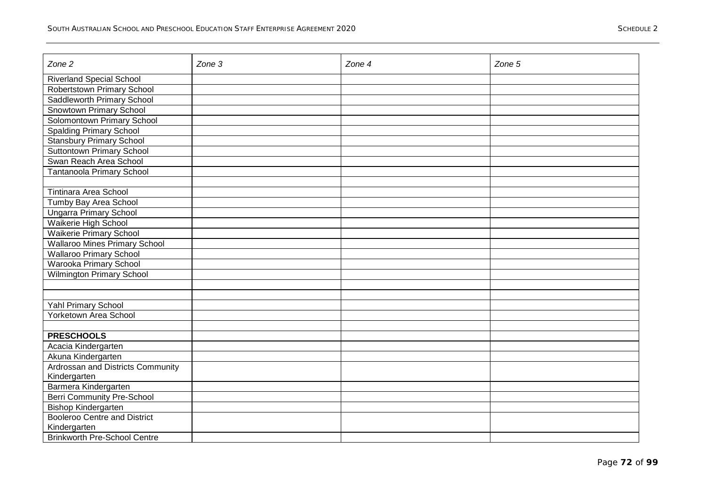| Zone 2                               | Zone 3 | Zone 4 | Zone 5 |
|--------------------------------------|--------|--------|--------|
| <b>Riverland Special School</b>      |        |        |        |
| Robertstown Primary School           |        |        |        |
| <b>Saddleworth Primary School</b>    |        |        |        |
| <b>Snowtown Primary School</b>       |        |        |        |
| Solomontown Primary School           |        |        |        |
| <b>Spalding Primary School</b>       |        |        |        |
| <b>Stansbury Primary School</b>      |        |        |        |
| Suttontown Primary School            |        |        |        |
| Swan Reach Area School               |        |        |        |
| <b>Tantanoola Primary School</b>     |        |        |        |
|                                      |        |        |        |
| Tintinara Area School                |        |        |        |
| Tumby Bay Area School                |        |        |        |
| <b>Ungarra Primary School</b>        |        |        |        |
| Waikerie High School                 |        |        |        |
| <b>Waikerie Primary School</b>       |        |        |        |
| <b>Wallaroo Mines Primary School</b> |        |        |        |
| <b>Wallaroo Primary School</b>       |        |        |        |
| Warooka Primary School               |        |        |        |
| <b>Wilmington Primary School</b>     |        |        |        |
|                                      |        |        |        |
|                                      |        |        |        |
| Yahl Primary School                  |        |        |        |
| Yorketown Area School                |        |        |        |
|                                      |        |        |        |
| <b>PRESCHOOLS</b>                    |        |        |        |
| Acacia Kindergarten                  |        |        |        |
| Akuna Kindergarten                   |        |        |        |
| Ardrossan and Districts Community    |        |        |        |
| Kindergarten                         |        |        |        |
| Barmera Kindergarten                 |        |        |        |
| <b>Berri Community Pre-School</b>    |        |        |        |
| <b>Bishop Kindergarten</b>           |        |        |        |
| <b>Booleroo Centre and District</b>  |        |        |        |
| Kindergarten                         |        |        |        |
| <b>Brinkworth Pre-School Centre</b>  |        |        |        |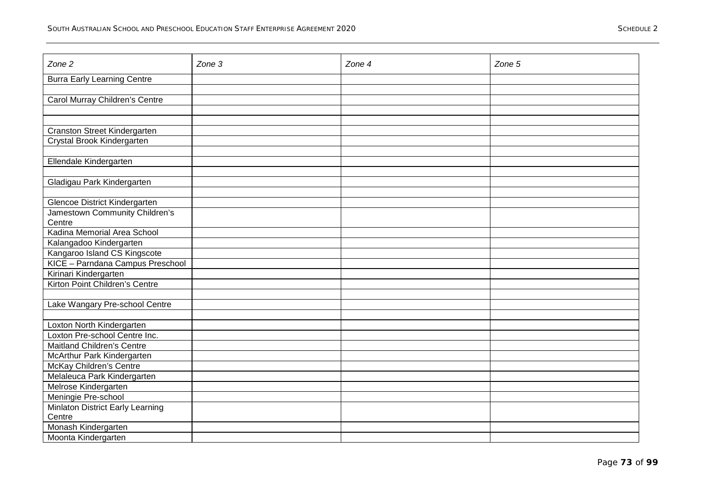| Zone 2                             | Zone 3 | Zone 4 | Zone 5 |
|------------------------------------|--------|--------|--------|
|                                    |        |        |        |
| <b>Burra Early Learning Centre</b> |        |        |        |
|                                    |        |        |        |
| Carol Murray Children's Centre     |        |        |        |
|                                    |        |        |        |
|                                    |        |        |        |
| Cranston Street Kindergarten       |        |        |        |
| Crystal Brook Kindergarten         |        |        |        |
|                                    |        |        |        |
| Ellendale Kindergarten             |        |        |        |
|                                    |        |        |        |
| Gladigau Park Kindergarten         |        |        |        |
|                                    |        |        |        |
| Glencoe District Kindergarten      |        |        |        |
| Jamestown Community Children's     |        |        |        |
| Centre                             |        |        |        |
| Kadina Memorial Area School        |        |        |        |
| Kalangadoo Kindergarten            |        |        |        |
| Kangaroo Island CS Kingscote       |        |        |        |
| KICE - Parndana Campus Preschool   |        |        |        |
| Kirinari Kindergarten              |        |        |        |
| Kirton Point Children's Centre     |        |        |        |
|                                    |        |        |        |
| Lake Wangary Pre-school Centre     |        |        |        |
|                                    |        |        |        |
| Loxton North Kindergarten          |        |        |        |
| Loxton Pre-school Centre Inc.      |        |        |        |
| <b>Maitland Children's Centre</b>  |        |        |        |
| McArthur Park Kindergarten         |        |        |        |
| McKay Children's Centre            |        |        |        |
| Melaleuca Park Kindergarten        |        |        |        |
| Melrose Kindergarten               |        |        |        |
| Meningie Pre-school                |        |        |        |
| Minlaton District Early Learning   |        |        |        |
| Centre                             |        |        |        |
| Monash Kindergarten                |        |        |        |
| Moonta Kindergarten                |        |        |        |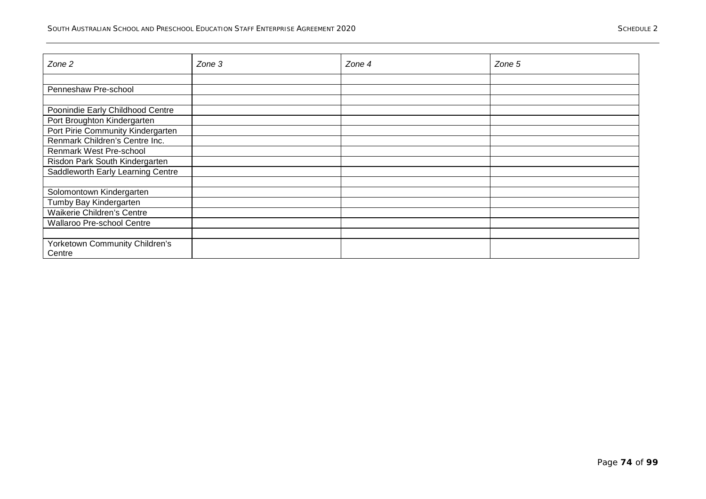| Zone 2                            | Zone 3 | Zone $4$ | Zone 5 |
|-----------------------------------|--------|----------|--------|
|                                   |        |          |        |
|                                   |        |          |        |
| Penneshaw Pre-school              |        |          |        |
|                                   |        |          |        |
| Poonindie Early Childhood Centre  |        |          |        |
| Port Broughton Kindergarten       |        |          |        |
| Port Pirie Community Kindergarten |        |          |        |
| Renmark Children's Centre Inc.    |        |          |        |
| Renmark West Pre-school           |        |          |        |
| Risdon Park South Kindergarten    |        |          |        |
| Saddleworth Early Learning Centre |        |          |        |
|                                   |        |          |        |
| Solomontown Kindergarten          |        |          |        |
| Tumby Bay Kindergarten            |        |          |        |
| Waikerie Children's Centre        |        |          |        |
| Wallaroo Pre-school Centre        |        |          |        |
|                                   |        |          |        |
| Yorketown Community Children's    |        |          |        |
| Centre                            |        |          |        |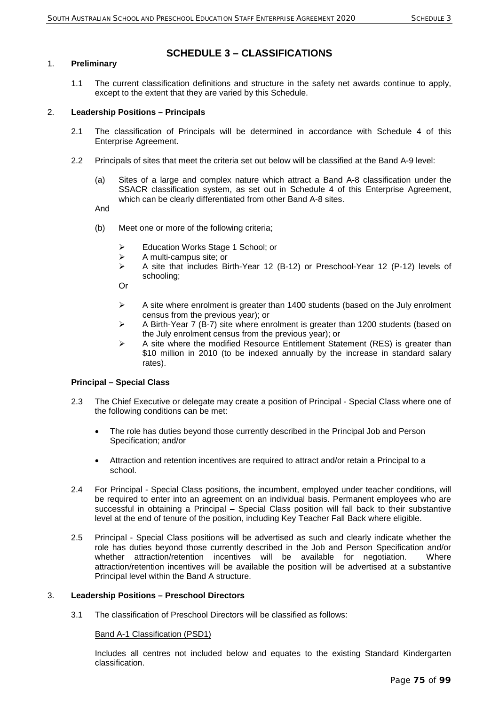# **SCHEDULE 3 – CLASSIFICATIONS**

## 1. **Preliminary**

1.1 The current classification definitions and structure in the safety net awards continue to apply, except to the extent that they are varied by this Schedule.

## 2. **Leadership Positions – Principals**

- 2.1 The classification of Principals will be determined in accordance with Schedule 4 of this Enterprise Agreement.
- 2.2 Principals of sites that meet the criteria set out below will be classified at the Band A-9 level:
	- (a) Sites of a large and complex nature which attract a Band A-8 classification under the SSACR classification system, as set out in Schedule 4 of this Enterprise Agreement, which can be clearly differentiated from other Band A-8 sites.

And

- (b) Meet one or more of the following criteria;
	- Education Works Stage 1 School; or
	- $\triangleright$  A multi-campus site; or
	- $\triangleright$  A site that includes Birth-Year 12 (B-12) or Preschool-Year 12 (P-12) levels of schooling;
	- Or
	- $\triangleright$  A site where enrolment is greater than 1400 students (based on the July enrolment census from the previous year); or
	- $\triangleright$  A Birth-Year 7 (B-7) site where enrolment is greater than 1200 students (based on the July enrolment census from the previous year); or
	- $\triangleright$  A site where the modified Resource Entitlement Statement (RES) is greater than \$10 million in 2010 (to be indexed annually by the increase in standard salary rates).

#### **Principal – Special Class**

- 2.3 The Chief Executive or delegate may create a position of Principal Special Class where one of the following conditions can be met:
	- The role has duties beyond those currently described in the Principal Job and Person Specification; and/or
	- Attraction and retention incentives are required to attract and/or retain a Principal to a school.
- 2.4 For Principal Special Class positions, the incumbent, employed under teacher conditions, will be required to enter into an agreement on an individual basis. Permanent employees who are successful in obtaining a Principal – Special Class position will fall back to their substantive level at the end of tenure of the position, including Key Teacher Fall Back where eligible.
- 2.5 Principal Special Class positions will be advertised as such and clearly indicate whether the role has duties beyond those currently described in the Job and Person Specification and/or whether attraction/retention incentives will be available for negotiation. Where attraction/retention incentives will be available the position will be advertised at a substantive Principal level within the Band A structure.

#### 3. **Leadership Positions – Preschool Directors**

3.1 The classification of Preschool Directors will be classified as follows:

#### Band A-1 Classification (PSD1)

Includes all centres not included below and equates to the existing Standard Kindergarten classification.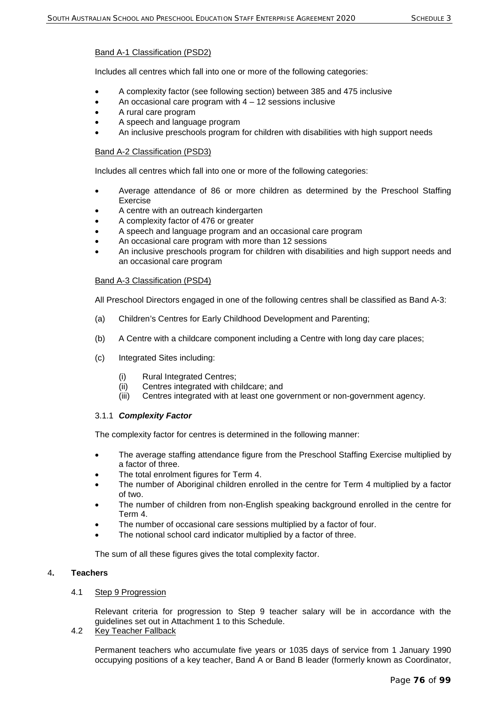## Band A-1 Classification (PSD2)

Includes all centres which fall into one or more of the following categories:

- A complexity factor (see following section) between 385 and 475 inclusive
- An occasional care program with  $4 12$  sessions inclusive
- A rural care program
- A speech and language program
- An inclusive preschools program for children with disabilities with high support needs

### Band A-2 Classification (PSD3)

Includes all centres which fall into one or more of the following categories:

- Average attendance of 86 or more children as determined by the Preschool Staffing Exercise
- A centre with an outreach kindergarten
- A complexity factor of 476 or greater
- A speech and language program and an occasional care program
- An occasional care program with more than 12 sessions
- An inclusive preschools program for children with disabilities and high support needs and an occasional care program

#### Band A-3 Classification (PSD4)

All Preschool Directors engaged in one of the following centres shall be classified as Band A-3:

- (a) Children's Centres for Early Childhood Development and Parenting;
- (b) A Centre with a childcare component including a Centre with long day care places;
- (c) Integrated Sites including:
	- (i) Rural Integrated Centres;
	- (ii) Centres integrated with childcare; and
	- (iii) Centres integrated with at least one government or non-government agency.

#### 3.1.1 *Complexity Factor*

The complexity factor for centres is determined in the following manner:

- The average staffing attendance figure from the Preschool Staffing Exercise multiplied by a factor of three.
- The total enrolment figures for Term 4.
- The number of Aboriginal children enrolled in the centre for Term 4 multiplied by a factor of two.
- The number of children from non-English speaking background enrolled in the centre for Term 4.
- The number of occasional care sessions multiplied by a factor of four.
- The notional school card indicator multiplied by a factor of three.

The sum of all these figures gives the total complexity factor.

## 4**. Teachers**

## 4.1 Step 9 Progression

Relevant criteria for progression to Step 9 teacher salary will be in accordance with the guidelines set out in Attachment 1 to this Schedule.

4.2 Key Teacher Fallback

Permanent teachers who accumulate five years or 1035 days of service from 1 January 1990 occupying positions of a key teacher, Band A or Band B leader (formerly known as Coordinator,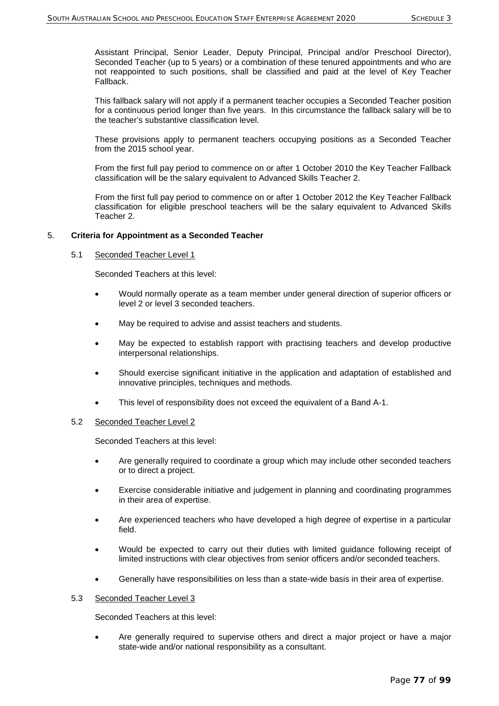Assistant Principal, Senior Leader, Deputy Principal, Principal and/or Preschool Director), Seconded Teacher (up to 5 years) or a combination of these tenured appointments and who are not reappointed to such positions, shall be classified and paid at the level of Key Teacher Fallback.

This fallback salary will not apply if a permanent teacher occupies a Seconded Teacher position for a continuous period longer than five years. In this circumstance the fallback salary will be to the teacher's substantive classification level.

These provisions apply to permanent teachers occupying positions as a Seconded Teacher from the 2015 school year.

From the first full pay period to commence on or after 1 October 2010 the Key Teacher Fallback classification will be the salary equivalent to Advanced Skills Teacher 2.

From the first full pay period to commence on or after 1 October 2012 the Key Teacher Fallback classification for eligible preschool teachers will be the salary equivalent to Advanced Skills Teacher 2.

#### 5. **Criteria for Appointment as a Seconded Teacher**

#### 5.1 Seconded Teacher Level 1

Seconded Teachers at this level:

- Would normally operate as a team member under general direction of superior officers or level 2 or level 3 seconded teachers.
- May be required to advise and assist teachers and students.
- May be expected to establish rapport with practising teachers and develop productive interpersonal relationships.
- Should exercise significant initiative in the application and adaptation of established and innovative principles, techniques and methods.
- This level of responsibility does not exceed the equivalent of a Band A-1.

#### 5.2 Seconded Teacher Level 2

Seconded Teachers at this level:

- Are generally required to coordinate a group which may include other seconded teachers or to direct a project.
- Exercise considerable initiative and judgement in planning and coordinating programmes in their area of expertise.
- Are experienced teachers who have developed a high degree of expertise in a particular field.
- Would be expected to carry out their duties with limited guidance following receipt of limited instructions with clear objectives from senior officers and/or seconded teachers.
- Generally have responsibilities on less than a state-wide basis in their area of expertise.

#### 5.3 Seconded Teacher Level 3

Seconded Teachers at this level:

• Are generally required to supervise others and direct a major project or have a major state-wide and/or national responsibility as a consultant.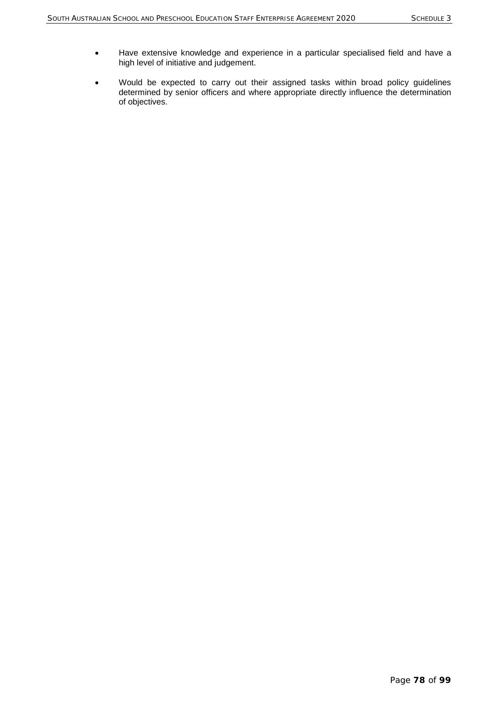- Have extensive knowledge and experience in a particular specialised field and have a high level of initiative and judgement.
- Would be expected to carry out their assigned tasks within broad policy guidelines determined by senior officers and where appropriate directly influence the determination of objectives.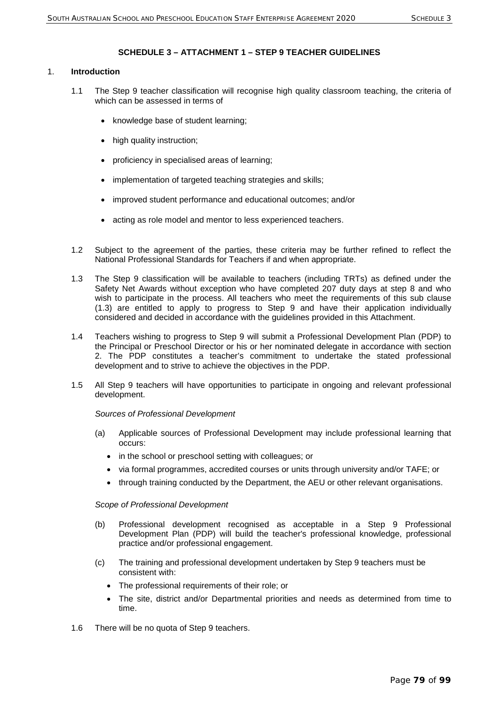## **SCHEDULE 3 – ATTACHMENT 1 – STEP 9 TEACHER GUIDELINES**

## 1. **Introduction**

- 1.1 The Step 9 teacher classification will recognise high quality classroom teaching, the criteria of which can be assessed in terms of
	- knowledge base of student learning;
	- high quality instruction;
	- proficiency in specialised areas of learning;
	- implementation of targeted teaching strategies and skills;
	- improved student performance and educational outcomes; and/or
	- acting as role model and mentor to less experienced teachers.
- 1.2 Subject to the agreement of the parties, these criteria may be further refined to reflect the National Professional Standards for Teachers if and when appropriate.
- 1.3 The Step 9 classification will be available to teachers (including TRTs) as defined under the Safety Net Awards without exception who have completed 207 duty days at step 8 and who wish to participate in the process. All teachers who meet the requirements of this sub clause (1.3) are entitled to apply to progress to Step 9 and have their application individually considered and decided in accordance with the guidelines provided in this Attachment.
- 1.4 Teachers wishing to progress to Step 9 will submit a Professional Development Plan (PDP) to the Principal or Preschool Director or his or her nominated delegate in accordance with section 2. The PDP constitutes a teacher's commitment to undertake the stated professional development and to strive to achieve the objectives in the PDP.
- 1.5 All Step 9 teachers will have opportunities to participate in ongoing and relevant professional development.

#### *Sources of Professional Development*

- (a) Applicable sources of Professional Development may include professional learning that occurs:
	- in the school or preschool setting with colleagues; or
	- via formal programmes, accredited courses or units through university and/or TAFE; or
	- through training conducted by the Department, the AEU or other relevant organisations.

#### *Scope of Professional Development*

- (b) Professional development recognised as acceptable in a Step 9 Professional Development Plan (PDP) will build the teacher's professional knowledge, professional practice and/or professional engagement.
- (c) The training and professional development undertaken by Step 9 teachers must be consistent with:
	- The professional requirements of their role; or
	- The site, district and/or Departmental priorities and needs as determined from time to time.
- 1.6 There will be no quota of Step 9 teachers.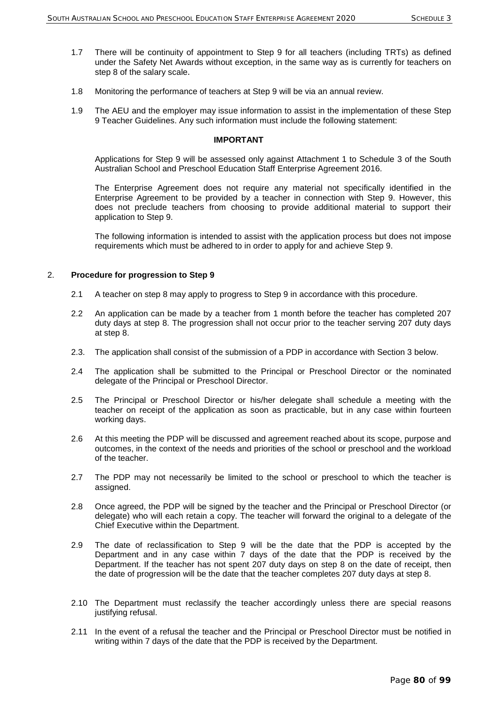- 1.7 There will be continuity of appointment to Step 9 for all teachers (including TRTs) as defined under the Safety Net Awards without exception, in the same way as is currently for teachers on step 8 of the salary scale.
- 1.8 Monitoring the performance of teachers at Step 9 will be via an annual review.
- 1.9 The AEU and the employer may issue information to assist in the implementation of these Step 9 Teacher Guidelines. Any such information must include the following statement:

#### **IMPORTANT**

Applications for Step 9 will be assessed only against Attachment 1 to Schedule 3 of the South Australian School and Preschool Education Staff Enterprise Agreement 2016.

The Enterprise Agreement does not require any material not specifically identified in the Enterprise Agreement to be provided by a teacher in connection with Step 9. However, this does not preclude teachers from choosing to provide additional material to support their application to Step 9.

The following information is intended to assist with the application process but does not impose requirements which must be adhered to in order to apply for and achieve Step 9.

## 2. **Procedure for progression to Step 9**

- 2.1 A teacher on step 8 may apply to progress to Step 9 in accordance with this procedure.
- 2.2 An application can be made by a teacher from 1 month before the teacher has completed 207 duty days at step 8. The progression shall not occur prior to the teacher serving 207 duty days at step 8.
- 2.3. The application shall consist of the submission of a PDP in accordance with Section 3 below.
- 2.4 The application shall be submitted to the Principal or Preschool Director or the nominated delegate of the Principal or Preschool Director.
- 2.5 The Principal or Preschool Director or his/her delegate shall schedule a meeting with the teacher on receipt of the application as soon as practicable, but in any case within fourteen working days.
- 2.6 At this meeting the PDP will be discussed and agreement reached about its scope, purpose and outcomes, in the context of the needs and priorities of the school or preschool and the workload of the teacher.
- 2.7 The PDP may not necessarily be limited to the school or preschool to which the teacher is assigned.
- 2.8 Once agreed, the PDP will be signed by the teacher and the Principal or Preschool Director (or delegate) who will each retain a copy. The teacher will forward the original to a delegate of the Chief Executive within the Department.
- 2.9 The date of reclassification to Step 9 will be the date that the PDP is accepted by the Department and in any case within 7 days of the date that the PDP is received by the Department. If the teacher has not spent 207 duty days on step 8 on the date of receipt, then the date of progression will be the date that the teacher completes 207 duty days at step 8.
- 2.10 The Department must reclassify the teacher accordingly unless there are special reasons justifying refusal.
- 2.11 In the event of a refusal the teacher and the Principal or Preschool Director must be notified in writing within 7 days of the date that the PDP is received by the Department.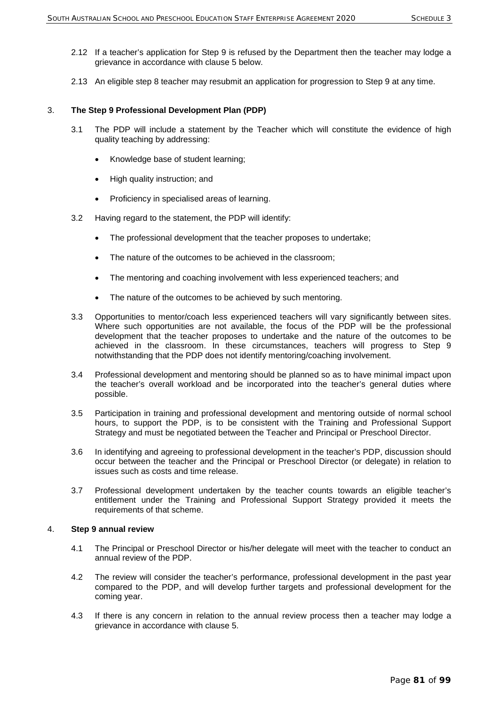- 2.12 If a teacher's application for Step 9 is refused by the Department then the teacher may lodge a grievance in accordance with clause 5 below.
- 2.13 An eligible step 8 teacher may resubmit an application for progression to Step 9 at any time.

## 3. **The Step 9 Professional Development Plan (PDP)**

- 3.1 The PDP will include a statement by the Teacher which will constitute the evidence of high quality teaching by addressing:
	- Knowledge base of student learning;
	- High quality instruction; and
	- Proficiency in specialised areas of learning.
- 3.2 Having regard to the statement, the PDP will identify:
	- The professional development that the teacher proposes to undertake;
	- The nature of the outcomes to be achieved in the classroom;
	- The mentoring and coaching involvement with less experienced teachers; and
	- The nature of the outcomes to be achieved by such mentoring.
- 3.3 Opportunities to mentor/coach less experienced teachers will vary significantly between sites. Where such opportunities are not available, the focus of the PDP will be the professional development that the teacher proposes to undertake and the nature of the outcomes to be achieved in the classroom. In these circumstances, teachers will progress to Step 9 notwithstanding that the PDP does not identify mentoring/coaching involvement.
- 3.4 Professional development and mentoring should be planned so as to have minimal impact upon the teacher's overall workload and be incorporated into the teacher's general duties where possible.
- 3.5 Participation in training and professional development and mentoring outside of normal school hours, to support the PDP, is to be consistent with the Training and Professional Support Strategy and must be negotiated between the Teacher and Principal or Preschool Director.
- 3.6 In identifying and agreeing to professional development in the teacher's PDP, discussion should occur between the teacher and the Principal or Preschool Director (or delegate) in relation to issues such as costs and time release.
- 3.7 Professional development undertaken by the teacher counts towards an eligible teacher's entitlement under the Training and Professional Support Strategy provided it meets the requirements of that scheme.

#### 4. **Step 9 annual review**

- 4.1 The Principal or Preschool Director or his/her delegate will meet with the teacher to conduct an annual review of the PDP.
- 4.2 The review will consider the teacher's performance, professional development in the past year compared to the PDP, and will develop further targets and professional development for the coming year.
- 4.3 If there is any concern in relation to the annual review process then a teacher may lodge a grievance in accordance with clause 5.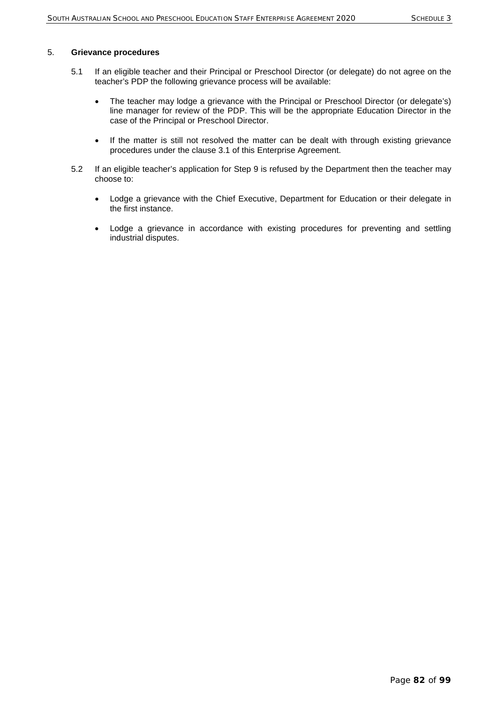## 5. **Grievance procedures**

- 5.1 If an eligible teacher and their Principal or Preschool Director (or delegate) do not agree on the teacher's PDP the following grievance process will be available:
	- The teacher may lodge a grievance with the Principal or Preschool Director (or delegate's) line manager for review of the PDP. This will be the appropriate Education Director in the case of the Principal or Preschool Director.
	- If the matter is still not resolved the matter can be dealt with through existing grievance procedures under the clause 3.1 of this Enterprise Agreement.
- 5.2 If an eligible teacher's application for Step 9 is refused by the Department then the teacher may choose to:
	- Lodge a grievance with the Chief Executive, Department for Education or their delegate in the first instance.
	- Lodge a grievance in accordance with existing procedures for preventing and settling industrial disputes.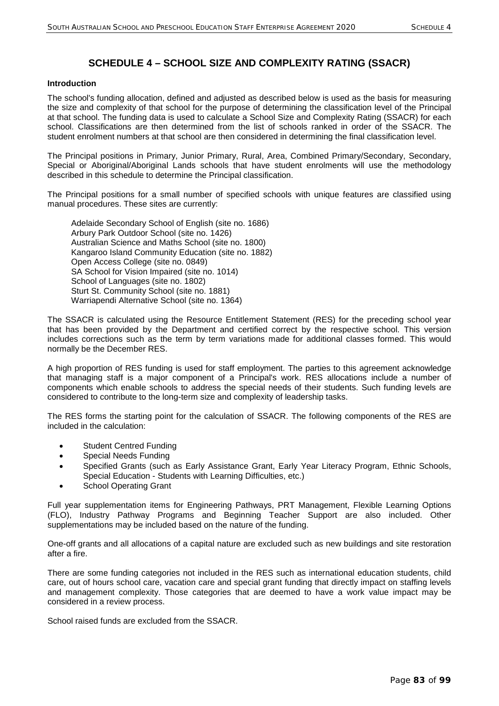# **SCHEDULE 4 – SCHOOL SIZE AND COMPLEXITY RATING (SSACR)**

#### **Introduction**

The school's funding allocation, defined and adjusted as described below is used as the basis for measuring the size and complexity of that school for the purpose of determining the classification level of the Principal at that school. The funding data is used to calculate a School Size and Complexity Rating (SSACR) for each school. Classifications are then determined from the list of schools ranked in order of the SSACR. The student enrolment numbers at that school are then considered in determining the final classification level.

The Principal positions in Primary, Junior Primary, Rural, Area, Combined Primary/Secondary, Secondary, Special or Aboriginal/Aboriginal Lands schools that have student enrolments will use the methodology described in this schedule to determine the Principal classification.

The Principal positions for a small number of specified schools with unique features are classified using manual procedures. These sites are currently:

Adelaide Secondary School of English (site no. 1686) Arbury Park Outdoor School (site no. 1426) Australian Science and Maths School (site no. 1800) Kangaroo Island Community Education (site no. 1882) Open Access College (site no. 0849) SA School for Vision Impaired (site no. 1014) School of Languages (site no. 1802) Sturt St. Community School (site no. 1881) Warriapendi Alternative School (site no. 1364)

The SSACR is calculated using the Resource Entitlement Statement (RES) for the preceding school year that has been provided by the Department and certified correct by the respective school. This version includes corrections such as the term by term variations made for additional classes formed. This would normally be the December RES.

A high proportion of RES funding is used for staff employment. The parties to this agreement acknowledge that managing staff is a major component of a Principal's work. RES allocations include a number of components which enable schools to address the special needs of their students. Such funding levels are considered to contribute to the long-term size and complexity of leadership tasks.

The RES forms the starting point for the calculation of SSACR. The following components of the RES are included in the calculation:

- Student Centred Funding
- Special Needs Funding
- Specified Grants (such as Early Assistance Grant, Early Year Literacy Program, Ethnic Schools, Special Education - Students with Learning Difficulties, etc.)
- School Operating Grant

Full year supplementation items for Engineering Pathways, PRT Management, Flexible Learning Options (FLO), Industry Pathway Programs and Beginning Teacher Support are also included. Other supplementations may be included based on the nature of the funding.

One-off grants and all allocations of a capital nature are excluded such as new buildings and site restoration after a fire.

There are some funding categories not included in the RES such as international education students, child care, out of hours school care, vacation care and special grant funding that directly impact on staffing levels and management complexity. Those categories that are deemed to have a work value impact may be considered in a review process.

School raised funds are excluded from the SSACR.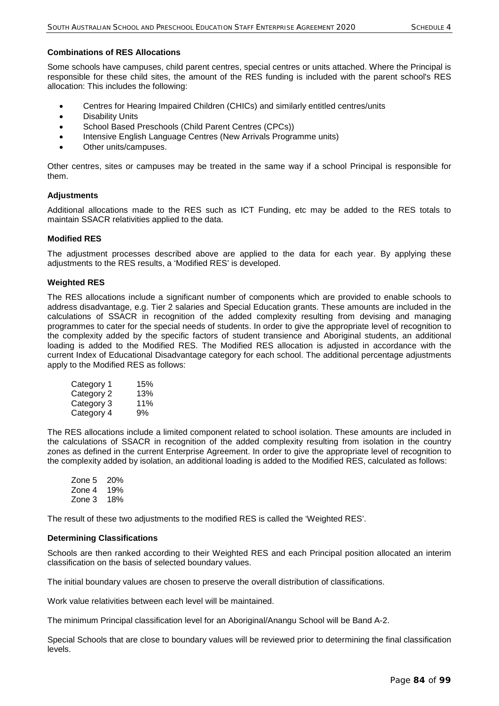#### **Combinations of RES Allocations**

Some schools have campuses, child parent centres, special centres or units attached. Where the Principal is responsible for these child sites, the amount of the RES funding is included with the parent school's RES allocation: This includes the following:

- Centres for Hearing Impaired Children (CHICs) and similarly entitled centres/units
- Disability Units
- School Based Preschools (Child Parent Centres (CPCs))
- Intensive English Language Centres (New Arrivals Programme units)
- Other units/campuses.

Other centres, sites or campuses may be treated in the same way if a school Principal is responsible for them.

#### **Adjustments**

Additional allocations made to the RES such as ICT Funding, etc may be added to the RES totals to maintain SSACR relativities applied to the data.

#### **Modified RES**

The adjustment processes described above are applied to the data for each year. By applying these adjustments to the RES results, a 'Modified RES' is developed.

## **Weighted RES**

The RES allocations include a significant number of components which are provided to enable schools to address disadvantage, e.g. Tier 2 salaries and Special Education grants. These amounts are included in the calculations of SSACR in recognition of the added complexity resulting from devising and managing programmes to cater for the special needs of students. In order to give the appropriate level of recognition to the complexity added by the specific factors of student transience and Aboriginal students, an additional loading is added to the Modified RES. The Modified RES allocation is adjusted in accordance with the current Index of Educational Disadvantage category for each school. The additional percentage adjustments apply to the Modified RES as follows:

| Category 1 | 15% |
|------------|-----|
| Category 2 | 13% |
| Category 3 | 11% |
| Category 4 | 9%  |

The RES allocations include a limited component related to school isolation. These amounts are included in the calculations of SSACR in recognition of the added complexity resulting from isolation in the country zones as defined in the current Enterprise Agreement. In order to give the appropriate level of recognition to the complexity added by isolation, an additional loading is added to the Modified RES, calculated as follows:

Zone 5 20% Zone 4 19% Zone 3 18%

The result of these two adjustments to the modified RES is called the 'Weighted RES'.

#### **Determining Classifications**

Schools are then ranked according to their Weighted RES and each Principal position allocated an interim classification on the basis of selected boundary values.

The initial boundary values are chosen to preserve the overall distribution of classifications.

Work value relativities between each level will be maintained.

The minimum Principal classification level for an Aboriginal/Anangu School will be Band A-2.

Special Schools that are close to boundary values will be reviewed prior to determining the final classification levels.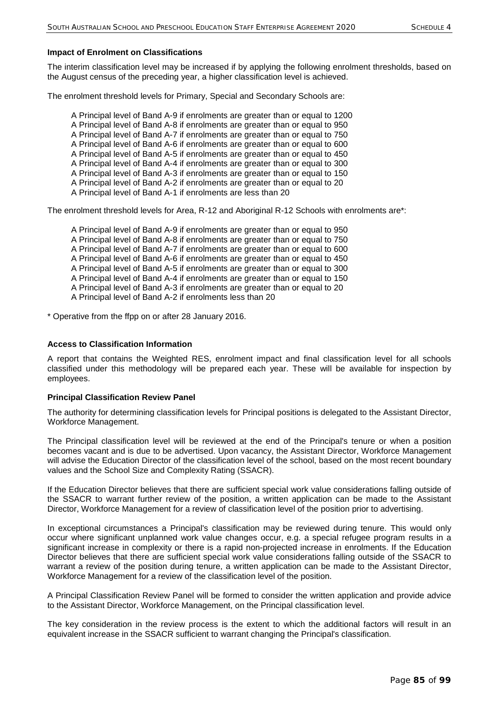### **Impact of Enrolment on Classifications**

The interim classification level may be increased if by applying the following enrolment thresholds, based on the August census of the preceding year, a higher classification level is achieved.

The enrolment threshold levels for Primary, Special and Secondary Schools are:

- A Principal level of Band A-9 if enrolments are greater than or equal to 1200
- A Principal level of Band A-8 if enrolments are greater than or equal to 950
- A Principal level of Band A-7 if enrolments are greater than or equal to 750
- A Principal level of Band A-6 if enrolments are greater than or equal to 600
- A Principal level of Band A-5 if enrolments are greater than or equal to 450 A Principal level of Band A-4 if enrolments are greater than or equal to 300
- A Principal level of Band A-3 if enrolments are greater than or equal to 150
- A Principal level of Band A-2 if enrolments are greater than or equal to 20
- A Principal level of Band A-1 if enrolments are less than 20

The enrolment threshold levels for Area, R-12 and Aboriginal R-12 Schools with enrolments are\*:

A Principal level of Band A-9 if enrolments are greater than or equal to 950 A Principal level of Band A-8 if enrolments are greater than or equal to 750 A Principal level of Band A-7 if enrolments are greater than or equal to 600 A Principal level of Band A-6 if enrolments are greater than or equal to 450 A Principal level of Band A-5 if enrolments are greater than or equal to 300 A Principal level of Band A-4 if enrolments are greater than or equal to 150 A Principal level of Band A-3 if enrolments are greater than or equal to 20 A Principal level of Band A-2 if enrolments less than 20

\* Operative from the ffpp on or after 28 January 2016.

## **Access to Classification Information**

A report that contains the Weighted RES, enrolment impact and final classification level for all schools classified under this methodology will be prepared each year. These will be available for inspection by employees.

#### **Principal Classification Review Panel**

The authority for determining classification levels for Principal positions is delegated to the Assistant Director, Workforce Management.

The Principal classification level will be reviewed at the end of the Principal's tenure or when a position becomes vacant and is due to be advertised. Upon vacancy, the Assistant Director, Workforce Management will advise the Education Director of the classification level of the school, based on the most recent boundary values and the School Size and Complexity Rating (SSACR).

If the Education Director believes that there are sufficient special work value considerations falling outside of the SSACR to warrant further review of the position, a written application can be made to the Assistant Director, Workforce Management for a review of classification level of the position prior to advertising.

In exceptional circumstances a Principal's classification may be reviewed during tenure. This would only occur where significant unplanned work value changes occur, e.g. a special refugee program results in a significant increase in complexity or there is a rapid non-projected increase in enrolments. If the Education Director believes that there are sufficient special work value considerations falling outside of the SSACR to warrant a review of the position during tenure, a written application can be made to the Assistant Director, Workforce Management for a review of the classification level of the position.

A Principal Classification Review Panel will be formed to consider the written application and provide advice to the Assistant Director, Workforce Management, on the Principal classification level.

The key consideration in the review process is the extent to which the additional factors will result in an equivalent increase in the SSACR sufficient to warrant changing the Principal's classification.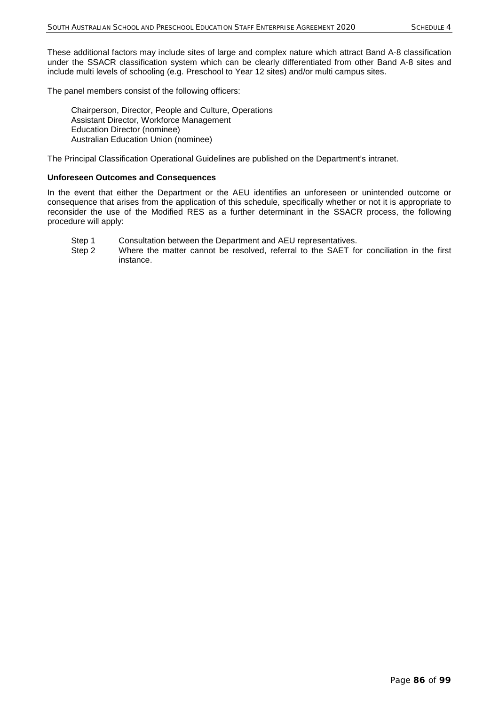These additional factors may include sites of large and complex nature which attract Band A-8 classification under the SSACR classification system which can be clearly differentiated from other Band A-8 sites and include multi levels of schooling (e.g. Preschool to Year 12 sites) and/or multi campus sites.

The panel members consist of the following officers:

Chairperson, Director, People and Culture, Operations Assistant Director, Workforce Management Education Director (nominee) Australian Education Union (nominee)

The Principal Classification Operational Guidelines are published on the Department's intranet.

#### **Unforeseen Outcomes and Consequences**

In the event that either the Department or the AEU identifies an unforeseen or unintended outcome or consequence that arises from the application of this schedule, specifically whether or not it is appropriate to reconsider the use of the Modified RES as a further determinant in the SSACR process, the following procedure will apply:

- Step 1 Consultation between the Department and AEU representatives.
- Step 2 Where the matter cannot be resolved, referral to the SAET for conciliation in the first instance.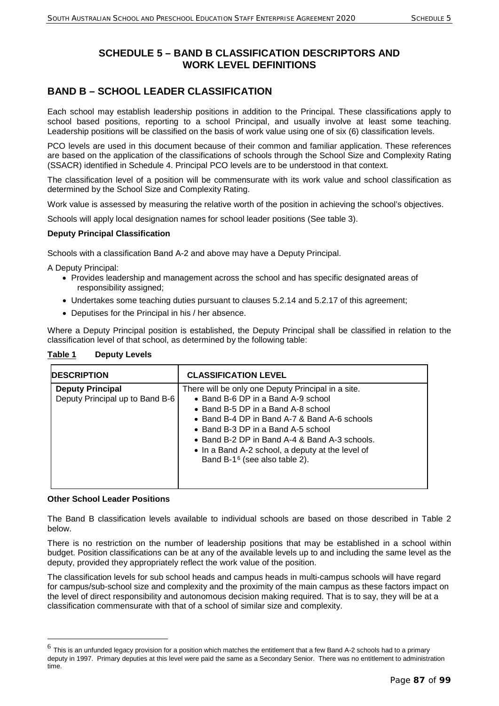# **SCHEDULE 5 – BAND B CLASSIFICATION DESCRIPTORS AND WORK LEVEL DEFINITIONS**

# **BAND B – SCHOOL LEADER CLASSIFICATION**

Each school may establish leadership positions in addition to the Principal. These classifications apply to school based positions, reporting to a school Principal, and usually involve at least some teaching. Leadership positions will be classified on the basis of work value using one of six (6) classification levels.

PCO levels are used in this document because of their common and familiar application. These references are based on the application of the classifications of schools through the School Size and Complexity Rating (SSACR) identified in Schedule 4. Principal PCO levels are to be understood in that context.

The classification level of a position will be commensurate with its work value and school classification as determined by the School Size and Complexity Rating.

Work value is assessed by measuring the relative worth of the position in achieving the school's objectives.

Schools will apply local designation names for school leader positions (See table 3).

## **Deputy Principal Classification**

Schools with a classification Band A-2 and above may have a Deputy Principal.

A Deputy Principal:

- Provides leadership and management across the school and has specific designated areas of responsibility assigned;
- Undertakes some teaching duties pursuant to clauses 5.2.14 and 5.2.17 of this agreement:
- Deputises for the Principal in his / her absence.

Where a Deputy Principal position is established, the Deputy Principal shall be classified in relation to the classification level of that school, as determined by the following table:

| <b>IDESCRIPTION</b>                                        | <b>CLASSIFICATION LEVEL</b>                                                                                                                                                                                                                                                                                                                                            |
|------------------------------------------------------------|------------------------------------------------------------------------------------------------------------------------------------------------------------------------------------------------------------------------------------------------------------------------------------------------------------------------------------------------------------------------|
| <b>Deputy Principal</b><br>Deputy Principal up to Band B-6 | There will be only one Deputy Principal in a site.<br>• Band B-6 DP in a Band A-9 school<br>• Band B-5 DP in a Band A-8 school<br>• Band B-4 DP in Band A-7 & Band A-6 schools<br>• Band B-3 DP in a Band A-5 school<br>• Band B-2 DP in Band A-4 & Band A-3 schools.<br>• In a Band A-2 school, a deputy at the level of<br>Band B-1 <sup>6</sup> (see also table 2). |

#### **Table 1 Deputy Levels**

#### **Other School Leader Positions**

The Band B classification levels available to individual schools are based on those described in Table 2 below.

There is no restriction on the number of leadership positions that may be established in a school within budget. Position classifications can be at any of the available levels up to and including the same level as the deputy, provided they appropriately reflect the work value of the position.

The classification levels for sub school heads and campus heads in multi-campus schools will have regard for campus/sub-school size and complexity and the proximity of the main campus as these factors impact on the level of direct responsibility and autonomous decision making required. That is to say, they will be at a classification commensurate with that of a school of similar size and complexity.

<span id="page-87-0"></span> $^6$  This is an unfunded legacy provision for a position which matches the entitlement that a few Band A-2 schools had to a primary deputy in 1997. Primary deputies at this level were paid the same as a Secondary Senior. There was no entitlement to administration time.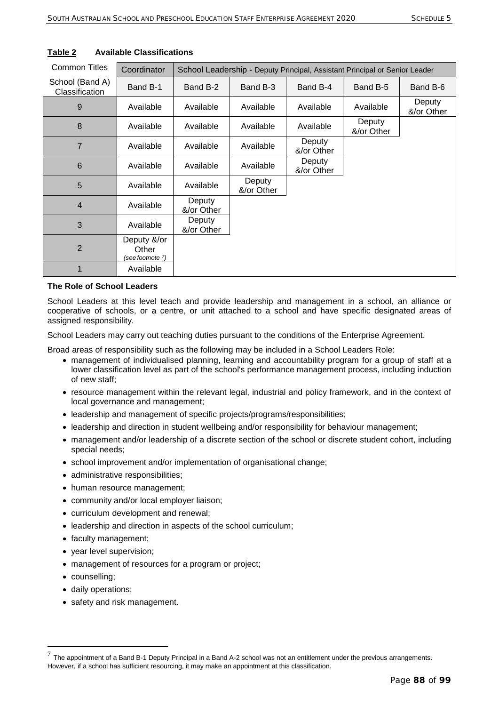| <b>Common Titles</b>              | Coordinator                              | School Leadership - Deputy Principal, Assistant Principal or Senior Leader |                      |                      |                      |                      |
|-----------------------------------|------------------------------------------|----------------------------------------------------------------------------|----------------------|----------------------|----------------------|----------------------|
| School (Band A)<br>Classification | Band B-1                                 | Band B-2                                                                   | Band B-3             | Band B-4             | Band B-5             | Band B-6             |
| 9                                 | Available                                | Available                                                                  | Available            | Available            | Available            | Deputy<br>&/or Other |
| 8                                 | Available                                | Available                                                                  | Available            | Available            | Deputy<br>&/or Other |                      |
| $\overline{7}$                    | Available                                | Available                                                                  | Available            | Deputy<br>&/or Other |                      |                      |
| 6                                 | Available                                | Available                                                                  | Available            | Deputy<br>&/or Other |                      |                      |
| 5                                 | Available                                | Available                                                                  | Deputy<br>&/or Other |                      |                      |                      |
| $\overline{4}$                    | Available                                | Deputy<br>&/or Other                                                       |                      |                      |                      |                      |
| 3                                 | Available                                | Deputy<br>&/or Other                                                       |                      |                      |                      |                      |
| $\overline{2}$                    | Deputy &/or<br>Other<br>(see footnote 7) |                                                                            |                      |                      |                      |                      |
| 1                                 | Available                                |                                                                            |                      |                      |                      |                      |

# **Table 2 Available Classifications**

## **The Role of School Leaders**

School Leaders at this level teach and provide leadership and management in a school, an alliance or cooperative of schools, or a centre, or unit attached to a school and have specific designated areas of assigned responsibility.

School Leaders may carry out teaching duties pursuant to the conditions of the Enterprise Agreement.

Broad areas of responsibility such as the following may be included in a School Leaders Role:

- management of individualised planning, learning and accountability program for a group of staff at a lower classification level as part of the school's performance management process, including induction of new staff;
- resource management within the relevant legal, industrial and policy framework, and in the context of local governance and management;
- leadership and management of specific projects/programs/responsibilities;
- leadership and direction in student wellbeing and/or responsibility for behaviour management;
- management and/or leadership of a discrete section of the school or discrete student cohort, including special needs;
- school improvement and/or implementation of organisational change;
- administrative responsibilities;
- human resource management;
- community and/or local employer liaison;
- curriculum development and renewal;
- leadership and direction in aspects of the school curriculum;
- faculty management;
- year level supervision;
- management of resources for a program or project;
- counselling;

-

- daily operations;
- safety and risk management.

<span id="page-88-0"></span> $<sup>7</sup>$  The appointment of a Band B-1 Deputy Principal in a Band A-2 school was not an entitlement under the previous arrangements.</sup> However, if a school has sufficient resourcing, it may make an appointment at this classification.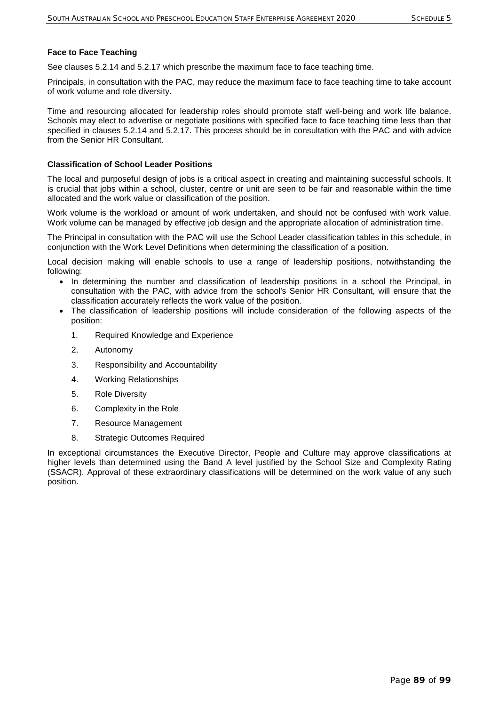#### **Face to Face Teaching**

See clauses 5.2.14 and 5.2.17 which prescribe the maximum face to face teaching time.

Principals, in consultation with the PAC, may reduce the maximum face to face teaching time to take account of work volume and role diversity.

Time and resourcing allocated for leadership roles should promote staff well-being and work life balance. Schools may elect to advertise or negotiate positions with specified face to face teaching time less than that specified in clauses 5.2.14 and 5.2.17. This process should be in consultation with the PAC and with advice from the Senior HR Consultant.

#### **Classification of School Leader Positions**

The local and purposeful design of jobs is a critical aspect in creating and maintaining successful schools. It is crucial that jobs within a school, cluster, centre or unit are seen to be fair and reasonable within the time allocated and the work value or classification of the position.

Work volume is the workload or amount of work undertaken, and should not be confused with work value. Work volume can be managed by effective job design and the appropriate allocation of administration time.

The Principal in consultation with the PAC will use the School Leader classification tables in this schedule, in conjunction with the Work Level Definitions when determining the classification of a position.

Local decision making will enable schools to use a range of leadership positions, notwithstanding the following:

- In determining the number and classification of leadership positions in a school the Principal, in consultation with the PAC, with advice from the school's Senior HR Consultant, will ensure that the classification accurately reflects the work value of the position.
- The classification of leadership positions will include consideration of the following aspects of the position:
	- 1. Required Knowledge and Experience
	- 2. Autonomy
	- 3. Responsibility and Accountability
	- 4. Working Relationships
	- 5. Role Diversity
	- 6. Complexity in the Role
	- 7. Resource Management
	- 8. Strategic Outcomes Required

In exceptional circumstances the Executive Director, People and Culture may approve classifications at higher levels than determined using the Band A level justified by the School Size and Complexity Rating (SSACR). Approval of these extraordinary classifications will be determined on the work value of any such position.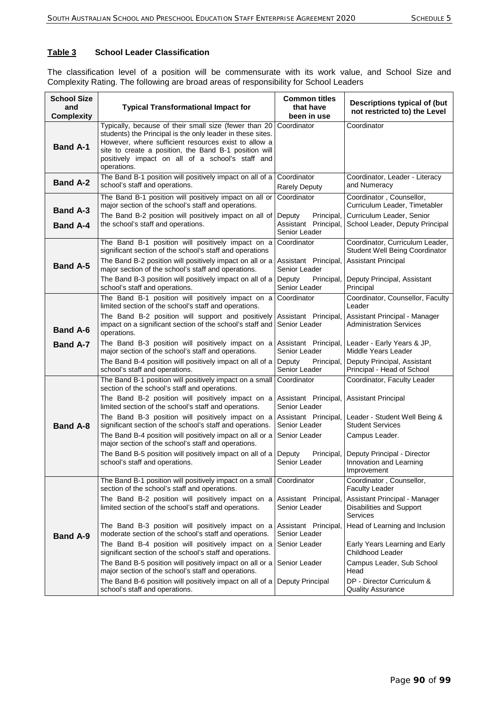## **Table 3 School Leader Classification**

The classification level of a position will be commensurate with its work value, and School Size and Complexity Rating. The following are broad areas of responsibility for School Leaders

| <b>School Size</b><br>and<br><b>Complexity</b> | <b>Typical Transformational Impact for</b>                                                                                                                                                                                                                                                                                     | <b>Common titles</b><br>that have<br>been in use                                              | Descriptions typical of (but<br>not restricted to) the Level                                                                                |
|------------------------------------------------|--------------------------------------------------------------------------------------------------------------------------------------------------------------------------------------------------------------------------------------------------------------------------------------------------------------------------------|-----------------------------------------------------------------------------------------------|---------------------------------------------------------------------------------------------------------------------------------------------|
| <b>Band A-1</b>                                | Typically, because of their small size (fewer than 20<br>students) the Principal is the only leader in these sites.<br>However, where sufficient resources exist to allow a<br>site to create a position, the Band B-1 position will<br>positively impact on all of a school's staff and<br>operations.                        | Coordinator                                                                                   | Coordinator                                                                                                                                 |
| <b>Band A-2</b>                                | The Band B-1 position will positively impact on all of a<br>school's staff and operations.                                                                                                                                                                                                                                     | Coordinator<br><b>Rarely Deputy</b>                                                           | Coordinator, Leader - Literacy<br>and Numeracy                                                                                              |
| <b>Band A-3</b><br><b>Band A-4</b>             | The Band B-1 position will positively impact on all or<br>major section of the school's staff and operations.<br>The Band B-2 position will positively impact on all of<br>the school's staff and operations.                                                                                                                  | Coordinator<br>Deputy<br>Principal,<br>Assistant Principal,<br>Senior Leader                  | Coordinator, Counsellor,<br>Curriculum Leader, Timetabler<br>Curriculum Leader, Senior<br>School Leader, Deputy Principal                   |
| <b>Band A-5</b>                                | The Band B-1 position will positively impact on a<br>significant section of the school's staff and operations<br>The Band B-2 position will positively impact on all or a<br>major section of the school's staff and operations.<br>The Band B-3 position will positively impact on all of a<br>school's staff and operations. | Coordinator<br>Assistant Principal,<br>Senior Leader<br>Deputy<br>Principal,<br>Senior Leader | Coordinator, Curriculum Leader,<br>Student Well Being Coordinator<br><b>Assistant Principal</b><br>Deputy Principal, Assistant<br>Principal |
| <b>Band A-6</b>                                | The Band B-1 position will positively impact on a<br>limited section of the school's staff and operations.<br>The Band B-2 position will support and positively<br>impact on a significant section of the school's staff and<br>operations.                                                                                    | Coordinator<br>Assistant Principal,<br>Senior Leader                                          | Coordinator, Counsellor, Faculty<br>Leader<br>Assistant Principal - Manager<br><b>Administration Services</b>                               |
| <b>Band A-7</b>                                | The Band B-3 position will positively impact on a<br>major section of the school's staff and operations.<br>The Band B-4 position will positively impact on all of a<br>school's staff and operations.                                                                                                                         | Assistant Principal,<br>Senior Leader<br>Deputy<br>Principal,<br>Senior Leader                | Leader - Early Years & JP,<br>Middle Years Leader<br>Deputy Principal, Assistant<br>Principal - Head of School                              |
|                                                | The Band B-1 position will positively impact on a small<br>section of the school's staff and operations.<br>The Band B-2 position will positively impact on a                                                                                                                                                                  | Coordinator<br>Assistant Principal,                                                           | Coordinator, Faculty Leader<br><b>Assistant Principal</b>                                                                                   |
| <b>Band A-8</b>                                | limited section of the school's staff and operations.<br>The Band B-3 position will positively impact on a<br>significant section of the school's staff and operations.<br>The Band B-4 position will positively impact on all or a<br>major section of the school's staff and operations.                                     | Senior Leader<br>Assistant Principal,<br>Senior Leader<br>Senior Leader                       | Leader - Student Well Being &<br><b>Student Services</b><br>Campus Leader.                                                                  |
|                                                | The Band B-5 position will positively impact on all of a<br>school's staff and operations.                                                                                                                                                                                                                                     | Deputy<br>Principal,<br>Senior Leader                                                         | Deputy Principal - Director<br>Innovation and Learning<br>Improvement                                                                       |
|                                                | The Band B-1 position will positively impact on a small<br>section of the school's staff and operations.                                                                                                                                                                                                                       | Coordinator                                                                                   | Coordinator, Counsellor,<br><b>Faculty Leader</b>                                                                                           |
|                                                | The Band B-2 position will positively impact on a<br>limited section of the school's staff and operations.                                                                                                                                                                                                                     | Assistant Principal,<br>Senior Leader                                                         | Assistant Principal - Manager<br>Disabilities and Support<br>Services                                                                       |
| <b>Band A-9</b>                                | The Band B-3 position will positively impact on a<br>moderate section of the school's staff and operations.                                                                                                                                                                                                                    | Assistant Principal,<br>Senior Leader                                                         | Head of Learning and Inclusion                                                                                                              |
|                                                | The Band B-4 position will positively impact on a<br>significant section of the school's staff and operations.                                                                                                                                                                                                                 | Senior Leader                                                                                 | Early Years Learning and Early<br>Childhood Leader                                                                                          |
|                                                | The Band B-5 position will positively impact on all or a<br>major section of the school's staff and operations.                                                                                                                                                                                                                | Senior Leader                                                                                 | Campus Leader, Sub School<br>Head                                                                                                           |
|                                                | The Band B-6 position will positively impact on all of a<br>school's staff and operations.                                                                                                                                                                                                                                     | Deputy Principal                                                                              | DP - Director Curriculum &<br><b>Quality Assurance</b>                                                                                      |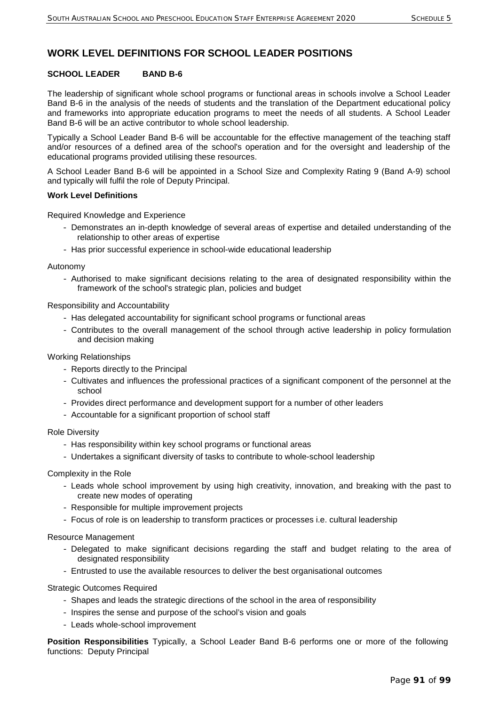# **WORK LEVEL DEFINITIONS FOR SCHOOL LEADER POSITIONS**

## **SCHOOL LEADER BAND B-6**

The leadership of significant whole school programs or functional areas in schools involve a School Leader Band B-6 in the analysis of the needs of students and the translation of the Department educational policy and frameworks into appropriate education programs to meet the needs of all students. A School Leader Band B-6 will be an active contributor to whole school leadership.

Typically a School Leader Band B-6 will be accountable for the effective management of the teaching staff and/or resources of a defined area of the school's operation and for the oversight and leadership of the educational programs provided utilising these resources.

A School Leader Band B-6 will be appointed in a School Size and Complexity Rating 9 (Band A-9) school and typically will fulfil the role of Deputy Principal.

#### **Work Level Definitions**

Required Knowledge and Experience

- Demonstrates an in-depth knowledge of several areas of expertise and detailed understanding of the relationship to other areas of expertise
- Has prior successful experience in school-wide educational leadership

Autonomy

- Authorised to make significant decisions relating to the area of designated responsibility within the framework of the school's strategic plan, policies and budget

Responsibility and Accountability

- Has delegated accountability for significant school programs or functional areas
- Contributes to the overall management of the school through active leadership in policy formulation and decision making

Working Relationships

- Reports directly to the Principal
- Cultivates and influences the professional practices of a significant component of the personnel at the school
- Provides direct performance and development support for a number of other leaders
- Accountable for a significant proportion of school staff

#### Role Diversity

- Has responsibility within key school programs or functional areas
- Undertakes a significant diversity of tasks to contribute to whole-school leadership

Complexity in the Role

- Leads whole school improvement by using high creativity, innovation, and breaking with the past to create new modes of operating
- Responsible for multiple improvement projects
- Focus of role is on leadership to transform practices or processes i.e. cultural leadership

Resource Management

- Delegated to make significant decisions regarding the staff and budget relating to the area of designated responsibility
- Entrusted to use the available resources to deliver the best organisational outcomes

Strategic Outcomes Required

- Shapes and leads the strategic directions of the school in the area of responsibility
- Inspires the sense and purpose of the school's vision and goals
- Leads whole-school improvement

**Position Responsibilities** Typically, a School Leader Band B-6 performs one or more of the following functions: Deputy Principal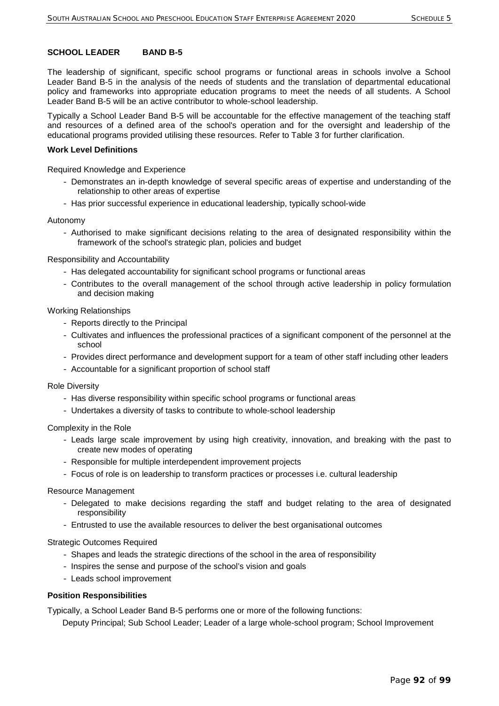The leadership of significant, specific school programs or functional areas in schools involve a School Leader Band B-5 in the analysis of the needs of students and the translation of departmental educational policy and frameworks into appropriate education programs to meet the needs of all students. A School Leader Band B-5 will be an active contributor to whole-school leadership.

Typically a School Leader Band B-5 will be accountable for the effective management of the teaching staff and resources of a defined area of the school's operation and for the oversight and leadership of the educational programs provided utilising these resources. Refer to Table 3 for further clarification.

#### **Work Level Definitions**

Required Knowledge and Experience

- Demonstrates an in-depth knowledge of several specific areas of expertise and understanding of the relationship to other areas of expertise
- Has prior successful experience in educational leadership, typically school-wide

Autonomy

- Authorised to make significant decisions relating to the area of designated responsibility within the framework of the school's strategic plan, policies and budget

#### Responsibility and Accountability

- Has delegated accountability for significant school programs or functional areas
- Contributes to the overall management of the school through active leadership in policy formulation and decision making

#### Working Relationships

- Reports directly to the Principal
- Cultivates and influences the professional practices of a significant component of the personnel at the school
- Provides direct performance and development support for a team of other staff including other leaders
- Accountable for a significant proportion of school staff

#### Role Diversity

- Has diverse responsibility within specific school programs or functional areas
- Undertakes a diversity of tasks to contribute to whole-school leadership

Complexity in the Role

- Leads large scale improvement by using high creativity, innovation, and breaking with the past to create new modes of operating
- Responsible for multiple interdependent improvement projects
- Focus of role is on leadership to transform practices or processes i.e. cultural leadership

#### Resource Management

- Delegated to make decisions regarding the staff and budget relating to the area of designated responsibility
- Entrusted to use the available resources to deliver the best organisational outcomes

#### Strategic Outcomes Required

- Shapes and leads the strategic directions of the school in the area of responsibility
- Inspires the sense and purpose of the school's vision and goals
- Leads school improvement

#### **Position Responsibilities**

Typically, a School Leader Band B-5 performs one or more of the following functions:

Deputy Principal; Sub School Leader; Leader of a large whole-school program; School Improvement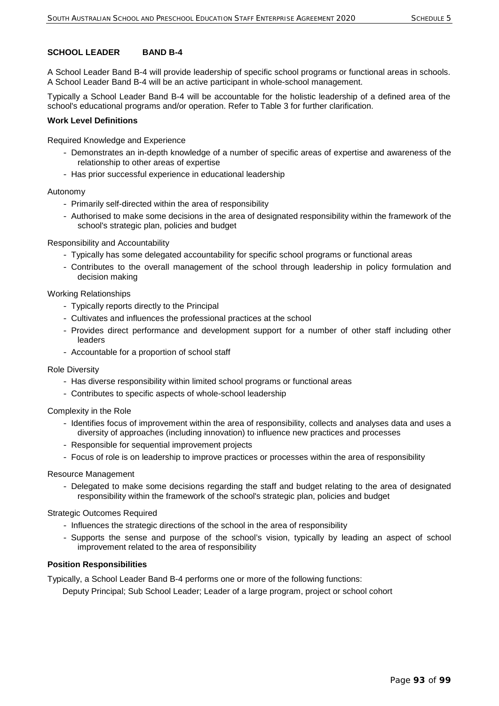A School Leader Band B-4 will provide leadership of specific school programs or functional areas in schools. A School Leader Band B-4 will be an active participant in whole-school management.

Typically a School Leader Band B-4 will be accountable for the holistic leadership of a defined area of the school's educational programs and/or operation. Refer to Table 3 for further clarification.

### **Work Level Definitions**

Required Knowledge and Experience

- Demonstrates an in-depth knowledge of a number of specific areas of expertise and awareness of the relationship to other areas of expertise
- Has prior successful experience in educational leadership

#### Autonomy

- Primarily self-directed within the area of responsibility
- Authorised to make some decisions in the area of designated responsibility within the framework of the school's strategic plan, policies and budget

#### Responsibility and Accountability

- Typically has some delegated accountability for specific school programs or functional areas
- Contributes to the overall management of the school through leadership in policy formulation and decision making

#### Working Relationships

- Typically reports directly to the Principal
- Cultivates and influences the professional practices at the school
- Provides direct performance and development support for a number of other staff including other leaders
- Accountable for a proportion of school staff

#### Role Diversity

- Has diverse responsibility within limited school programs or functional areas
- Contributes to specific aspects of whole-school leadership

#### Complexity in the Role

- Identifies focus of improvement within the area of responsibility, collects and analyses data and uses a diversity of approaches (including innovation) to influence new practices and processes
- Responsible for sequential improvement projects
- Focus of role is on leadership to improve practices or processes within the area of responsibility

#### Resource Management

- Delegated to make some decisions regarding the staff and budget relating to the area of designated responsibility within the framework of the school's strategic plan, policies and budget

#### Strategic Outcomes Required

- Influences the strategic directions of the school in the area of responsibility
- Supports the sense and purpose of the school's vision, typically by leading an aspect of school improvement related to the area of responsibility

#### **Position Responsibilities**

Typically, a School Leader Band B-4 performs one or more of the following functions:

Deputy Principal; Sub School Leader; Leader of a large program, project or school cohort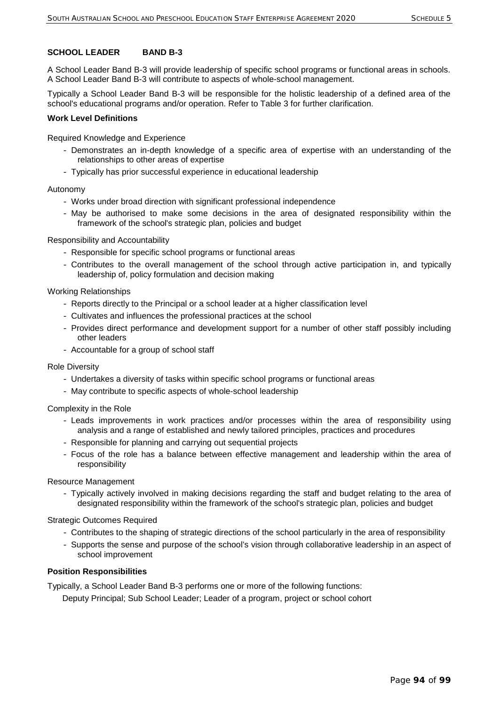A School Leader Band B-3 will provide leadership of specific school programs or functional areas in schools. A School Leader Band B-3 will contribute to aspects of whole-school management.

Typically a School Leader Band B-3 will be responsible for the holistic leadership of a defined area of the school's educational programs and/or operation. Refer to Table 3 for further clarification.

### **Work Level Definitions**

Required Knowledge and Experience

- Demonstrates an in-depth knowledge of a specific area of expertise with an understanding of the relationships to other areas of expertise
- Typically has prior successful experience in educational leadership

## Autonomy

- Works under broad direction with significant professional independence
- May be authorised to make some decisions in the area of designated responsibility within the framework of the school's strategic plan, policies and budget

#### Responsibility and Accountability

- Responsible for specific school programs or functional areas
- Contributes to the overall management of the school through active participation in, and typically leadership of, policy formulation and decision making

## Working Relationships

- Reports directly to the Principal or a school leader at a higher classification level
- Cultivates and influences the professional practices at the school
- Provides direct performance and development support for a number of other staff possibly including other leaders
- Accountable for a group of school staff

#### Role Diversity

- Undertakes a diversity of tasks within specific school programs or functional areas
- May contribute to specific aspects of whole-school leadership

#### Complexity in the Role

- Leads improvements in work practices and/or processes within the area of responsibility using analysis and a range of established and newly tailored principles, practices and procedures
- Responsible for planning and carrying out sequential projects
- Focus of the role has a balance between effective management and leadership within the area of responsibility

#### Resource Management

- Typically actively involved in making decisions regarding the staff and budget relating to the area of designated responsibility within the framework of the school's strategic plan, policies and budget

#### Strategic Outcomes Required

- Contributes to the shaping of strategic directions of the school particularly in the area of responsibility
- Supports the sense and purpose of the school's vision through collaborative leadership in an aspect of school improvement

#### **Position Responsibilities**

Typically, a School Leader Band B-3 performs one or more of the following functions:

Deputy Principal; Sub School Leader; Leader of a program, project or school cohort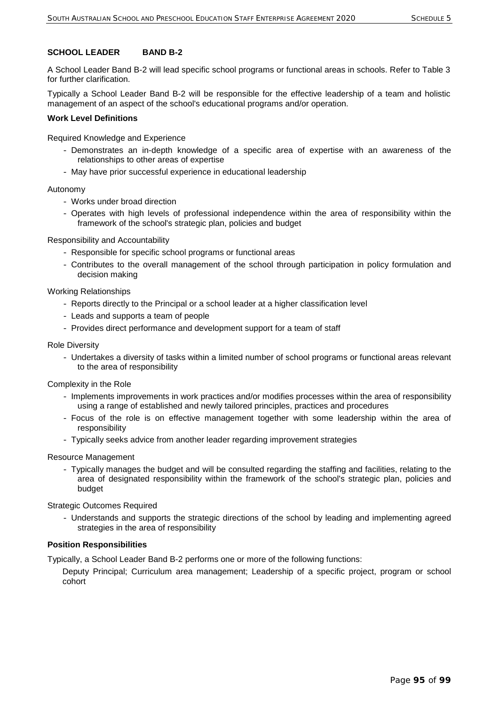A School Leader Band B-2 will lead specific school programs or functional areas in schools. Refer to Table 3 for further clarification.

Typically a School Leader Band B-2 will be responsible for the effective leadership of a team and holistic management of an aspect of the school's educational programs and/or operation.

### **Work Level Definitions**

Required Knowledge and Experience

- Demonstrates an in-depth knowledge of a specific area of expertise with an awareness of the relationships to other areas of expertise
- May have prior successful experience in educational leadership

Autonomy

- Works under broad direction
- Operates with high levels of professional independence within the area of responsibility within the framework of the school's strategic plan, policies and budget

Responsibility and Accountability

- Responsible for specific school programs or functional areas
- Contributes to the overall management of the school through participation in policy formulation and decision making

Working Relationships

- Reports directly to the Principal or a school leader at a higher classification level
- Leads and supports a team of people
- Provides direct performance and development support for a team of staff

#### Role Diversity

- Undertakes a diversity of tasks within a limited number of school programs or functional areas relevant to the area of responsibility

Complexity in the Role

- Implements improvements in work practices and/or modifies processes within the area of responsibility using a range of established and newly tailored principles, practices and procedures
- Focus of the role is on effective management together with some leadership within the area of responsibility
- Typically seeks advice from another leader regarding improvement strategies

Resource Management

- Typically manages the budget and will be consulted regarding the staffing and facilities, relating to the area of designated responsibility within the framework of the school's strategic plan, policies and budget

Strategic Outcomes Required

- Understands and supports the strategic directions of the school by leading and implementing agreed strategies in the area of responsibility

#### **Position Responsibilities**

Typically, a School Leader Band B-2 performs one or more of the following functions:

Deputy Principal; Curriculum area management; Leadership of a specific project, program or school cohort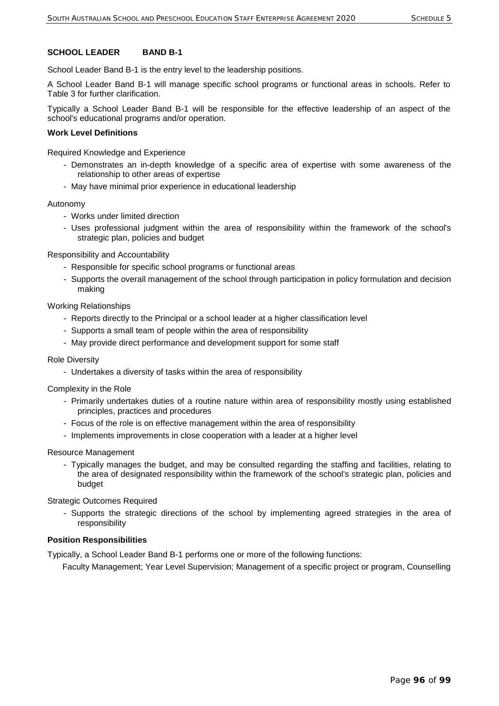School Leader Band B-1 is the entry level to the leadership positions.

A School Leader Band B-1 will manage specific school programs or functional areas in schools. Refer to Table 3 for further clarification.

Typically a School Leader Band B-1 will be responsible for the effective leadership of an aspect of the school's educational programs and/or operation.

# **Work Level Definitions**

Required Knowledge and Experience

- Demonstrates an in-depth knowledge of a specific area of expertise with some awareness of the relationship to other areas of expertise
- May have minimal prior experience in educational leadership

## Autonomy

- Works under limited direction
- Uses professional judgment within the area of responsibility within the framework of the school's strategic plan, policies and budget

Responsibility and Accountability

- Responsible for specific school programs or functional areas
- Supports the overall management of the school through participation in policy formulation and decision making

## Working Relationships

- Reports directly to the Principal or a school leader at a higher classification level
- Supports a small team of people within the area of responsibility
- May provide direct performance and development support for some staff

#### Role Diversity

- Undertakes a diversity of tasks within the area of responsibility

#### Complexity in the Role

- Primarily undertakes duties of a routine nature within area of responsibility mostly using established principles, practices and procedures
- Focus of the role is on effective management within the area of responsibility
- Implements improvements in close cooperation with a leader at a higher level

#### Resource Management

- Typically manages the budget, and may be consulted regarding the staffing and facilities, relating to the area of designated responsibility within the framework of the school's strategic plan, policies and budget

Strategic Outcomes Required

- Supports the strategic directions of the school by implementing agreed strategies in the area of responsibility

#### **Position Responsibilities**

Typically, a School Leader Band B-1 performs one or more of the following functions:

Faculty Management; Year Level Supervision; Management of a specific project or program, Counselling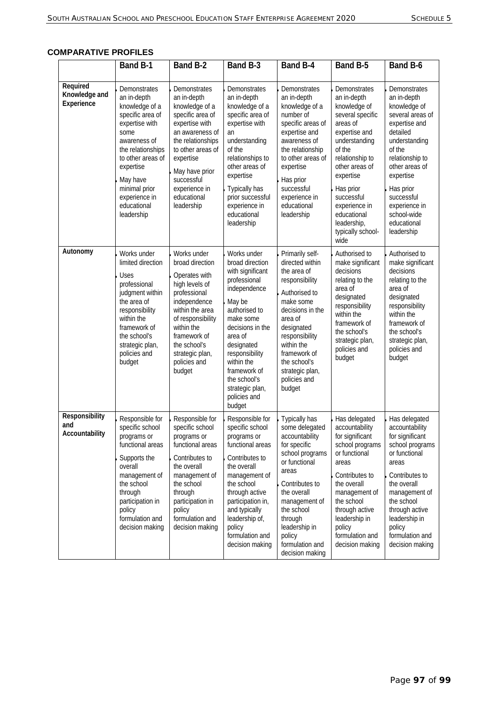| <b>COMPARATIVE PROFILES</b> |  |
|-----------------------------|--|
|-----------------------------|--|

|                                         | Band B-1                                                                                                                                                                                                                                      | Band B-2                                                                                                                                                                                                                                    | Band B-3                                                                                                                                                                                                                                                                             | Band B-4                                                                                                                                                                                                                                                    | Band B-5                                                                                                                                                                                                                                                                         | Band B-6                                                                                                                                                                                                                                                          |
|-----------------------------------------|-----------------------------------------------------------------------------------------------------------------------------------------------------------------------------------------------------------------------------------------------|---------------------------------------------------------------------------------------------------------------------------------------------------------------------------------------------------------------------------------------------|--------------------------------------------------------------------------------------------------------------------------------------------------------------------------------------------------------------------------------------------------------------------------------------|-------------------------------------------------------------------------------------------------------------------------------------------------------------------------------------------------------------------------------------------------------------|----------------------------------------------------------------------------------------------------------------------------------------------------------------------------------------------------------------------------------------------------------------------------------|-------------------------------------------------------------------------------------------------------------------------------------------------------------------------------------------------------------------------------------------------------------------|
| Required<br>Knowledge and<br>Experience | Demonstrates<br>an in-depth<br>knowledge of a<br>specific area of<br>expertise with<br>some<br>awareness of<br>the relationships<br>to other areas of<br>expertise<br>May have<br>minimal prior<br>experience in<br>educational<br>leadership | Demonstrates<br>an in-depth<br>knowledge of a<br>specific area of<br>expertise with<br>an awareness of<br>the relationships<br>to other areas of<br>expertise<br>May have prior<br>successful<br>experience in<br>educational<br>leadership | Demonstrates<br>an in-depth<br>knowledge of a<br>specific area of<br>expertise with<br>an<br>understanding<br>of the<br>relationships to<br>other areas of<br>expertise<br>Typically has<br>prior successful<br>experience in<br>educational<br>leadership                           | Demonstrates<br>an in-depth<br>knowledge of a<br>number of<br>specific areas of<br>expertise and<br>awareness of<br>the relationship<br>to other areas of<br>expertise<br>Has prior<br>successful<br>experience in<br>educational<br>leadership             | Demonstrates<br>an in-depth<br>knowledge of<br>several specific<br>areas of<br>expertise and<br>understanding<br>of the<br>relationship to<br>other areas of<br>expertise<br>Has prior<br>successful<br>experience in<br>educational<br>leadership,<br>typically school-<br>wide | Demonstrates<br>an in-depth<br>knowledge of<br>several areas of<br>expertise and<br>detailed<br>understanding<br>of the<br>relationship to<br>other areas of<br>expertise<br>Has prior<br>successful<br>experience in<br>school-wide<br>educational<br>leadership |
| Autonomy                                | Works under<br>limited direction<br>Uses<br>professional<br>judgment within<br>the area of<br>responsibility<br>within the<br>framework of<br>the school's<br>strategic plan,<br>policies and<br>budget                                       | Works under<br>broad direction<br>Operates with<br>high levels of<br>professional<br>independence<br>within the area<br>of responsibility<br>within the<br>framework of<br>the school's<br>strategic plan,<br>policies and<br>budget        | Works under<br>broad direction<br>with significant<br>professional<br>independence<br>May be<br>authorised to<br>make some<br>decisions in the<br>area of<br>designated<br>responsibility<br>within the<br>framework of<br>the school's<br>strategic plan,<br>policies and<br>budget | Primarily self-<br>directed within<br>the area of<br>responsibility<br>Authorised to<br>make some<br>decisions in the<br>area of<br>designated<br>responsibility<br>within the<br>framework of<br>the school's<br>strategic plan,<br>policies and<br>budget | Authorised to<br>make significant<br>decisions<br>relating to the<br>area of<br>designated<br>responsibility<br>within the<br>framework of<br>the school's<br>strategic plan,<br>policies and<br>budget                                                                          | Authorised to<br>make significant<br>decisions<br>relating to the<br>area of<br>designated<br>responsibility<br>within the<br>framework of<br>the school's<br>strategic plan,<br>policies and<br>budget                                                           |
| Responsibility<br>and<br>Accountability | Responsible for<br>specific school<br>programs or<br>functional areas<br>Supports the<br>overall<br>management of<br>the school<br>through<br>participation in<br>policy<br>formulation and<br>decision making                                | Responsible for<br>specific school<br>programs or<br>functional areas<br>Contributes to<br>the overall<br>management of<br>the school<br>through<br>participation in<br>policy<br>formulation and<br>decision making                        | Responsible for<br>specific school<br>programs or<br>functional areas<br>Contributes to<br>the overall<br>management of<br>the school<br>through active<br>participation in,<br>and typically<br>leadership of,<br>policy<br>formulation and<br>decision making                      | Typically has<br>some delegated<br>accountability<br>for specific<br>school programs<br>or functional<br>areas<br>Contributes to<br>the overall<br>management of<br>the school<br>through<br>leadership in<br>policy<br>formulation and<br>decision making  | Has delegated<br>accountability<br>for significant<br>school programs<br>or functional<br>areas<br>Contributes to<br>the overall<br>management of<br>the school<br>through active<br>leadership in<br>policy<br>formulation and<br>decision making                               | Has delegated<br>accountability<br>for significant<br>school programs<br>or functional<br>areas<br>Contributes to<br>the overall<br>management of<br>the school<br>through active<br>leadership in<br>policy<br>formulation and<br>decision making                |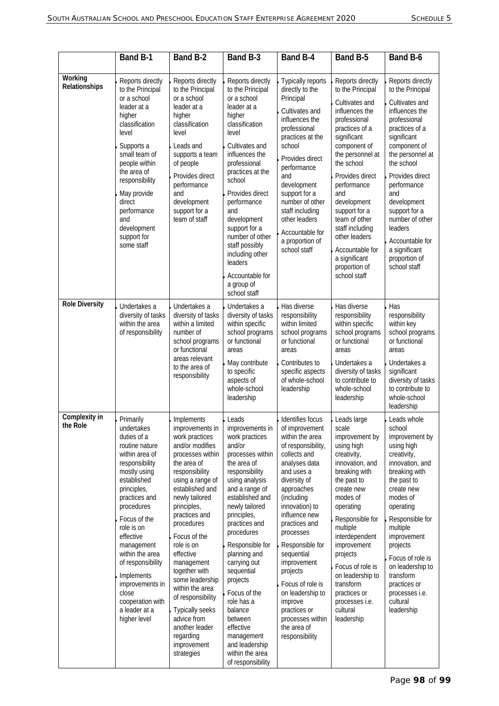|                           | <b>Band B-1</b>                                                                                                                                                                                                                                                                                                                                                           | Band B-2                                                                                                                                                                                                                                                                                                                                                                                                                                                                 | Band B-3                                                                                                                                                                                                                                                                                                                                                                                                                                               | Band B-4                                                                                                                                                                                                                                                                                                                                                                                                                    | Band B-5                                                                                                                                                                                                                                                                                                                                                                       | Band B-6                                                                                                                                                                                                                                                                                                                                                |
|---------------------------|---------------------------------------------------------------------------------------------------------------------------------------------------------------------------------------------------------------------------------------------------------------------------------------------------------------------------------------------------------------------------|--------------------------------------------------------------------------------------------------------------------------------------------------------------------------------------------------------------------------------------------------------------------------------------------------------------------------------------------------------------------------------------------------------------------------------------------------------------------------|--------------------------------------------------------------------------------------------------------------------------------------------------------------------------------------------------------------------------------------------------------------------------------------------------------------------------------------------------------------------------------------------------------------------------------------------------------|-----------------------------------------------------------------------------------------------------------------------------------------------------------------------------------------------------------------------------------------------------------------------------------------------------------------------------------------------------------------------------------------------------------------------------|--------------------------------------------------------------------------------------------------------------------------------------------------------------------------------------------------------------------------------------------------------------------------------------------------------------------------------------------------------------------------------|---------------------------------------------------------------------------------------------------------------------------------------------------------------------------------------------------------------------------------------------------------------------------------------------------------------------------------------------------------|
| Working<br>Relationships  | Reports directly<br>to the Principal<br>or a school<br>leader at a<br>higher<br>classification<br>level<br>Supports a<br>small team of<br>people within<br>the area of<br>responsibility<br>May provide<br>direct<br>performance<br>and<br>development<br>support for<br>some staff                                                                                       | Reports directly<br>to the Principal<br>or a school<br>leader at a<br>higher<br>classification<br>level<br>Leads and<br>supports a team<br>of people<br>Provides direct<br>performance<br>and<br>development<br>support for a<br>team of staff                                                                                                                                                                                                                           | Reports directly<br>to the Principal<br>or a school<br>leader at a<br>higher<br>classification<br>level<br>Cultivates and<br>influences the<br>professional<br>practices at the<br>school<br>Provides direct<br>performance<br>and<br>development<br>support for a<br>number of other<br>staff possibly<br>including other<br>leaders<br>Accountable for<br>a group of<br>school staff                                                                 | Typically reports<br>directly to the<br>Principal<br>Cultivates and<br>influences the<br>professional<br>practices at the<br>school<br>Provides direct<br>performance<br>and<br>development<br>support for a<br>number of other<br>staff including<br>other leaders<br>Accountable for<br>a proportion of<br>school staff                                                                                                   | Reports directly<br>to the Principal<br>Cultivates and<br>influences the<br>professional<br>practices of a<br>significant<br>component of<br>the personnel at<br>the school<br>Provides direct<br>performance<br>and<br>development<br>support for a<br>team of other<br>staff including<br>other leaders<br>Accountable for<br>a significant<br>proportion of<br>school staff | Reports directly<br>to the Principal<br>Cultivates and<br>influences the<br>professional<br>practices of a<br>significant<br>component of<br>the personnel at<br>the school<br>Provides direct<br>performance<br>and<br>development<br>support for a<br>number of other<br>leaders<br>Accountable for<br>a significant<br>proportion of<br>school staff |
| <b>Role Diversity</b>     | Undertakes a<br>diversity of tasks<br>within the area<br>of responsibility                                                                                                                                                                                                                                                                                                | Undertakes a<br>diversity of tasks<br>within a limited<br>number of<br>school programs<br>or functional<br>areas relevant<br>to the area of<br>responsibility                                                                                                                                                                                                                                                                                                            | Undertakes a<br>diversity of tasks<br>within specific<br>school programs<br>or functional<br>areas<br>May contribute<br>to specific<br>aspects of<br>whole-school<br>leadership                                                                                                                                                                                                                                                                        | Has diverse<br>responsibility<br>within limited<br>school programs<br>or functional<br>areas<br>Contributes to<br>specific aspects<br>of whole-school<br>leadership                                                                                                                                                                                                                                                         | Has diverse<br>responsibility<br>within specific<br>school programs<br>or functional<br>areas<br>Undertakes a<br>diversity of tasks<br>to contribute to<br>whole-school<br>leadership                                                                                                                                                                                          | Has<br>responsibility<br>within key<br>school programs<br>or functional<br>areas<br>Undertakes a<br>significant<br>diversity of tasks<br>to contribute to<br>whole-school<br>leadership                                                                                                                                                                 |
| Complexity in<br>the Role | Primarily<br>undertakes<br>duties of a<br>routine nature<br>within area of<br>responsibility<br>mostly using<br>established<br>principles,<br>practices and<br>procedures<br>Focus of the<br>role is on<br>effective<br>management<br>within the area<br>of responsibility<br>Implements<br>improvements in<br>close<br>cooperation with<br>a leader at a<br>higher level | Implements<br>improvements in<br>work practices<br>and/or modifies<br>processes within<br>the area of<br>responsibility<br>using a range of<br>established and<br>newly tailored<br>principles,<br>practices and<br>procedures<br>Focus of the<br>role is on<br>effective<br>management<br>together with<br>some leadership<br>within the area<br>of responsibility<br><b>Typically seeks</b><br>advice from<br>another leader<br>regarding<br>improvement<br>strategies | Leads<br>improvements in<br>work practices<br>and/or<br>processes within<br>the area of<br>responsibility<br>using analysis<br>and a range of<br>established and<br>newly tailored<br>principles,<br>practices and<br>procedures<br>Responsible for<br>planning and<br>carrying out<br>sequential<br>projects<br>Focus of the<br>role has a<br>balance<br>between<br>effective<br>management<br>and leadership<br>within the area<br>of responsibility | Identifies focus<br>of improvement<br>within the area<br>of responsibility,<br>collects and<br>analyses data<br>and uses a<br>diversity of<br>approaches<br>(including<br>innovation) to<br>influence new<br>practices and<br>processes<br>Responsible for<br>sequential<br>improvement<br>projects<br>Focus of role is<br>on leadership to<br>improve<br>practices or<br>processes within<br>the area of<br>responsibility | Leads large<br>scale<br>improvement by<br>using high<br>creativity,<br>innovation, and<br>breaking with<br>the past to<br>create new<br>modes of<br>operating<br>Responsible for<br>multiple<br>interdependent<br>improvement<br>projects<br>Focus of role is<br>on leadership to<br>transform<br>practices or<br>processes i.e.<br>cultural<br>leadership                     | Leads whole<br>school<br>improvement by<br>using high<br>creativity,<br>innovation, and<br>breaking with<br>the past to<br>create new<br>modes of<br>operating<br>Responsible for<br>multiple<br>improvement<br>projects<br>Focus of role is<br>on leadership to<br>transform<br>practices or<br>processes i.e.<br>cultural<br>leadership               |